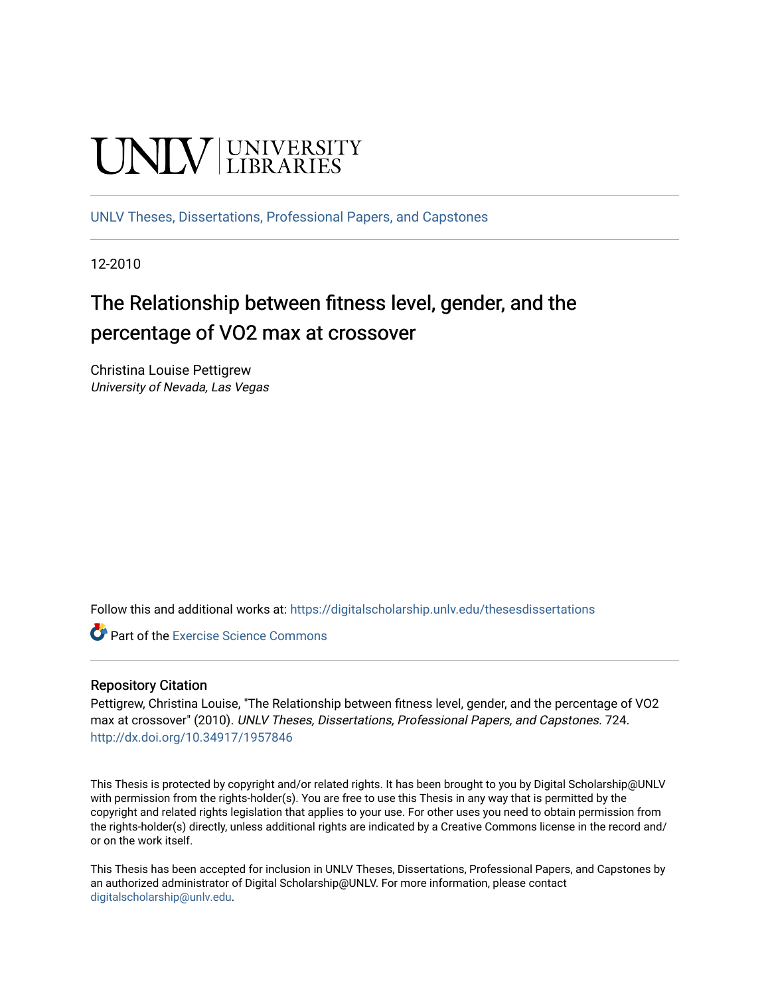# **UNIVERSITY**

[UNLV Theses, Dissertations, Professional Papers, and Capstones](https://digitalscholarship.unlv.edu/thesesdissertations)

12-2010

# The Relationship between fitness level, gender, and the percentage of VO2 max at crossover

Christina Louise Pettigrew University of Nevada, Las Vegas

Follow this and additional works at: [https://digitalscholarship.unlv.edu/thesesdissertations](https://digitalscholarship.unlv.edu/thesesdissertations?utm_source=digitalscholarship.unlv.edu%2Fthesesdissertations%2F724&utm_medium=PDF&utm_campaign=PDFCoverPages)

**Part of the [Exercise Science Commons](http://network.bepress.com/hgg/discipline/1091?utm_source=digitalscholarship.unlv.edu%2Fthesesdissertations%2F724&utm_medium=PDF&utm_campaign=PDFCoverPages)** 

#### Repository Citation

Pettigrew, Christina Louise, "The Relationship between fitness level, gender, and the percentage of VO2 max at crossover" (2010). UNLV Theses, Dissertations, Professional Papers, and Capstones. 724. <http://dx.doi.org/10.34917/1957846>

This Thesis is protected by copyright and/or related rights. It has been brought to you by Digital Scholarship@UNLV with permission from the rights-holder(s). You are free to use this Thesis in any way that is permitted by the copyright and related rights legislation that applies to your use. For other uses you need to obtain permission from the rights-holder(s) directly, unless additional rights are indicated by a Creative Commons license in the record and/ or on the work itself.

This Thesis has been accepted for inclusion in UNLV Theses, Dissertations, Professional Papers, and Capstones by an authorized administrator of Digital Scholarship@UNLV. For more information, please contact [digitalscholarship@unlv.edu](mailto:digitalscholarship@unlv.edu).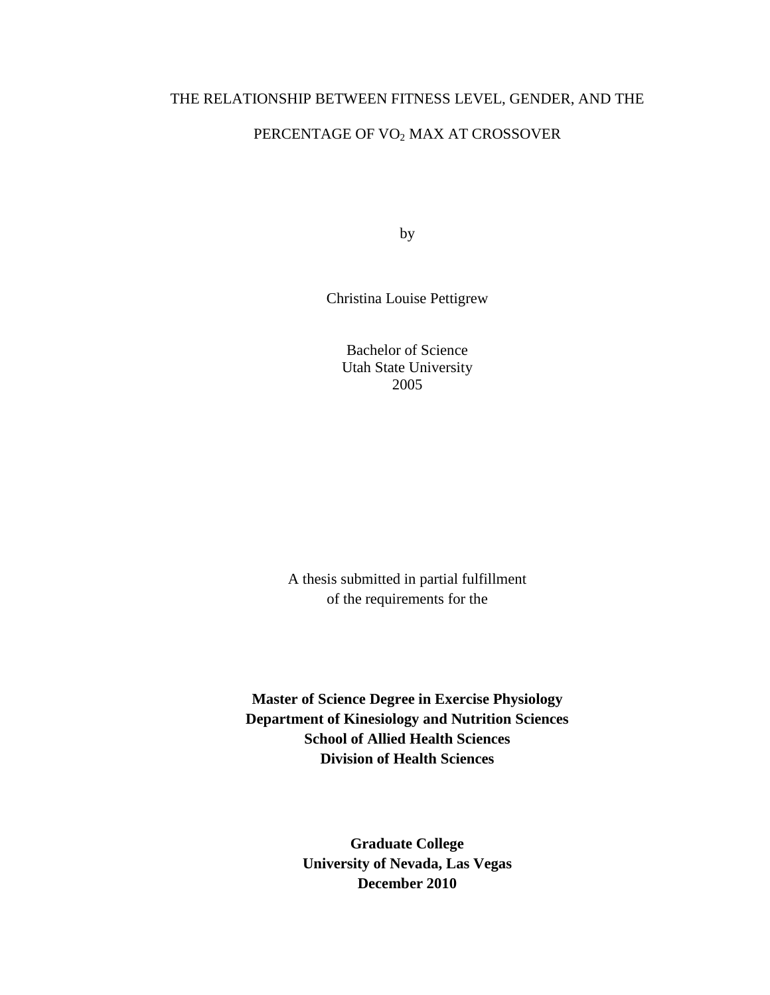#### THE RELATIONSHIP BETWEEN FITNESS LEVEL, GENDER, AND THE

# PERCENTAGE OF VO2 MAX AT CROSSOVER

by

Christina Louise Pettigrew

Bachelor of Science Utah State University 2005

A thesis submitted in partial fulfillment of the requirements for the

**Master of Science Degree in Exercise Physiology Department of Kinesiology and Nutrition Sciences School of Allied Health Sciences Division of Health Sciences** 

> **Graduate College University of Nevada, Las Vegas December 2010**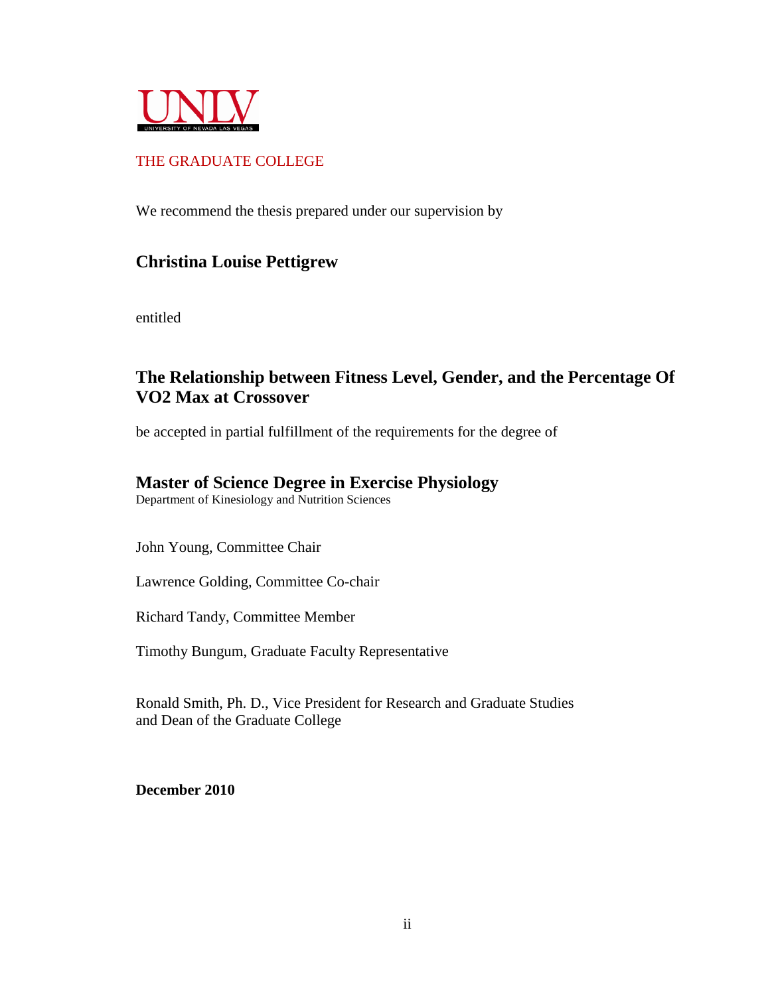

# THE GRADUATE COLLEGE

We recommend the thesis prepared under our supervision by

# **Christina Louise Pettigrew**

entitled

# **The Relationship between Fitness Level, Gender, and the Percentage Of VO2 Max at Crossover**

be accepted in partial fulfillment of the requirements for the degree of

# **Master of Science Degree in Exercise Physiology**

Department of Kinesiology and Nutrition Sciences

John Young, Committee Chair

Lawrence Golding, Committee Co-chair

Richard Tandy, Committee Member

Timothy Bungum, Graduate Faculty Representative

Ronald Smith, Ph. D., Vice President for Research and Graduate Studies and Dean of the Graduate College

**December 2010**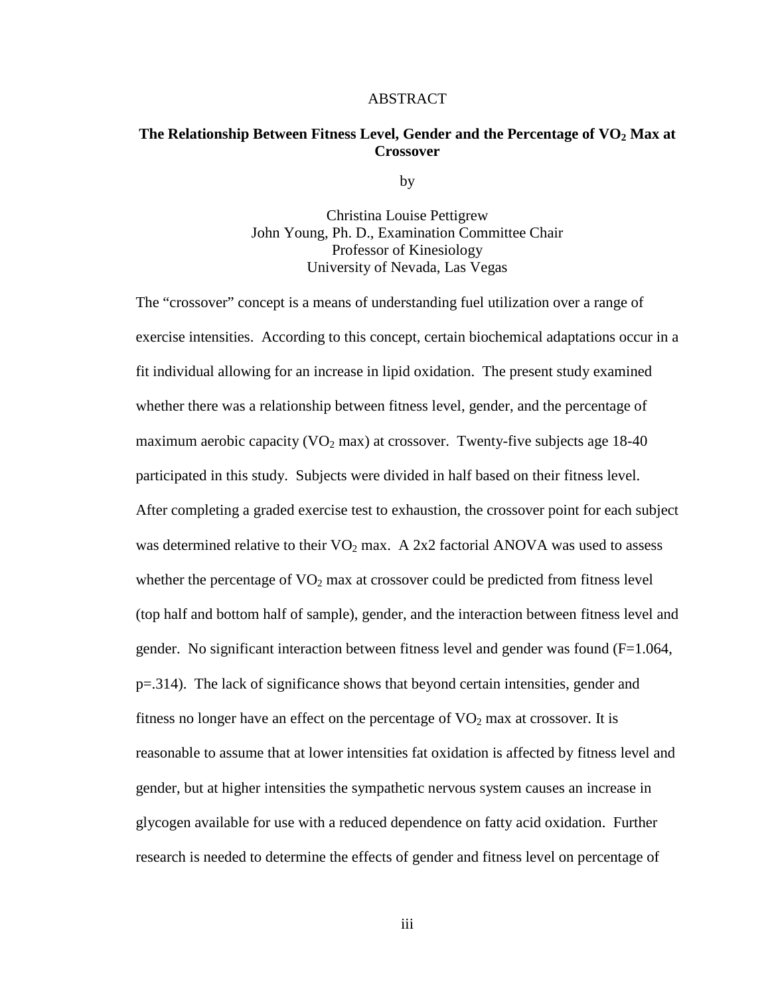#### ABSTRACT

#### **The Relationship Between Fitness Level, Gender and the Percentage of VO2 Max at Crossover**

by

Christina Louise Pettigrew John Young, Ph. D., Examination Committee Chair Professor of Kinesiology University of Nevada, Las Vegas

The "crossover" concept is a means of understanding fuel utilization over a range of exercise intensities. According to this concept, certain biochemical adaptations occur in a fit individual allowing for an increase in lipid oxidation. The present study examined whether there was a relationship between fitness level, gender, and the percentage of maximum aerobic capacity ( $VO<sub>2</sub>$  max) at crossover. Twenty-five subjects age 18-40 participated in this study. Subjects were divided in half based on their fitness level. After completing a graded exercise test to exhaustion, the crossover point for each subject was determined relative to their  $VO<sub>2</sub>$  max. A 2x2 factorial ANOVA was used to assess whether the percentage of  $VO<sub>2</sub>$  max at crossover could be predicted from fitness level (top half and bottom half of sample), gender, and the interaction between fitness level and gender. No significant interaction between fitness level and gender was found (F=1.064, p=.314). The lack of significance shows that beyond certain intensities, gender and fitness no longer have an effect on the percentage of  $VO<sub>2</sub>$  max at crossover. It is reasonable to assume that at lower intensities fat oxidation is affected by fitness level and gender, but at higher intensities the sympathetic nervous system causes an increase in glycogen available for use with a reduced dependence on fatty acid oxidation. Further research is needed to determine the effects of gender and fitness level on percentage of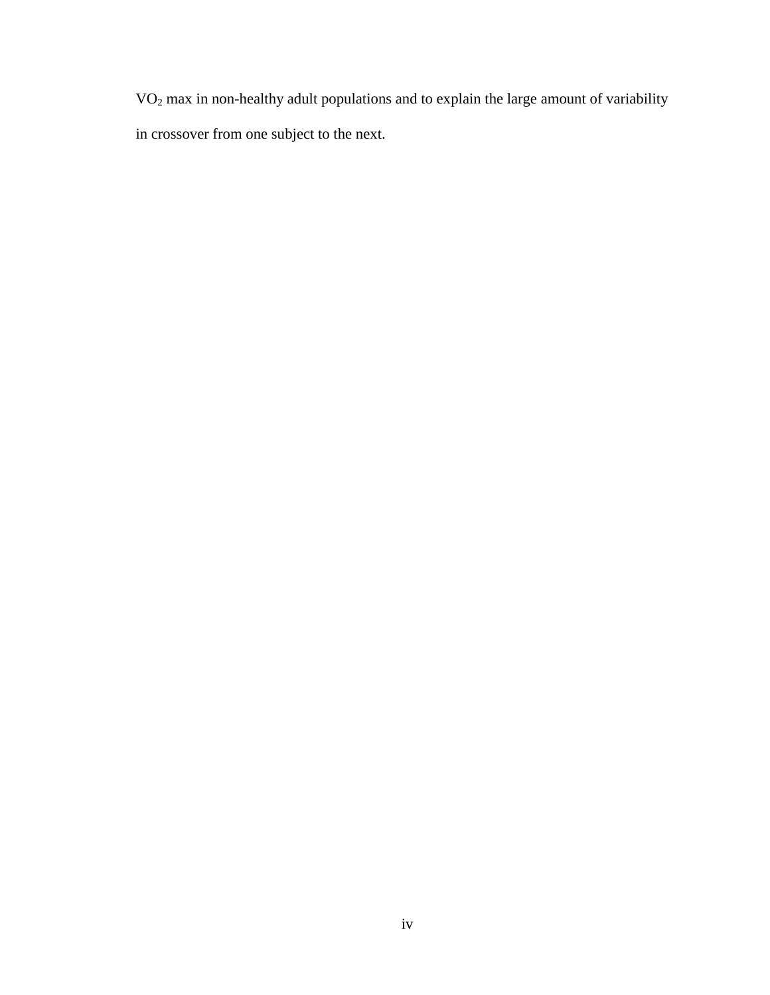VO2 max in non-healthy adult populations and to explain the large amount of variability in crossover from one subject to the next.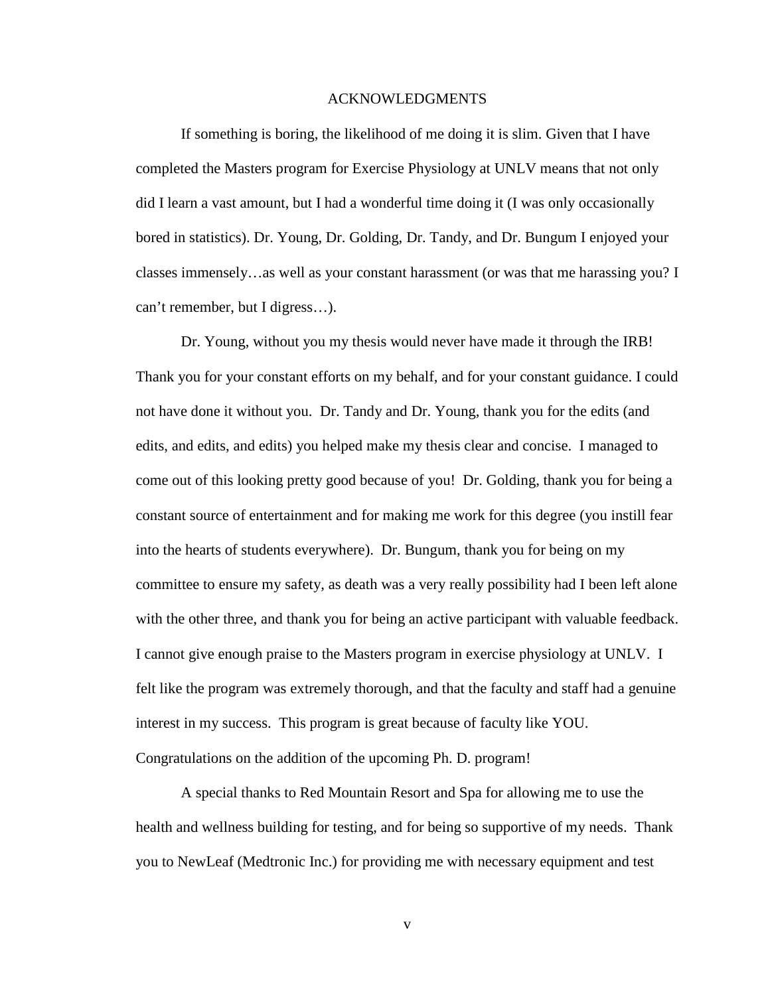#### ACKNOWLEDGMENTS

 If something is boring, the likelihood of me doing it is slim. Given that I have completed the Masters program for Exercise Physiology at UNLV means that not only did I learn a vast amount, but I had a wonderful time doing it (I was only occasionally bored in statistics). Dr. Young, Dr. Golding, Dr. Tandy, and Dr. Bungum I enjoyed your classes immensely…as well as your constant harassment (or was that me harassing you? I can't remember, but I digress…).

Dr. Young, without you my thesis would never have made it through the IRB! Thank you for your constant efforts on my behalf, and for your constant guidance. I could not have done it without you. Dr. Tandy and Dr. Young, thank you for the edits (and edits, and edits, and edits) you helped make my thesis clear and concise. I managed to come out of this looking pretty good because of you! Dr. Golding, thank you for being a constant source of entertainment and for making me work for this degree (you instill fear into the hearts of students everywhere). Dr. Bungum, thank you for being on my committee to ensure my safety, as death was a very really possibility had I been left alone with the other three, and thank you for being an active participant with valuable feedback. I cannot give enough praise to the Masters program in exercise physiology at UNLV. I felt like the program was extremely thorough, and that the faculty and staff had a genuine interest in my success. This program is great because of faculty like YOU. Congratulations on the addition of the upcoming Ph. D. program!

 A special thanks to Red Mountain Resort and Spa for allowing me to use the health and wellness building for testing, and for being so supportive of my needs. Thank you to NewLeaf (Medtronic Inc.) for providing me with necessary equipment and test

v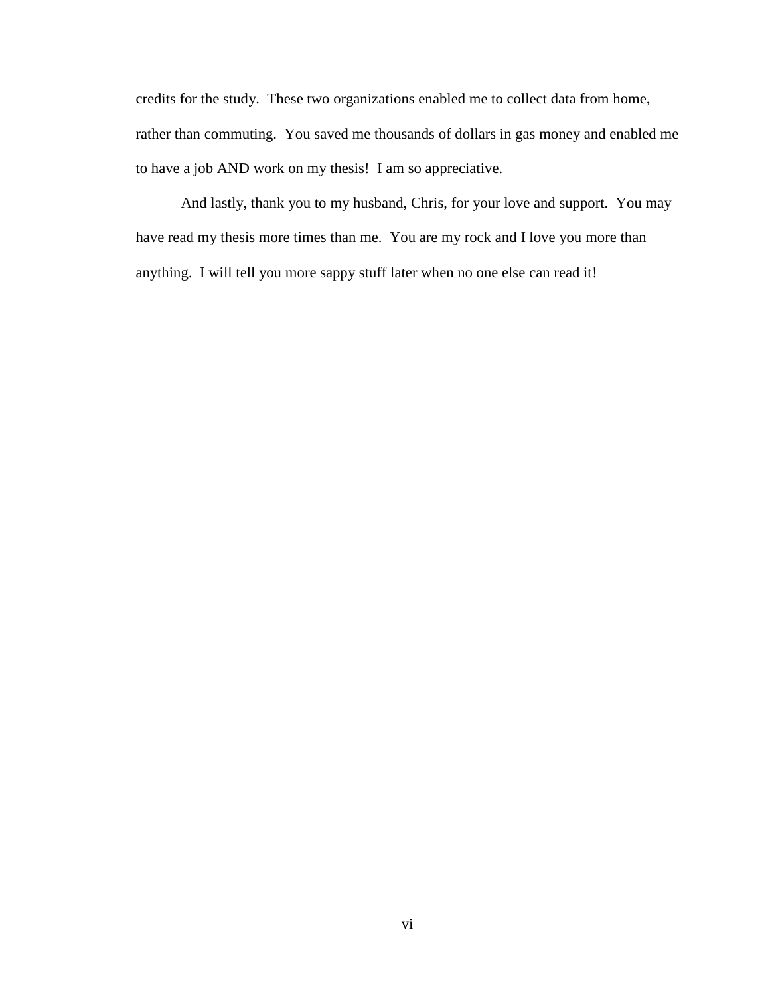credits for the study. These two organizations enabled me to collect data from home, rather than commuting. You saved me thousands of dollars in gas money and enabled me to have a job AND work on my thesis! I am so appreciative.

And lastly, thank you to my husband, Chris, for your love and support. You may have read my thesis more times than me. You are my rock and I love you more than anything. I will tell you more sappy stuff later when no one else can read it!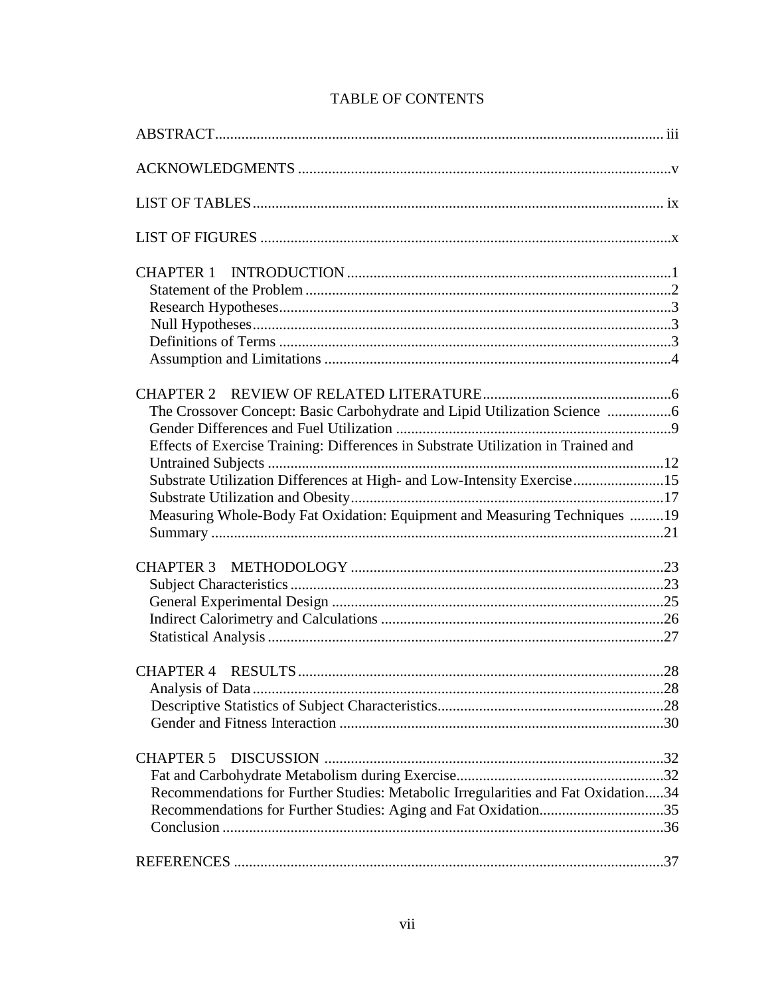| The Crossover Concept: Basic Carbohydrate and Lipid Utilization Science           |  |
|-----------------------------------------------------------------------------------|--|
|                                                                                   |  |
| Effects of Exercise Training: Differences in Substrate Utilization in Trained and |  |
|                                                                                   |  |
| Substrate Utilization Differences at High- and Low-Intensity Exercise15           |  |
|                                                                                   |  |
| Measuring Whole-Body Fat Oxidation: Equipment and Measuring Techniques 19         |  |
|                                                                                   |  |
|                                                                                   |  |
|                                                                                   |  |
|                                                                                   |  |
|                                                                                   |  |
|                                                                                   |  |
|                                                                                   |  |
|                                                                                   |  |
|                                                                                   |  |
|                                                                                   |  |
| <b>CHAPTER 5</b>                                                                  |  |
|                                                                                   |  |
| Recommendations for Further Studies: Metabolic Irregularities and Fat Oxidation34 |  |
| Recommendations for Further Studies: Aging and Fat Oxidation35                    |  |
|                                                                                   |  |
|                                                                                   |  |
|                                                                                   |  |

# **TABLE OF CONTENTS**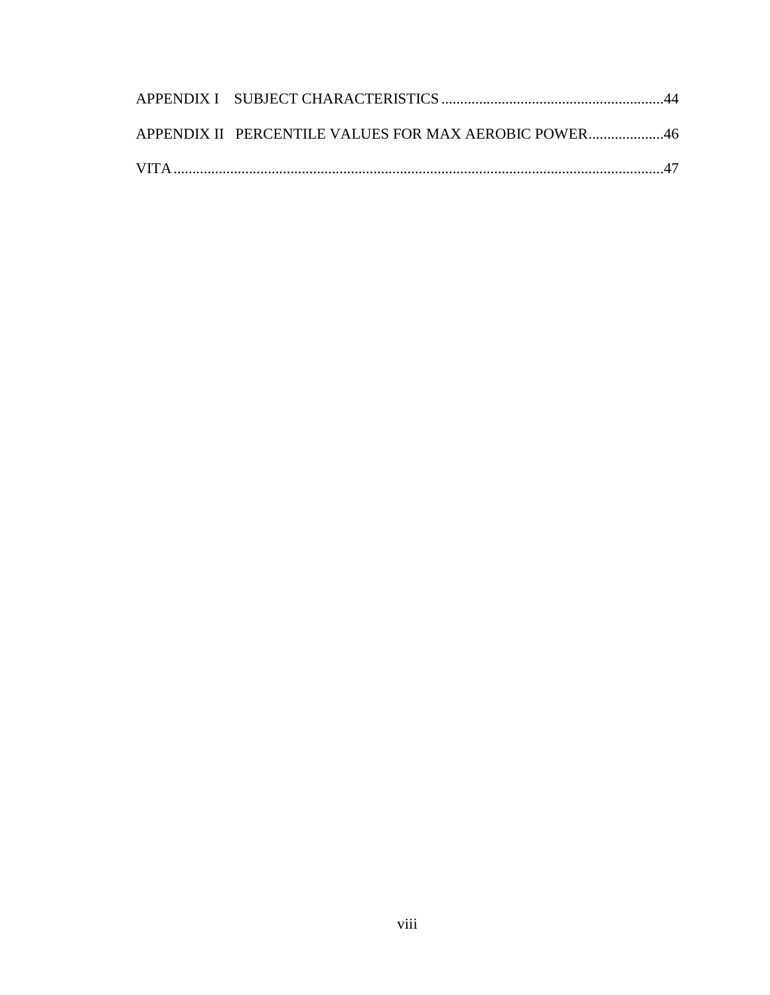| APPENDIX II PERCENTILE VALUES FOR MAX AEROBIC POWER46 |  |
|-------------------------------------------------------|--|
|                                                       |  |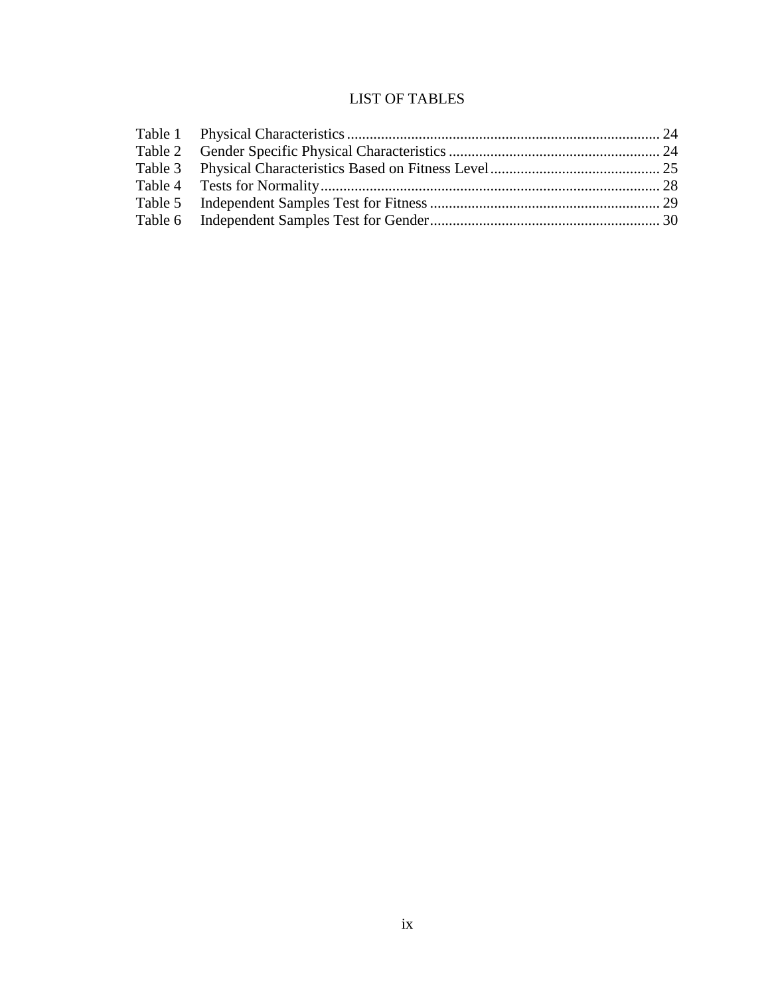# LIST OF TABLES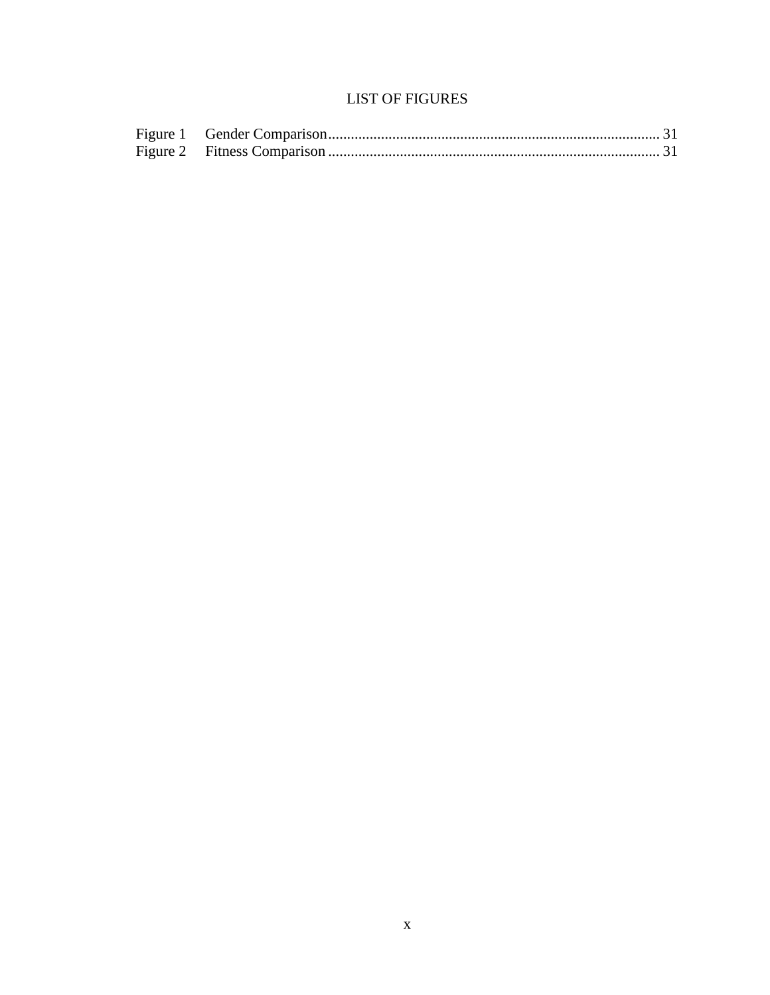# **LIST OF FIGURES**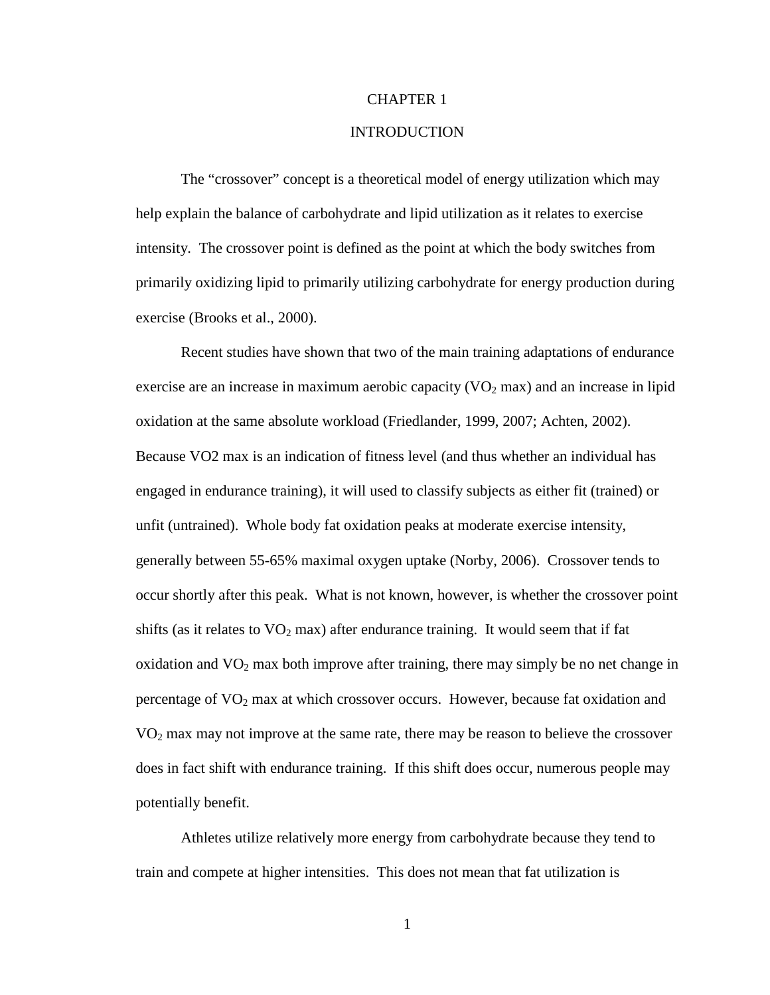#### CHAPTER 1

#### INTRODUCTION

The "crossover" concept is a theoretical model of energy utilization which may help explain the balance of carbohydrate and lipid utilization as it relates to exercise intensity. The crossover point is defined as the point at which the body switches from primarily oxidizing lipid to primarily utilizing carbohydrate for energy production during exercise (Brooks et al., 2000).

Recent studies have shown that two of the main training adaptations of endurance exercise are an increase in maximum aerobic capacity  $(VO<sub>2</sub>$  max) and an increase in lipid oxidation at the same absolute workload (Friedlander, 1999, 2007; Achten, 2002). Because VO2 max is an indication of fitness level (and thus whether an individual has engaged in endurance training), it will used to classify subjects as either fit (trained) or unfit (untrained). Whole body fat oxidation peaks at moderate exercise intensity, generally between 55-65% maximal oxygen uptake (Norby, 2006). Crossover tends to occur shortly after this peak. What is not known, however, is whether the crossover point shifts (as it relates to  $VO<sub>2</sub>$  max) after endurance training. It would seem that if fat oxidation and  $VO<sub>2</sub>$  max both improve after training, there may simply be no net change in percentage of  $VO<sub>2</sub>$  max at which crossover occurs. However, because fat oxidation and  $VO<sub>2</sub>$  max may not improve at the same rate, there may be reason to believe the crossover does in fact shift with endurance training. If this shift does occur, numerous people may potentially benefit.

Athletes utilize relatively more energy from carbohydrate because they tend to train and compete at higher intensities. This does not mean that fat utilization is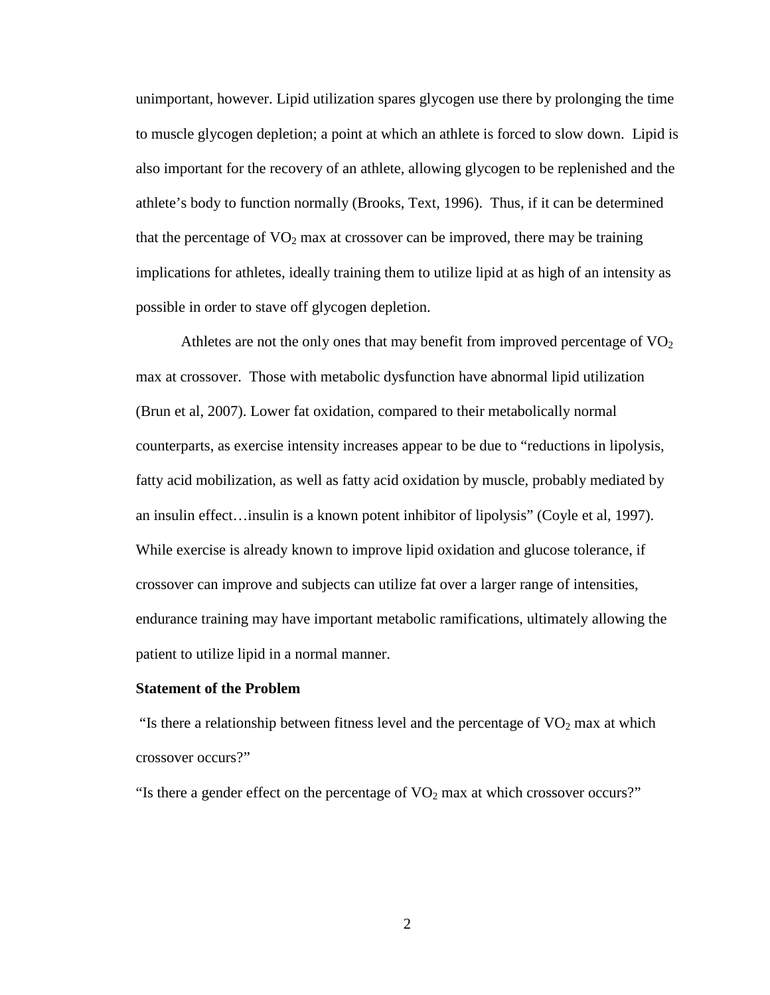unimportant, however. Lipid utilization spares glycogen use there by prolonging the time to muscle glycogen depletion; a point at which an athlete is forced to slow down. Lipid is also important for the recovery of an athlete, allowing glycogen to be replenished and the athlete's body to function normally (Brooks, Text, 1996). Thus, if it can be determined that the percentage of  $VO<sub>2</sub>$  max at crossover can be improved, there may be training implications for athletes, ideally training them to utilize lipid at as high of an intensity as possible in order to stave off glycogen depletion.

Athletes are not the only ones that may benefit from improved percentage of  $VO<sub>2</sub>$ max at crossover. Those with metabolic dysfunction have abnormal lipid utilization (Brun et al, 2007). Lower fat oxidation, compared to their metabolically normal counterparts, as exercise intensity increases appear to be due to "reductions in lipolysis, fatty acid mobilization, as well as fatty acid oxidation by muscle, probably mediated by an insulin effect…insulin is a known potent inhibitor of lipolysis" (Coyle et al, 1997). While exercise is already known to improve lipid oxidation and glucose tolerance, if crossover can improve and subjects can utilize fat over a larger range of intensities, endurance training may have important metabolic ramifications, ultimately allowing the patient to utilize lipid in a normal manner.

#### **Statement of the Problem**

"Is there a relationship between fitness level and the percentage of  $VO<sub>2</sub>$  max at which crossover occurs?"

"Is there a gender effect on the percentage of  $VO<sub>2</sub>$  max at which crossover occurs?"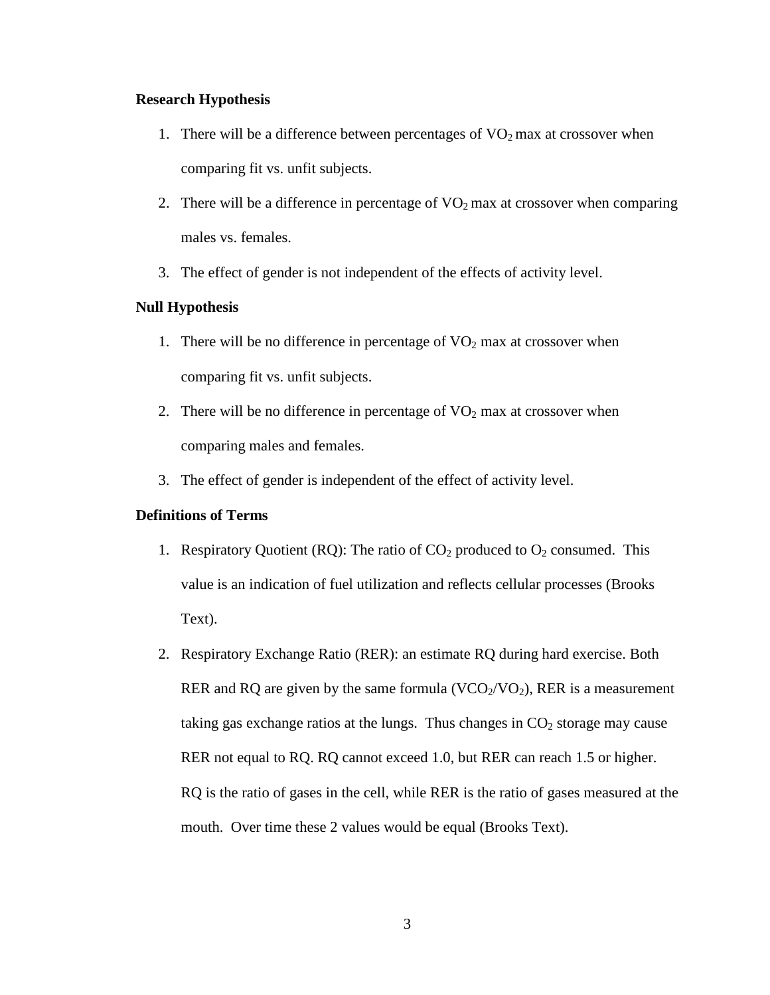#### **Research Hypothesis**

- 1. There will be a difference between percentages of  $VO<sub>2</sub>$  max at crossover when comparing fit vs. unfit subjects.
- 2. There will be a difference in percentage of  $VO<sub>2</sub>$  max at crossover when comparing males vs. females.
- 3. The effect of gender is not independent of the effects of activity level.

## **Null Hypothesis**

- 1. There will be no difference in percentage of  $VO<sub>2</sub>$  max at crossover when comparing fit vs. unfit subjects.
- 2. There will be no difference in percentage of  $VO<sub>2</sub>$  max at crossover when comparing males and females.
- 3. The effect of gender is independent of the effect of activity level.

#### **Definitions of Terms**

- 1. Respiratory Quotient (RQ): The ratio of  $CO<sub>2</sub>$  produced to  $O<sub>2</sub>$  consumed. This value is an indication of fuel utilization and reflects cellular processes (Brooks Text).
- 2. Respiratory Exchange Ratio (RER): an estimate RQ during hard exercise. Both RER and RQ are given by the same formula  $(VCO<sub>2</sub>/VO<sub>2</sub>)$ , RER is a measurement taking gas exchange ratios at the lungs. Thus changes in  $CO<sub>2</sub>$  storage may cause RER not equal to RQ. RQ cannot exceed 1.0, but RER can reach 1.5 or higher. RQ is the ratio of gases in the cell, while RER is the ratio of gases measured at the mouth. Over time these 2 values would be equal (Brooks Text).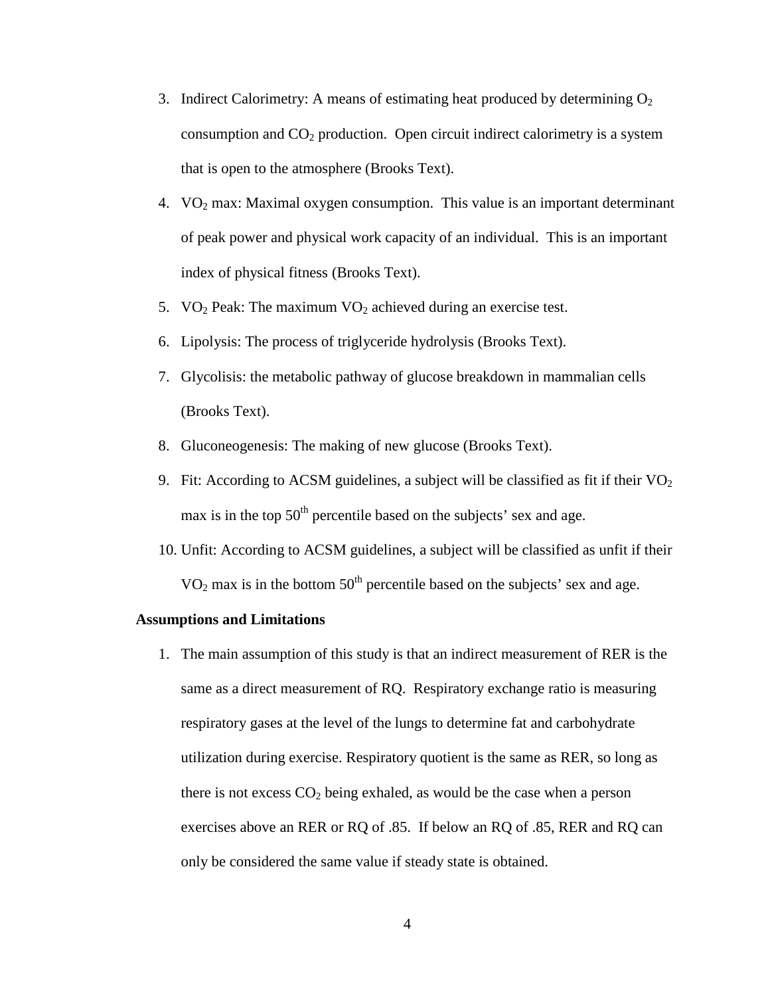- 3. Indirect Calorimetry: A means of estimating heat produced by determining  $O_2$ consumption and  $CO<sub>2</sub>$  production. Open circuit indirect calorimetry is a system that is open to the atmosphere (Brooks Text).
- 4. VO2 max: Maximal oxygen consumption. This value is an important determinant of peak power and physical work capacity of an individual. This is an important index of physical fitness (Brooks Text).
- 5. VO<sub>2</sub> Peak: The maximum VO<sub>2</sub> achieved during an exercise test.
- 6. Lipolysis: The process of triglyceride hydrolysis (Brooks Text).
- 7. Glycolisis: the metabolic pathway of glucose breakdown in mammalian cells (Brooks Text).
- 8. Gluconeogenesis: The making of new glucose (Brooks Text).
- 9. Fit: According to ACSM guidelines, a subject will be classified as fit if their  $VO<sub>2</sub>$ max is in the top  $50<sup>th</sup>$  percentile based on the subjects' sex and age.
- 10. Unfit: According to ACSM guidelines, a subject will be classified as unfit if their  $VO<sub>2</sub>$  max is in the bottom  $50<sup>th</sup>$  percentile based on the subjects' sex and age.

#### **Assumptions and Limitations**

1. The main assumption of this study is that an indirect measurement of RER is the same as a direct measurement of RQ. Respiratory exchange ratio is measuring respiratory gases at the level of the lungs to determine fat and carbohydrate utilization during exercise. Respiratory quotient is the same as RER, so long as there is not excess  $CO<sub>2</sub>$  being exhaled, as would be the case when a person exercises above an RER or RQ of .85. If below an RQ of .85, RER and RQ can only be considered the same value if steady state is obtained.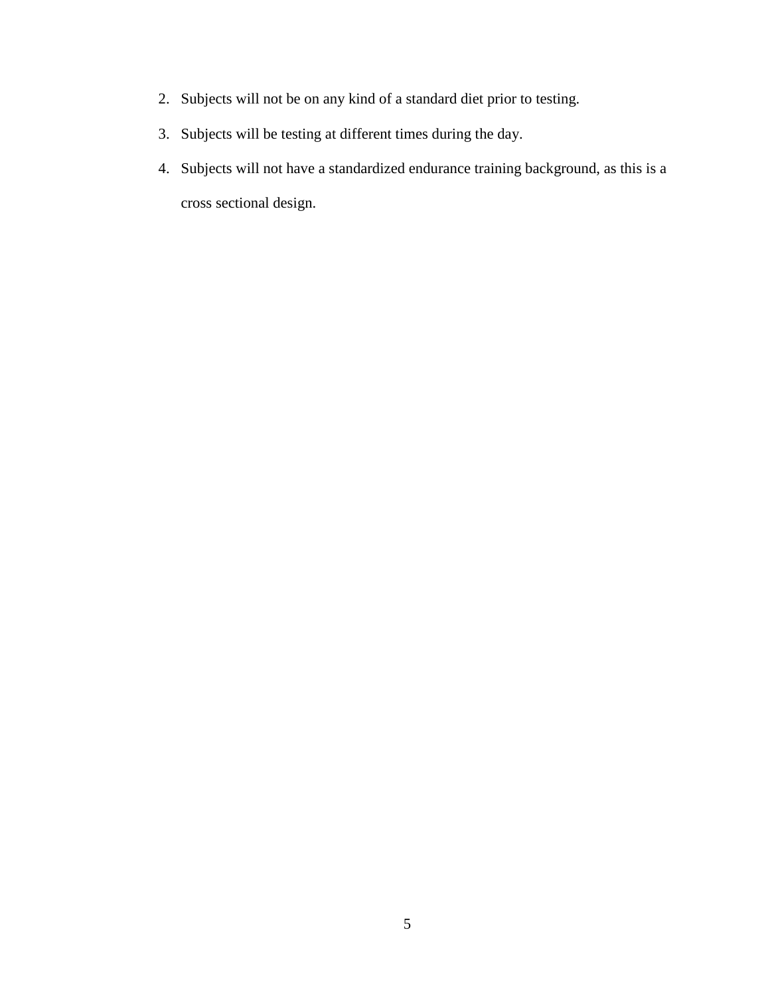- 2. Subjects will not be on any kind of a standard diet prior to testing.
- 3. Subjects will be testing at different times during the day.
- 4. Subjects will not have a standardized endurance training background, as this is a cross sectional design.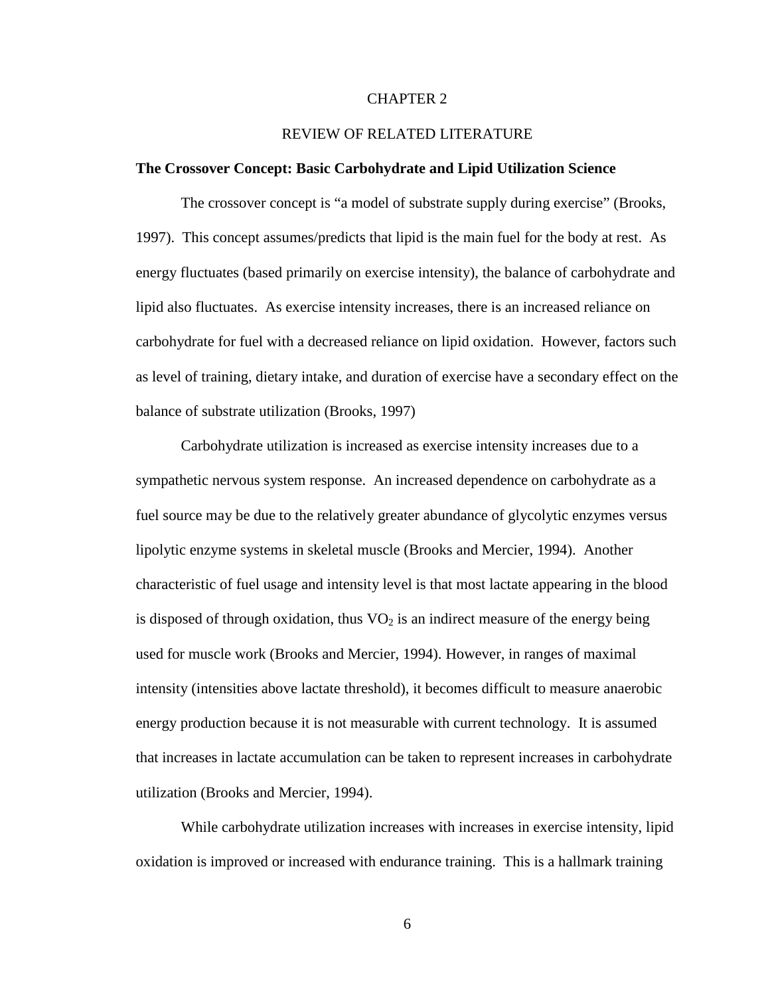#### CHAPTER 2

#### REVIEW OF RELATED LITERATURE

#### **The Crossover Concept: Basic Carbohydrate and Lipid Utilization Science**

The crossover concept is "a model of substrate supply during exercise" (Brooks, 1997). This concept assumes/predicts that lipid is the main fuel for the body at rest. As energy fluctuates (based primarily on exercise intensity), the balance of carbohydrate and lipid also fluctuates. As exercise intensity increases, there is an increased reliance on carbohydrate for fuel with a decreased reliance on lipid oxidation. However, factors such as level of training, dietary intake, and duration of exercise have a secondary effect on the balance of substrate utilization (Brooks, 1997)

Carbohydrate utilization is increased as exercise intensity increases due to a sympathetic nervous system response. An increased dependence on carbohydrate as a fuel source may be due to the relatively greater abundance of glycolytic enzymes versus lipolytic enzyme systems in skeletal muscle (Brooks and Mercier, 1994). Another characteristic of fuel usage and intensity level is that most lactate appearing in the blood is disposed of through oxidation, thus  $VO<sub>2</sub>$  is an indirect measure of the energy being used for muscle work (Brooks and Mercier, 1994). However, in ranges of maximal intensity (intensities above lactate threshold), it becomes difficult to measure anaerobic energy production because it is not measurable with current technology. It is assumed that increases in lactate accumulation can be taken to represent increases in carbohydrate utilization (Brooks and Mercier, 1994).

While carbohydrate utilization increases with increases in exercise intensity, lipid oxidation is improved or increased with endurance training. This is a hallmark training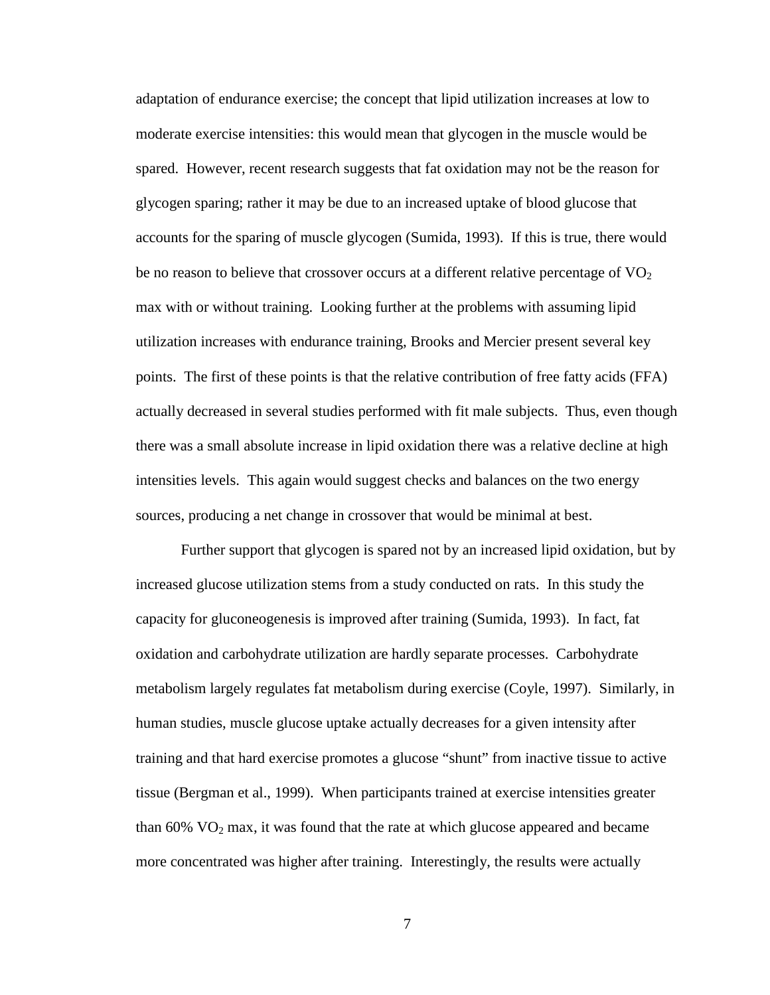adaptation of endurance exercise; the concept that lipid utilization increases at low to moderate exercise intensities: this would mean that glycogen in the muscle would be spared. However, recent research suggests that fat oxidation may not be the reason for glycogen sparing; rather it may be due to an increased uptake of blood glucose that accounts for the sparing of muscle glycogen (Sumida, 1993). If this is true, there would be no reason to believe that crossover occurs at a different relative percentage of  $VO<sub>2</sub>$ max with or without training. Looking further at the problems with assuming lipid utilization increases with endurance training, Brooks and Mercier present several key points. The first of these points is that the relative contribution of free fatty acids (FFA) actually decreased in several studies performed with fit male subjects. Thus, even though there was a small absolute increase in lipid oxidation there was a relative decline at high intensities levels. This again would suggest checks and balances on the two energy sources, producing a net change in crossover that would be minimal at best.

Further support that glycogen is spared not by an increased lipid oxidation, but by increased glucose utilization stems from a study conducted on rats. In this study the capacity for gluconeogenesis is improved after training (Sumida, 1993). In fact, fat oxidation and carbohydrate utilization are hardly separate processes. Carbohydrate metabolism largely regulates fat metabolism during exercise (Coyle, 1997). Similarly, in human studies, muscle glucose uptake actually decreases for a given intensity after training and that hard exercise promotes a glucose "shunt" from inactive tissue to active tissue (Bergman et al., 1999). When participants trained at exercise intensities greater than  $60\%$  VO<sub>2</sub> max, it was found that the rate at which glucose appeared and became more concentrated was higher after training. Interestingly, the results were actually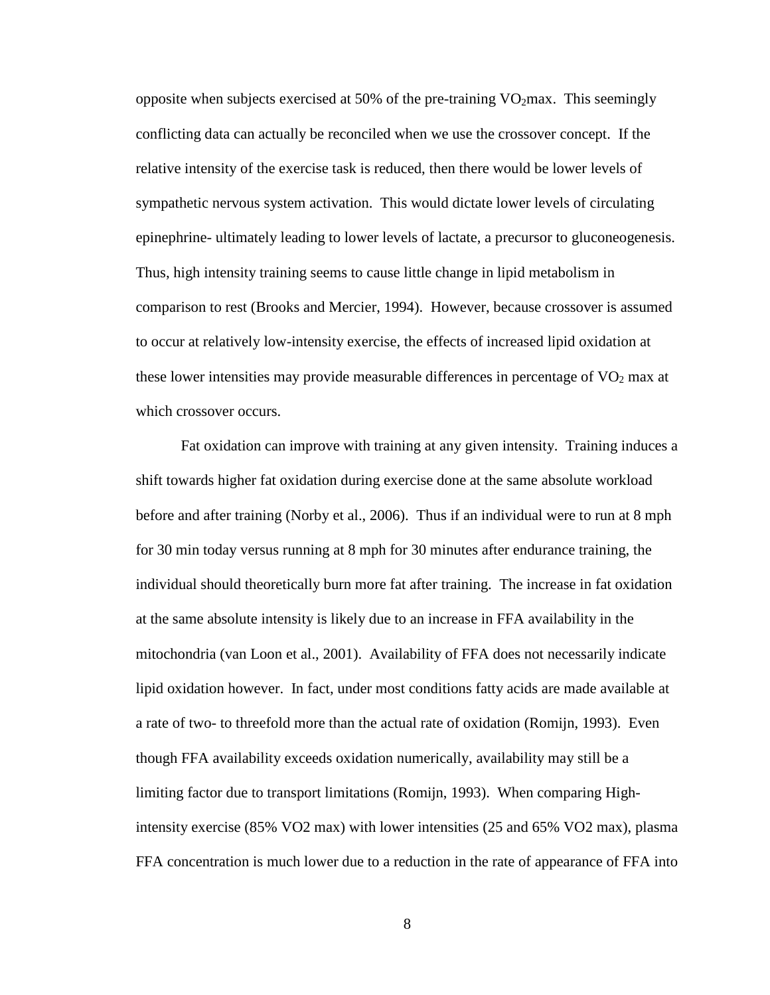opposite when subjects exercised at 50% of the pre-training  $VO<sub>2</sub>max$ . This seemingly conflicting data can actually be reconciled when we use the crossover concept. If the relative intensity of the exercise task is reduced, then there would be lower levels of sympathetic nervous system activation. This would dictate lower levels of circulating epinephrine- ultimately leading to lower levels of lactate, a precursor to gluconeogenesis. Thus, high intensity training seems to cause little change in lipid metabolism in comparison to rest (Brooks and Mercier, 1994). However, because crossover is assumed to occur at relatively low-intensity exercise, the effects of increased lipid oxidation at these lower intensities may provide measurable differences in percentage of  $VO<sub>2</sub>$  max at which crossover occurs.

Fat oxidation can improve with training at any given intensity. Training induces a shift towards higher fat oxidation during exercise done at the same absolute workload before and after training (Norby et al., 2006). Thus if an individual were to run at 8 mph for 30 min today versus running at 8 mph for 30 minutes after endurance training, the individual should theoretically burn more fat after training. The increase in fat oxidation at the same absolute intensity is likely due to an increase in FFA availability in the mitochondria (van Loon et al., 2001). Availability of FFA does not necessarily indicate lipid oxidation however. In fact, under most conditions fatty acids are made available at a rate of two- to threefold more than the actual rate of oxidation (Romijn, 1993). Even though FFA availability exceeds oxidation numerically, availability may still be a limiting factor due to transport limitations (Romijn, 1993). When comparing Highintensity exercise (85% VO2 max) with lower intensities (25 and 65% VO2 max), plasma FFA concentration is much lower due to a reduction in the rate of appearance of FFA into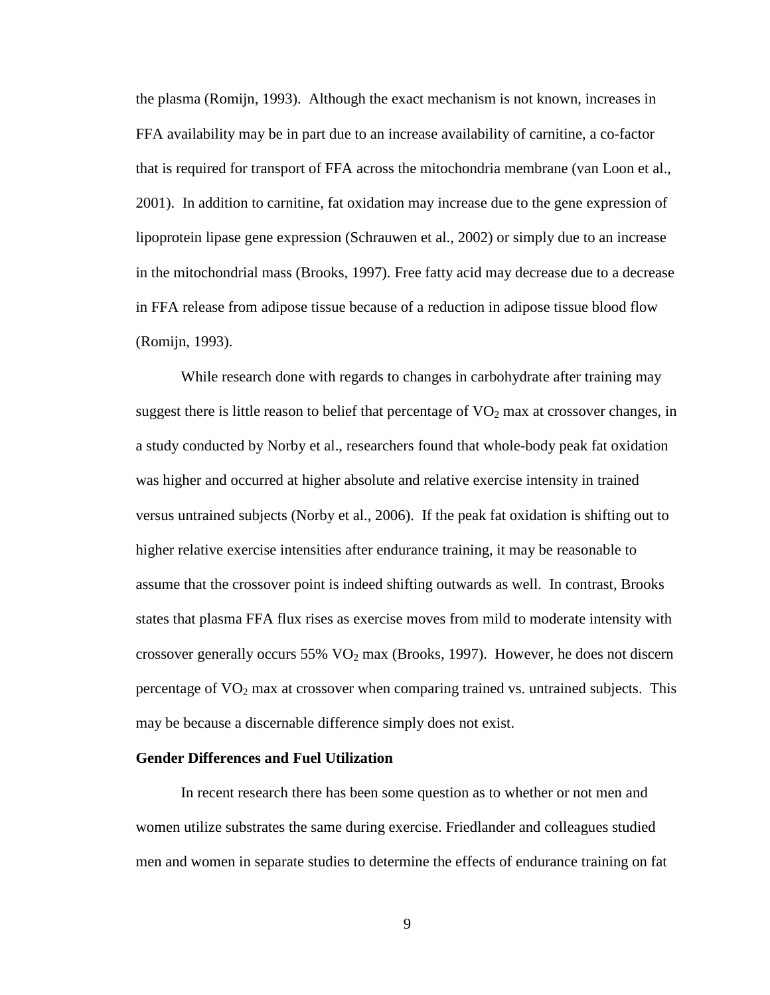the plasma (Romijn, 1993). Although the exact mechanism is not known, increases in FFA availability may be in part due to an increase availability of carnitine, a co-factor that is required for transport of FFA across the mitochondria membrane (van Loon et al., 2001). In addition to carnitine, fat oxidation may increase due to the gene expression of lipoprotein lipase gene expression (Schrauwen et al., 2002) or simply due to an increase in the mitochondrial mass (Brooks, 1997). Free fatty acid may decrease due to a decrease in FFA release from adipose tissue because of a reduction in adipose tissue blood flow (Romijn, 1993).

While research done with regards to changes in carbohydrate after training may suggest there is little reason to belief that percentage of  $VO<sub>2</sub>$  max at crossover changes, in a study conducted by Norby et al., researchers found that whole-body peak fat oxidation was higher and occurred at higher absolute and relative exercise intensity in trained versus untrained subjects (Norby et al., 2006). If the peak fat oxidation is shifting out to higher relative exercise intensities after endurance training, it may be reasonable to assume that the crossover point is indeed shifting outwards as well. In contrast, Brooks states that plasma FFA flux rises as exercise moves from mild to moderate intensity with crossover generally occurs 55%  $VO<sub>2</sub>$  max (Brooks, 1997). However, he does not discern percentage of  $VO<sub>2</sub>$  max at crossover when comparing trained vs. untrained subjects. This may be because a discernable difference simply does not exist.

#### **Gender Differences and Fuel Utilization**

In recent research there has been some question as to whether or not men and women utilize substrates the same during exercise. Friedlander and colleagues studied men and women in separate studies to determine the effects of endurance training on fat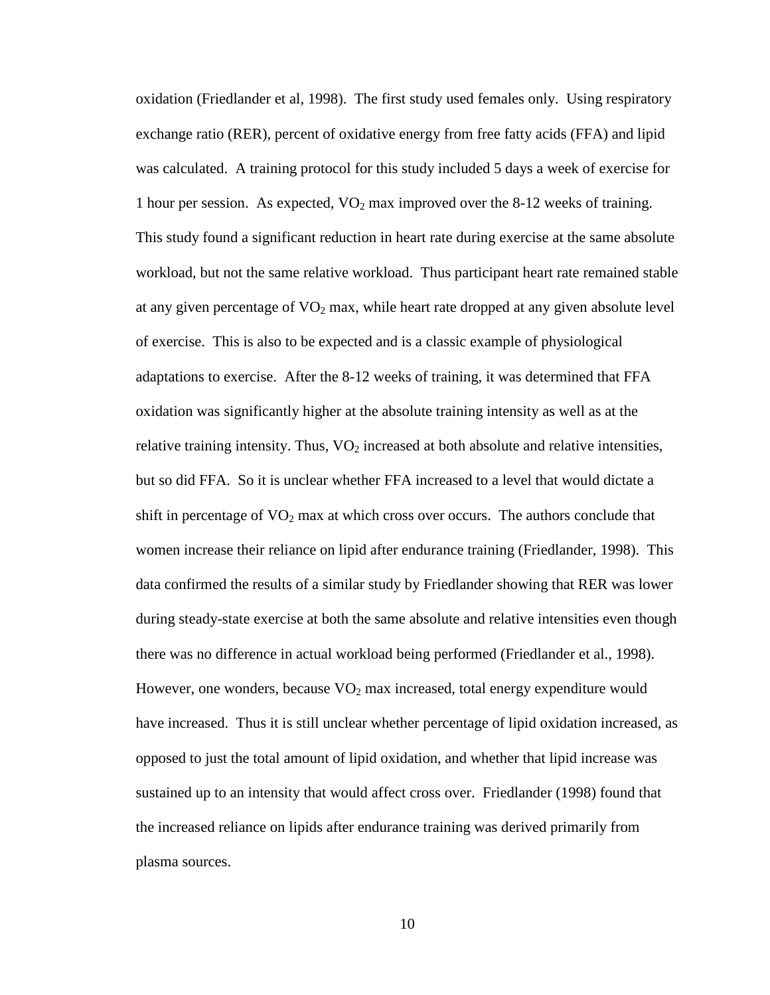oxidation (Friedlander et al, 1998). The first study used females only. Using respiratory exchange ratio (RER), percent of oxidative energy from free fatty acids (FFA) and lipid was calculated. A training protocol for this study included 5 days a week of exercise for 1 hour per session. As expected,  $VO<sub>2</sub>$  max improved over the 8-12 weeks of training. This study found a significant reduction in heart rate during exercise at the same absolute workload, but not the same relative workload. Thus participant heart rate remained stable at any given percentage of  $VO<sub>2</sub>$  max, while heart rate dropped at any given absolute level of exercise. This is also to be expected and is a classic example of physiological adaptations to exercise. After the 8-12 weeks of training, it was determined that FFA oxidation was significantly higher at the absolute training intensity as well as at the relative training intensity. Thus,  $VO<sub>2</sub>$  increased at both absolute and relative intensities, but so did FFA. So it is unclear whether FFA increased to a level that would dictate a shift in percentage of  $VO<sub>2</sub>$  max at which cross over occurs. The authors conclude that women increase their reliance on lipid after endurance training (Friedlander, 1998). This data confirmed the results of a similar study by Friedlander showing that RER was lower during steady-state exercise at both the same absolute and relative intensities even though there was no difference in actual workload being performed (Friedlander et al., 1998). However, one wonders, because  $VO<sub>2</sub>$  max increased, total energy expenditure would have increased. Thus it is still unclear whether percentage of lipid oxidation increased, as opposed to just the total amount of lipid oxidation, and whether that lipid increase was sustained up to an intensity that would affect cross over. Friedlander (1998) found that the increased reliance on lipids after endurance training was derived primarily from plasma sources.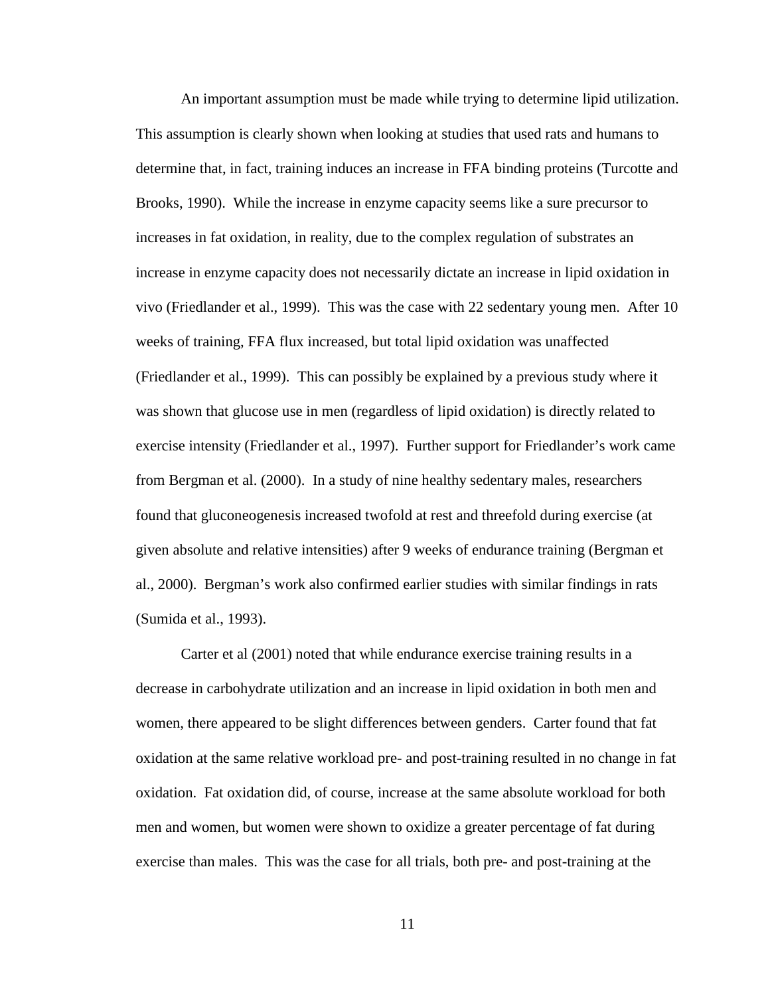An important assumption must be made while trying to determine lipid utilization. This assumption is clearly shown when looking at studies that used rats and humans to determine that, in fact, training induces an increase in FFA binding proteins (Turcotte and Brooks, 1990). While the increase in enzyme capacity seems like a sure precursor to increases in fat oxidation, in reality, due to the complex regulation of substrates an increase in enzyme capacity does not necessarily dictate an increase in lipid oxidation in vivo (Friedlander et al., 1999). This was the case with 22 sedentary young men. After 10 weeks of training, FFA flux increased, but total lipid oxidation was unaffected (Friedlander et al., 1999). This can possibly be explained by a previous study where it was shown that glucose use in men (regardless of lipid oxidation) is directly related to exercise intensity (Friedlander et al., 1997). Further support for Friedlander's work came from Bergman et al. (2000). In a study of nine healthy sedentary males, researchers found that gluconeogenesis increased twofold at rest and threefold during exercise (at given absolute and relative intensities) after 9 weeks of endurance training (Bergman et al., 2000). Bergman's work also confirmed earlier studies with similar findings in rats (Sumida et al., 1993).

Carter et al (2001) noted that while endurance exercise training results in a decrease in carbohydrate utilization and an increase in lipid oxidation in both men and women, there appeared to be slight differences between genders. Carter found that fat oxidation at the same relative workload pre- and post-training resulted in no change in fat oxidation. Fat oxidation did, of course, increase at the same absolute workload for both men and women, but women were shown to oxidize a greater percentage of fat during exercise than males. This was the case for all trials, both pre- and post-training at the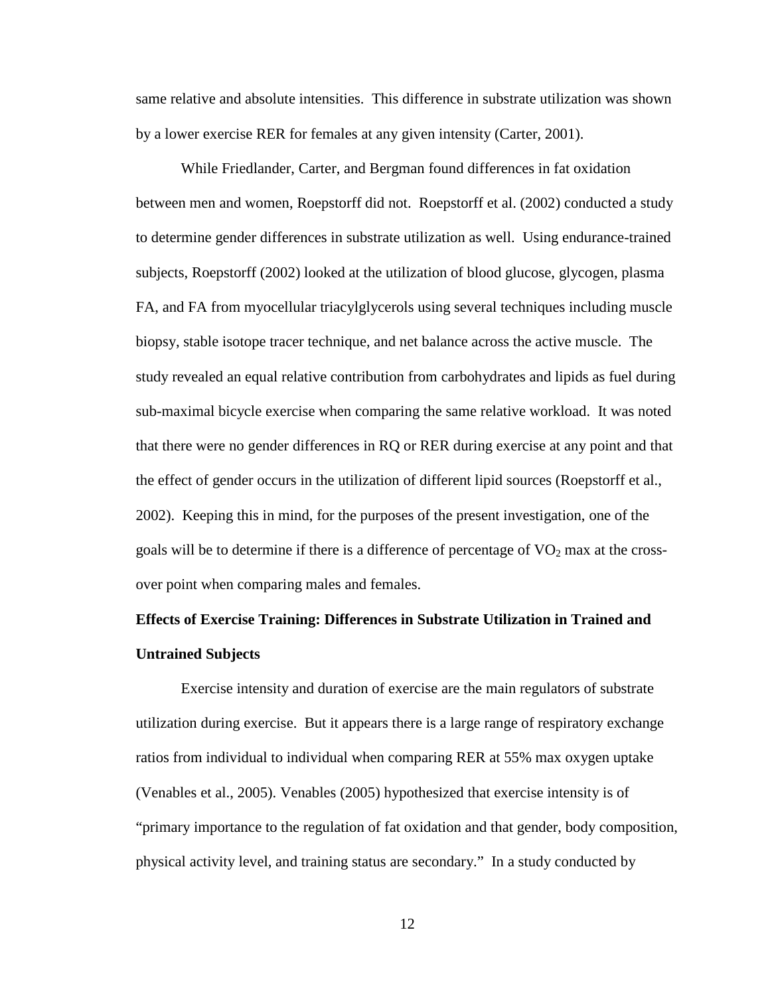same relative and absolute intensities. This difference in substrate utilization was shown by a lower exercise RER for females at any given intensity (Carter, 2001).

 While Friedlander, Carter, and Bergman found differences in fat oxidation between men and women, Roepstorff did not. Roepstorff et al. (2002) conducted a study to determine gender differences in substrate utilization as well. Using endurance-trained subjects, Roepstorff (2002) looked at the utilization of blood glucose, glycogen, plasma FA, and FA from myocellular triacylglycerols using several techniques including muscle biopsy, stable isotope tracer technique, and net balance across the active muscle. The study revealed an equal relative contribution from carbohydrates and lipids as fuel during sub-maximal bicycle exercise when comparing the same relative workload. It was noted that there were no gender differences in RQ or RER during exercise at any point and that the effect of gender occurs in the utilization of different lipid sources (Roepstorff et al., 2002). Keeping this in mind, for the purposes of the present investigation, one of the goals will be to determine if there is a difference of percentage of  $VO<sub>2</sub>$  max at the crossover point when comparing males and females.

# **Effects of Exercise Training: Differences in Substrate Utilization in Trained and Untrained Subjects**

 Exercise intensity and duration of exercise are the main regulators of substrate utilization during exercise. But it appears there is a large range of respiratory exchange ratios from individual to individual when comparing RER at 55% max oxygen uptake (Venables et al., 2005). Venables (2005) hypothesized that exercise intensity is of "primary importance to the regulation of fat oxidation and that gender, body composition, physical activity level, and training status are secondary." In a study conducted by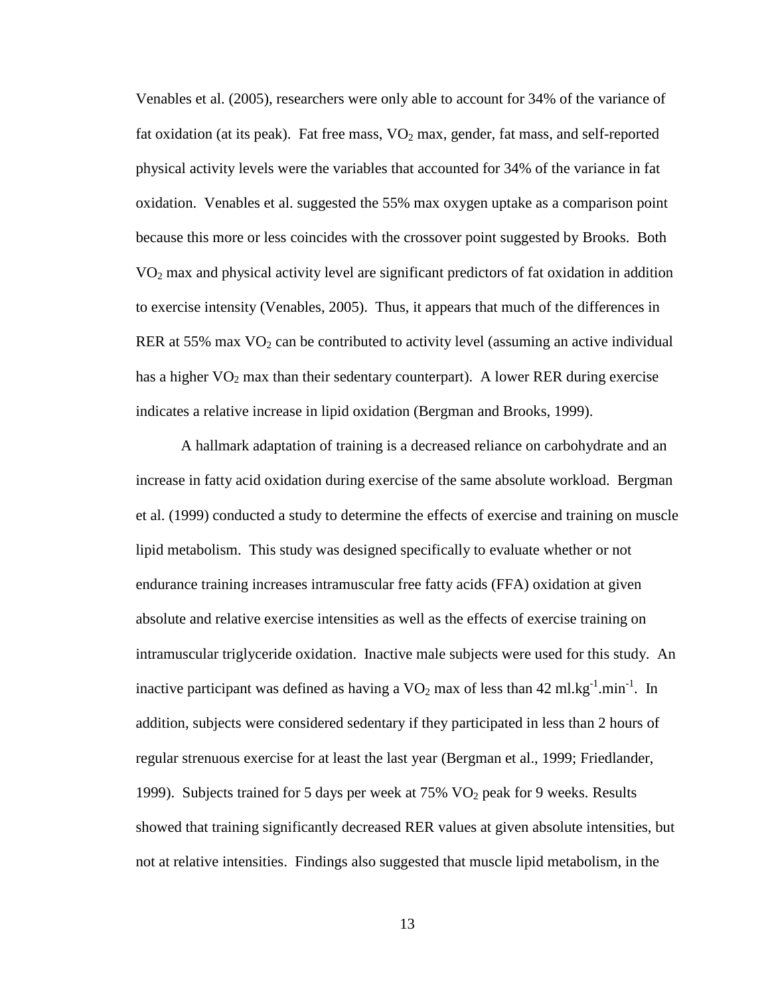Venables et al. (2005), researchers were only able to account for 34% of the variance of fat oxidation (at its peak). Fat free mass,  $VO<sub>2</sub>$  max, gender, fat mass, and self-reported physical activity levels were the variables that accounted for 34% of the variance in fat oxidation. Venables et al. suggested the 55% max oxygen uptake as a comparison point because this more or less coincides with the crossover point suggested by Brooks. Both VO2 max and physical activity level are significant predictors of fat oxidation in addition to exercise intensity (Venables, 2005). Thus, it appears that much of the differences in RER at 55% max  $VO<sub>2</sub>$  can be contributed to activity level (assuming an active individual has a higher  $VO<sub>2</sub>$  max than their sedentary counterpart). A lower RER during exercise indicates a relative increase in lipid oxidation (Bergman and Brooks, 1999).

A hallmark adaptation of training is a decreased reliance on carbohydrate and an increase in fatty acid oxidation during exercise of the same absolute workload. Bergman et al. (1999) conducted a study to determine the effects of exercise and training on muscle lipid metabolism. This study was designed specifically to evaluate whether or not endurance training increases intramuscular free fatty acids (FFA) oxidation at given absolute and relative exercise intensities as well as the effects of exercise training on intramuscular triglyceride oxidation. Inactive male subjects were used for this study. An inactive participant was defined as having a  $VO<sub>2</sub>$  max of less than 42 ml.kg<sup>-1</sup>.min<sup>-1</sup>. In addition, subjects were considered sedentary if they participated in less than 2 hours of regular strenuous exercise for at least the last year (Bergman et al., 1999; Friedlander, 1999). Subjects trained for 5 days per week at  $75\%$  VO<sub>2</sub> peak for 9 weeks. Results showed that training significantly decreased RER values at given absolute intensities, but not at relative intensities. Findings also suggested that muscle lipid metabolism, in the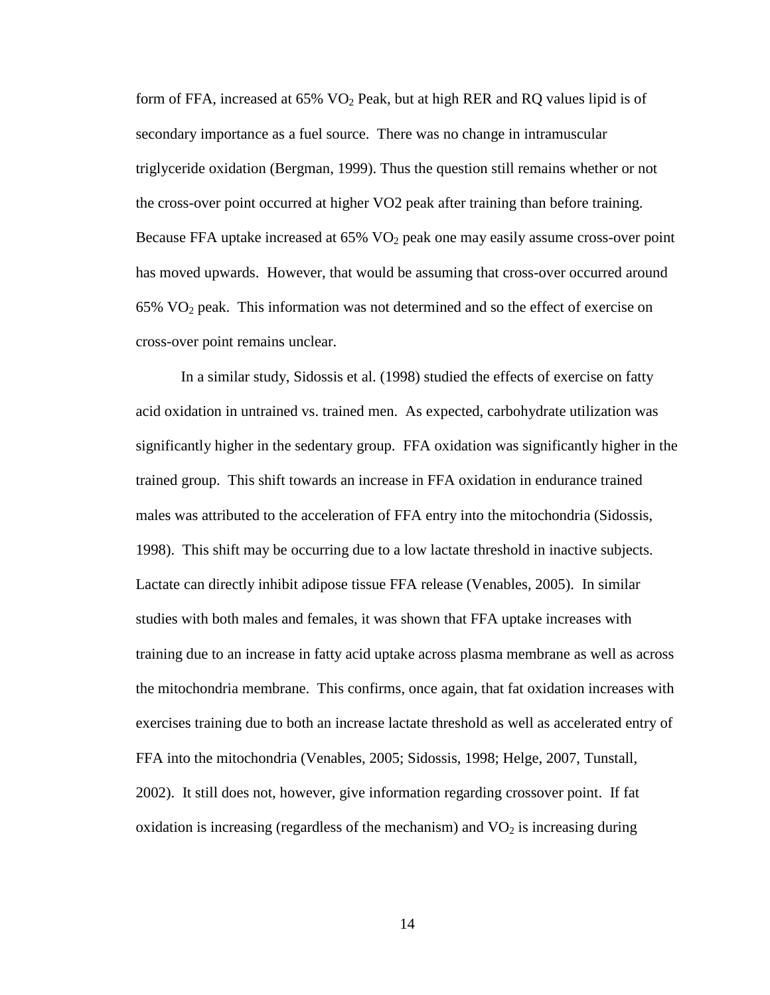form of FFA, increased at  $65\%$  VO<sub>2</sub> Peak, but at high RER and RQ values lipid is of secondary importance as a fuel source. There was no change in intramuscular triglyceride oxidation (Bergman, 1999). Thus the question still remains whether or not the cross-over point occurred at higher VO2 peak after training than before training. Because FFA uptake increased at 65% VO<sub>2</sub> peak one may easily assume cross-over point has moved upwards. However, that would be assuming that cross-over occurred around  $65\%$  VO<sub>2</sub> peak. This information was not determined and so the effect of exercise on cross-over point remains unclear.

In a similar study, Sidossis et al. (1998) studied the effects of exercise on fatty acid oxidation in untrained vs. trained men. As expected, carbohydrate utilization was significantly higher in the sedentary group. FFA oxidation was significantly higher in the trained group. This shift towards an increase in FFA oxidation in endurance trained males was attributed to the acceleration of FFA entry into the mitochondria (Sidossis, 1998). This shift may be occurring due to a low lactate threshold in inactive subjects. Lactate can directly inhibit adipose tissue FFA release (Venables, 2005). In similar studies with both males and females, it was shown that FFA uptake increases with training due to an increase in fatty acid uptake across plasma membrane as well as across the mitochondria membrane. This confirms, once again, that fat oxidation increases with exercises training due to both an increase lactate threshold as well as accelerated entry of FFA into the mitochondria (Venables, 2005; Sidossis, 1998; Helge, 2007, Tunstall, 2002). It still does not, however, give information regarding crossover point. If fat oxidation is increasing (regardless of the mechanism) and  $VO<sub>2</sub>$  is increasing during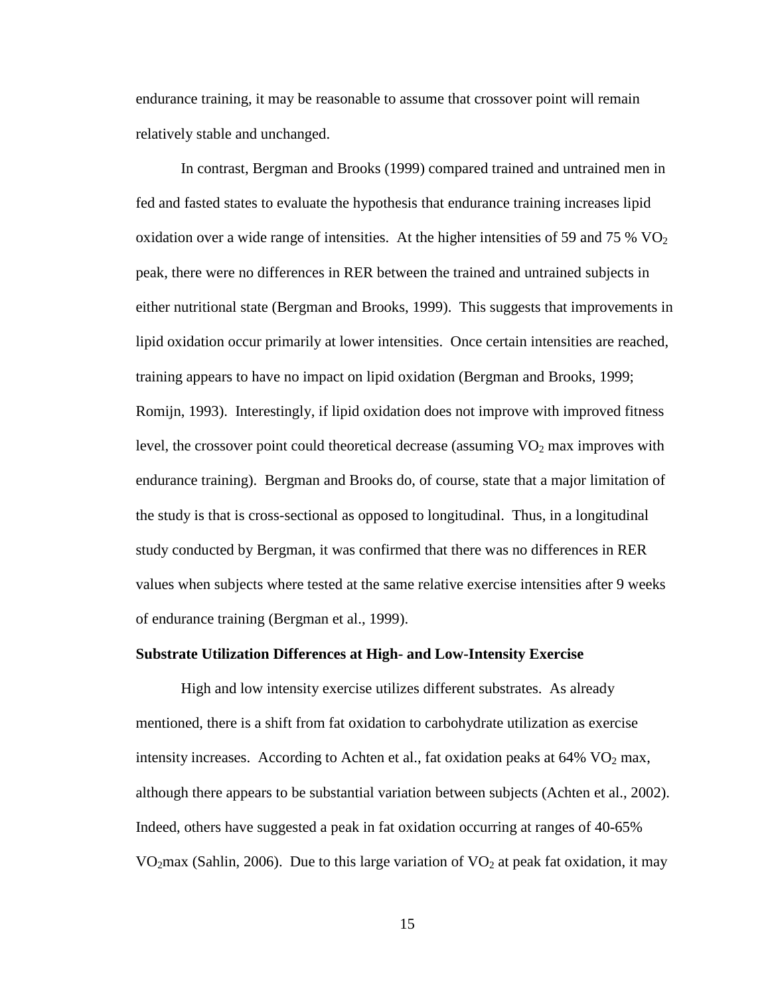endurance training, it may be reasonable to assume that crossover point will remain relatively stable and unchanged.

In contrast, Bergman and Brooks (1999) compared trained and untrained men in fed and fasted states to evaluate the hypothesis that endurance training increases lipid oxidation over a wide range of intensities. At the higher intensities of 59 and 75 %  $\rm VO_2$ peak, there were no differences in RER between the trained and untrained subjects in either nutritional state (Bergman and Brooks, 1999). This suggests that improvements in lipid oxidation occur primarily at lower intensities. Once certain intensities are reached, training appears to have no impact on lipid oxidation (Bergman and Brooks, 1999; Romijn, 1993). Interestingly, if lipid oxidation does not improve with improved fitness level, the crossover point could theoretical decrease (assuming  $VO<sub>2</sub>$  max improves with endurance training). Bergman and Brooks do, of course, state that a major limitation of the study is that is cross-sectional as opposed to longitudinal. Thus, in a longitudinal study conducted by Bergman, it was confirmed that there was no differences in RER values when subjects where tested at the same relative exercise intensities after 9 weeks of endurance training (Bergman et al., 1999).

#### **Substrate Utilization Differences at High- and Low-Intensity Exercise**

High and low intensity exercise utilizes different substrates. As already mentioned, there is a shift from fat oxidation to carbohydrate utilization as exercise intensity increases. According to Achten et al., fat oxidation peaks at  $64\%$  VO<sub>2</sub> max, although there appears to be substantial variation between subjects (Achten et al., 2002). Indeed, others have suggested a peak in fat oxidation occurring at ranges of 40-65% VO<sub>2</sub>max (Sahlin, 2006). Due to this large variation of VO<sub>2</sub> at peak fat oxidation, it may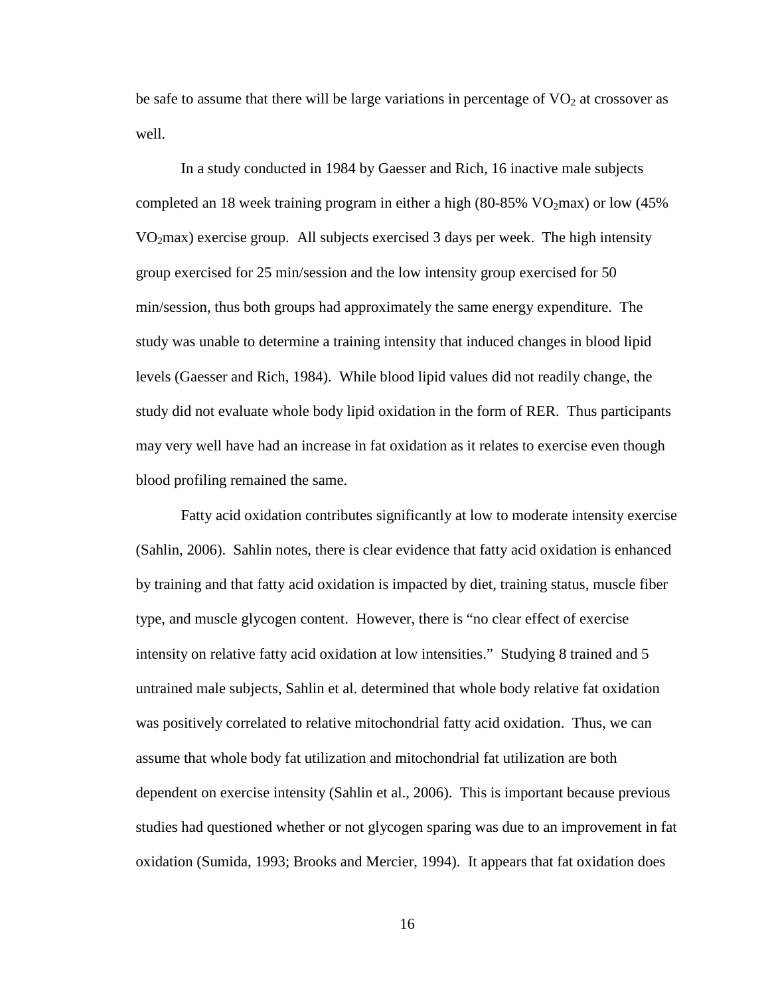be safe to assume that there will be large variations in percentage of  $VO<sub>2</sub>$  at crossover as well.

In a study conducted in 1984 by Gaesser and Rich, 16 inactive male subjects completed an 18 week training program in either a high  $(80-85\% \text{ VO}_{2} \text{max})$  or low  $(45\%$ VO2max) exercise group. All subjects exercised 3 days per week. The high intensity group exercised for 25 min/session and the low intensity group exercised for 50 min/session, thus both groups had approximately the same energy expenditure. The study was unable to determine a training intensity that induced changes in blood lipid levels (Gaesser and Rich, 1984). While blood lipid values did not readily change, the study did not evaluate whole body lipid oxidation in the form of RER. Thus participants may very well have had an increase in fat oxidation as it relates to exercise even though blood profiling remained the same.

Fatty acid oxidation contributes significantly at low to moderate intensity exercise (Sahlin, 2006). Sahlin notes, there is clear evidence that fatty acid oxidation is enhanced by training and that fatty acid oxidation is impacted by diet, training status, muscle fiber type, and muscle glycogen content. However, there is "no clear effect of exercise intensity on relative fatty acid oxidation at low intensities." Studying 8 trained and 5 untrained male subjects, Sahlin et al. determined that whole body relative fat oxidation was positively correlated to relative mitochondrial fatty acid oxidation. Thus, we can assume that whole body fat utilization and mitochondrial fat utilization are both dependent on exercise intensity (Sahlin et al., 2006). This is important because previous studies had questioned whether or not glycogen sparing was due to an improvement in fat oxidation (Sumida, 1993; Brooks and Mercier, 1994). It appears that fat oxidation does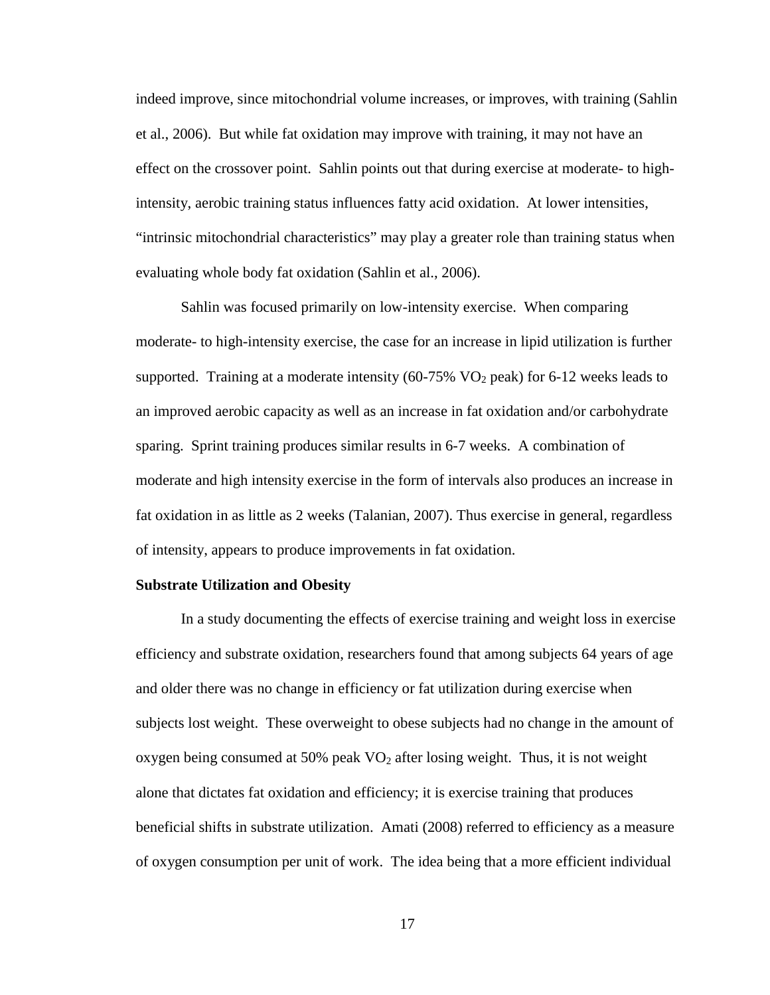indeed improve, since mitochondrial volume increases, or improves, with training (Sahlin et al., 2006). But while fat oxidation may improve with training, it may not have an effect on the crossover point. Sahlin points out that during exercise at moderate- to highintensity, aerobic training status influences fatty acid oxidation. At lower intensities, "intrinsic mitochondrial characteristics" may play a greater role than training status when evaluating whole body fat oxidation (Sahlin et al., 2006).

Sahlin was focused primarily on low-intensity exercise. When comparing moderate- to high-intensity exercise, the case for an increase in lipid utilization is further supported. Training at a moderate intensity  $(60-75\% \text{ VO}_2 \text{ peak})$  for 6-12 weeks leads to an improved aerobic capacity as well as an increase in fat oxidation and/or carbohydrate sparing. Sprint training produces similar results in 6-7 weeks. A combination of moderate and high intensity exercise in the form of intervals also produces an increase in fat oxidation in as little as 2 weeks (Talanian, 2007). Thus exercise in general, regardless of intensity, appears to produce improvements in fat oxidation.

#### **Substrate Utilization and Obesity**

In a study documenting the effects of exercise training and weight loss in exercise efficiency and substrate oxidation, researchers found that among subjects 64 years of age and older there was no change in efficiency or fat utilization during exercise when subjects lost weight. These overweight to obese subjects had no change in the amount of oxygen being consumed at 50% peak  $VO<sub>2</sub>$  after losing weight. Thus, it is not weight alone that dictates fat oxidation and efficiency; it is exercise training that produces beneficial shifts in substrate utilization. Amati (2008) referred to efficiency as a measure of oxygen consumption per unit of work. The idea being that a more efficient individual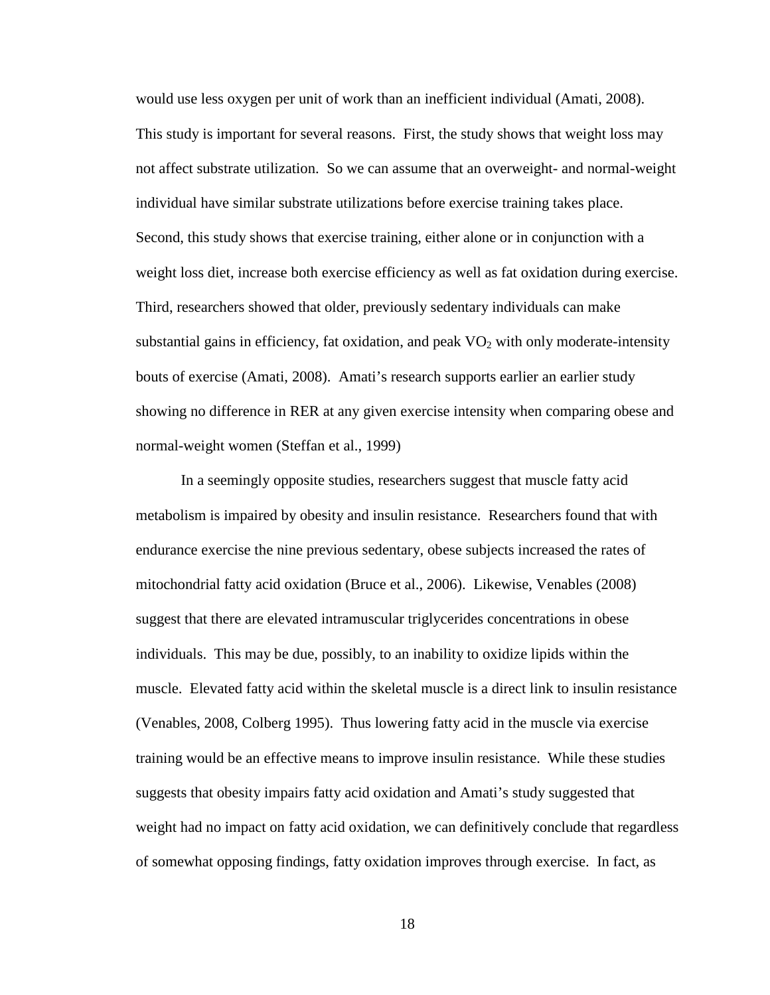would use less oxygen per unit of work than an inefficient individual (Amati, 2008). This study is important for several reasons. First, the study shows that weight loss may not affect substrate utilization. So we can assume that an overweight- and normal-weight individual have similar substrate utilizations before exercise training takes place. Second, this study shows that exercise training, either alone or in conjunction with a weight loss diet, increase both exercise efficiency as well as fat oxidation during exercise. Third, researchers showed that older, previously sedentary individuals can make substantial gains in efficiency, fat oxidation, and peak  $VO<sub>2</sub>$  with only moderate-intensity bouts of exercise (Amati, 2008). Amati's research supports earlier an earlier study showing no difference in RER at any given exercise intensity when comparing obese and normal-weight women (Steffan et al., 1999)

In a seemingly opposite studies, researchers suggest that muscle fatty acid metabolism is impaired by obesity and insulin resistance. Researchers found that with endurance exercise the nine previous sedentary, obese subjects increased the rates of mitochondrial fatty acid oxidation (Bruce et al., 2006). Likewise, Venables (2008) suggest that there are elevated intramuscular triglycerides concentrations in obese individuals. This may be due, possibly, to an inability to oxidize lipids within the muscle. Elevated fatty acid within the skeletal muscle is a direct link to insulin resistance (Venables, 2008, Colberg 1995). Thus lowering fatty acid in the muscle via exercise training would be an effective means to improve insulin resistance. While these studies suggests that obesity impairs fatty acid oxidation and Amati's study suggested that weight had no impact on fatty acid oxidation, we can definitively conclude that regardless of somewhat opposing findings, fatty oxidation improves through exercise. In fact, as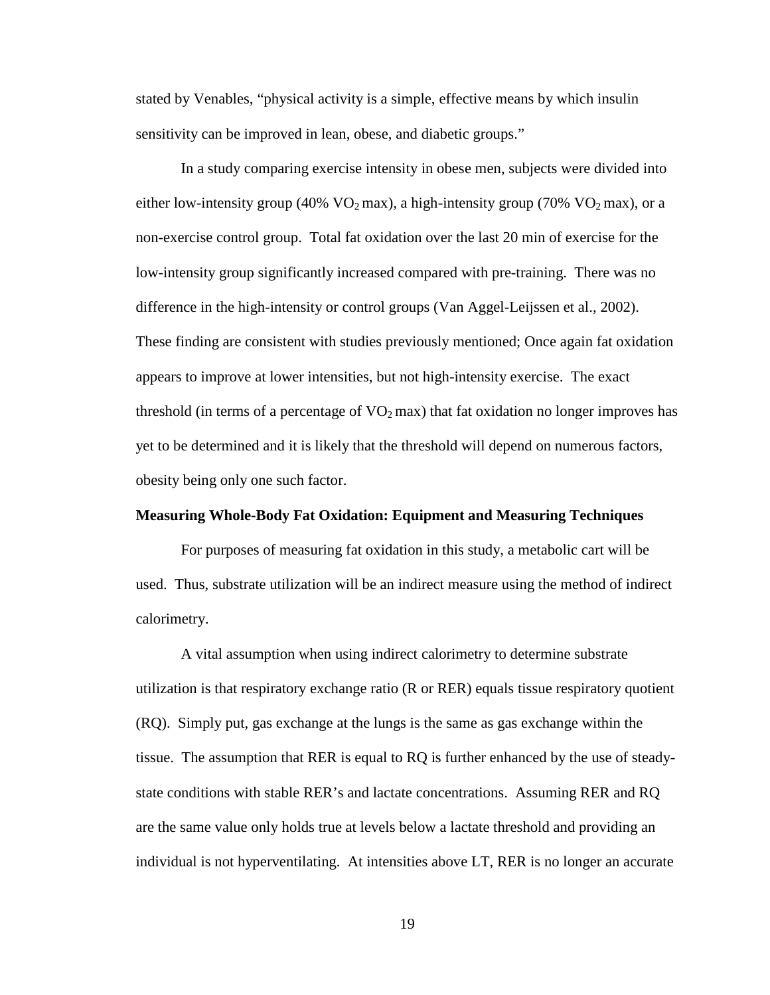stated by Venables, "physical activity is a simple, effective means by which insulin sensitivity can be improved in lean, obese, and diabetic groups."

In a study comparing exercise intensity in obese men, subjects were divided into either low-intensity group (40% VO<sub>2</sub> max), a high-intensity group (70% VO<sub>2</sub> max), or a non-exercise control group. Total fat oxidation over the last 20 min of exercise for the low-intensity group significantly increased compared with pre-training. There was no difference in the high-intensity or control groups (Van Aggel-Leijssen et al., 2002). These finding are consistent with studies previously mentioned; Once again fat oxidation appears to improve at lower intensities, but not high-intensity exercise. The exact threshold (in terms of a percentage of  $VO<sub>2</sub>$  max) that fat oxidation no longer improves has yet to be determined and it is likely that the threshold will depend on numerous factors, obesity being only one such factor.

#### **Measuring Whole-Body Fat Oxidation: Equipment and Measuring Techniques**

 For purposes of measuring fat oxidation in this study, a metabolic cart will be used. Thus, substrate utilization will be an indirect measure using the method of indirect calorimetry.

A vital assumption when using indirect calorimetry to determine substrate utilization is that respiratory exchange ratio (R or RER) equals tissue respiratory quotient (RQ). Simply put, gas exchange at the lungs is the same as gas exchange within the tissue. The assumption that RER is equal to RQ is further enhanced by the use of steadystate conditions with stable RER's and lactate concentrations. Assuming RER and RQ are the same value only holds true at levels below a lactate threshold and providing an individual is not hyperventilating. At intensities above LT, RER is no longer an accurate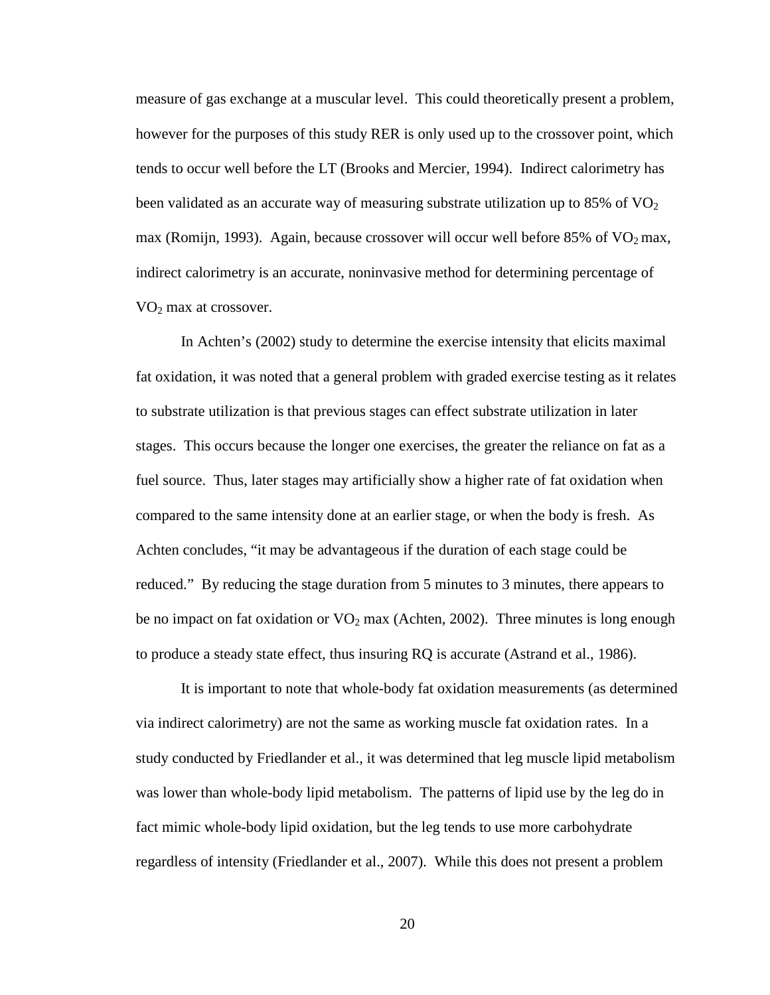measure of gas exchange at a muscular level. This could theoretically present a problem, however for the purposes of this study RER is only used up to the crossover point, which tends to occur well before the LT (Brooks and Mercier, 1994). Indirect calorimetry has been validated as an accurate way of measuring substrate utilization up to 85% of  $\rm VO_2$ max (Romijn, 1993). Again, because crossover will occur well before  $85\%$  of  $VO<sub>2</sub>$  max, indirect calorimetry is an accurate, noninvasive method for determining percentage of VO2 max at crossover.

In Achten's (2002) study to determine the exercise intensity that elicits maximal fat oxidation, it was noted that a general problem with graded exercise testing as it relates to substrate utilization is that previous stages can effect substrate utilization in later stages. This occurs because the longer one exercises, the greater the reliance on fat as a fuel source. Thus, later stages may artificially show a higher rate of fat oxidation when compared to the same intensity done at an earlier stage, or when the body is fresh. As Achten concludes, "it may be advantageous if the duration of each stage could be reduced." By reducing the stage duration from 5 minutes to 3 minutes, there appears to be no impact on fat oxidation or  $VO<sub>2</sub>$  max (Achten, 2002). Three minutes is long enough to produce a steady state effect, thus insuring RQ is accurate (Astrand et al., 1986).

It is important to note that whole-body fat oxidation measurements (as determined via indirect calorimetry) are not the same as working muscle fat oxidation rates. In a study conducted by Friedlander et al., it was determined that leg muscle lipid metabolism was lower than whole-body lipid metabolism. The patterns of lipid use by the leg do in fact mimic whole-body lipid oxidation, but the leg tends to use more carbohydrate regardless of intensity (Friedlander et al., 2007). While this does not present a problem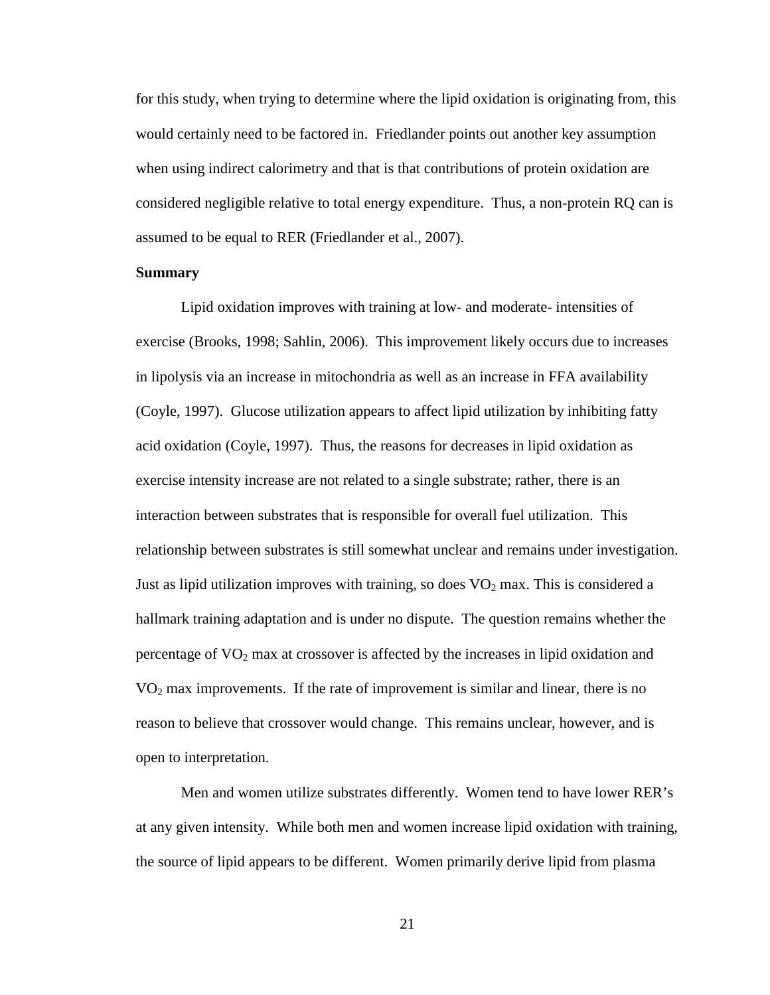for this study, when trying to determine where the lipid oxidation is originating from, this would certainly need to be factored in. Friedlander points out another key assumption when using indirect calorimetry and that is that contributions of protein oxidation are considered negligible relative to total energy expenditure. Thus, a non-protein RQ can is assumed to be equal to RER (Friedlander et al., 2007).

#### **Summary**

Lipid oxidation improves with training at low- and moderate- intensities of exercise (Brooks, 1998; Sahlin, 2006). This improvement likely occurs due to increases in lipolysis via an increase in mitochondria as well as an increase in FFA availability (Coyle, 1997). Glucose utilization appears to affect lipid utilization by inhibiting fatty acid oxidation (Coyle, 1997). Thus, the reasons for decreases in lipid oxidation as exercise intensity increase are not related to a single substrate; rather, there is an interaction between substrates that is responsible for overall fuel utilization. This relationship between substrates is still somewhat unclear and remains under investigation. Just as lipid utilization improves with training, so does  $VO<sub>2</sub>$  max. This is considered a hallmark training adaptation and is under no dispute. The question remains whether the percentage of  $VO<sub>2</sub>$  max at crossover is affected by the increases in lipid oxidation and VO2 max improvements. If the rate of improvement is similar and linear, there is no reason to believe that crossover would change. This remains unclear, however, and is open to interpretation.

Men and women utilize substrates differently. Women tend to have lower RER's at any given intensity. While both men and women increase lipid oxidation with training, the source of lipid appears to be different. Women primarily derive lipid from plasma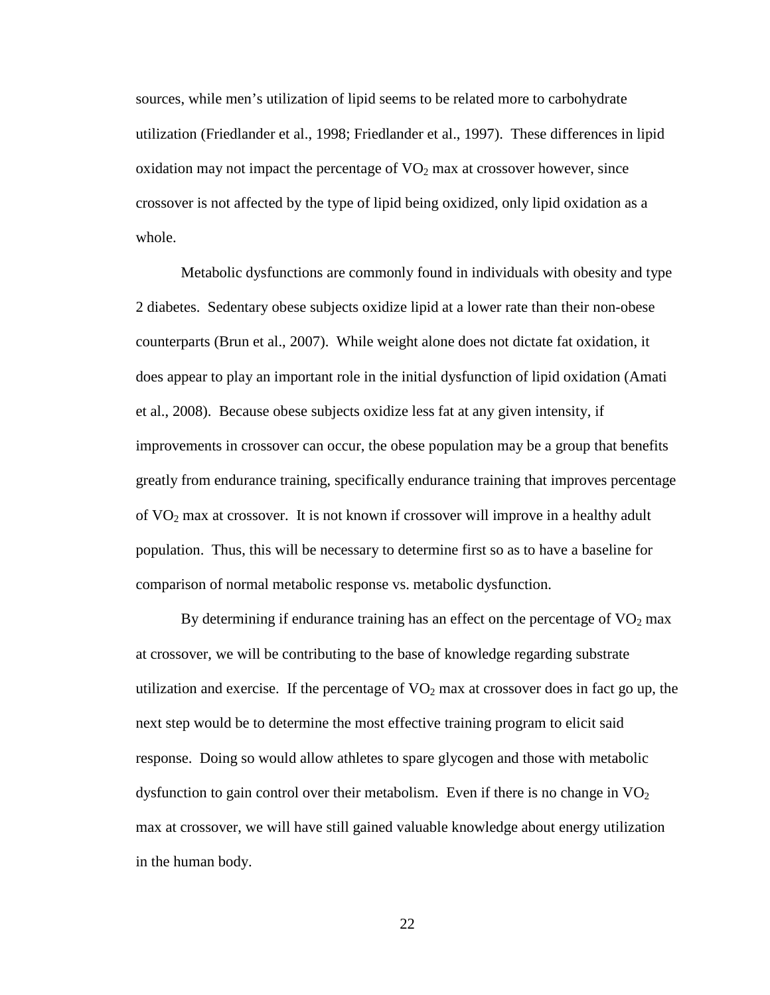sources, while men's utilization of lipid seems to be related more to carbohydrate utilization (Friedlander et al., 1998; Friedlander et al., 1997). These differences in lipid oxidation may not impact the percentage of  $VO<sub>2</sub>$  max at crossover however, since crossover is not affected by the type of lipid being oxidized, only lipid oxidation as a whole.

 Metabolic dysfunctions are commonly found in individuals with obesity and type 2 diabetes. Sedentary obese subjects oxidize lipid at a lower rate than their non-obese counterparts (Brun et al., 2007). While weight alone does not dictate fat oxidation, it does appear to play an important role in the initial dysfunction of lipid oxidation (Amati et al., 2008). Because obese subjects oxidize less fat at any given intensity, if improvements in crossover can occur, the obese population may be a group that benefits greatly from endurance training, specifically endurance training that improves percentage of VO2 max at crossover. It is not known if crossover will improve in a healthy adult population. Thus, this will be necessary to determine first so as to have a baseline for comparison of normal metabolic response vs. metabolic dysfunction.

By determining if endurance training has an effect on the percentage of  $\rm VO_2$  max at crossover, we will be contributing to the base of knowledge regarding substrate utilization and exercise. If the percentage of  $VO<sub>2</sub>$  max at crossover does in fact go up, the next step would be to determine the most effective training program to elicit said response. Doing so would allow athletes to spare glycogen and those with metabolic dysfunction to gain control over their metabolism. Even if there is no change in  $VO<sub>2</sub>$ max at crossover, we will have still gained valuable knowledge about energy utilization in the human body.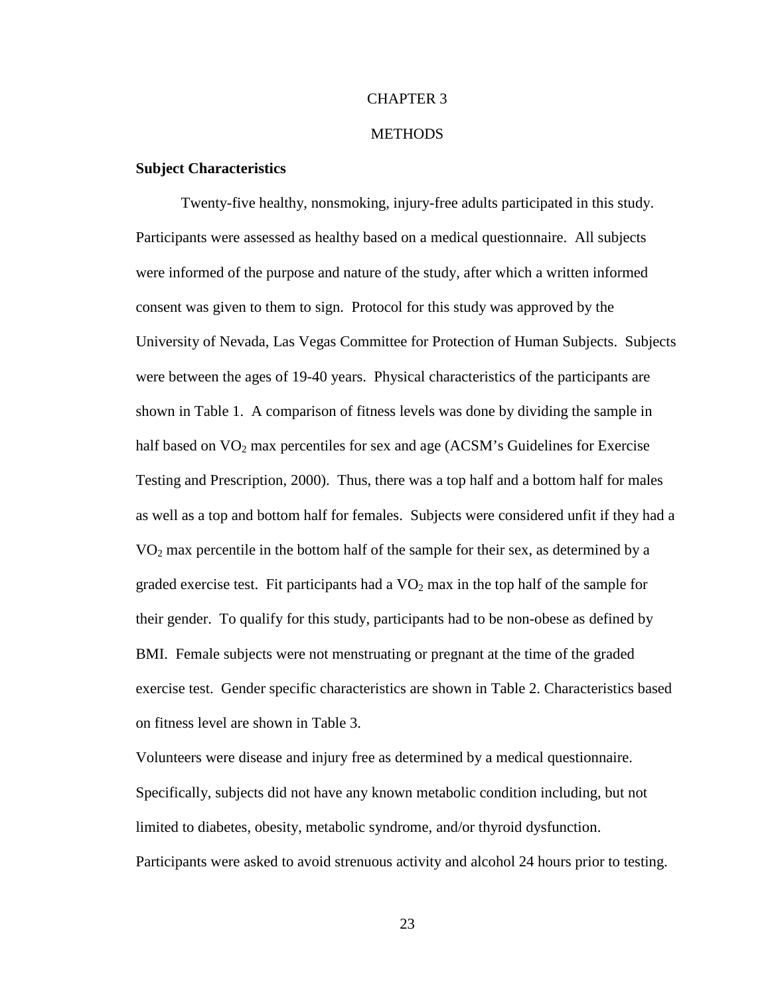#### CHAPTER 3

#### **METHODS**

#### **Subject Characteristics**

Twenty-five healthy, nonsmoking, injury-free adults participated in this study. Participants were assessed as healthy based on a medical questionnaire. All subjects were informed of the purpose and nature of the study, after which a written informed consent was given to them to sign. Protocol for this study was approved by the University of Nevada, Las Vegas Committee for Protection of Human Subjects. Subjects were between the ages of 19-40 years. Physical characteristics of the participants are shown in Table 1. A comparison of fitness levels was done by dividing the sample in half based on  $VO<sub>2</sub>$  max percentiles for sex and age (ACSM's Guidelines for Exercise Testing and Prescription, 2000). Thus, there was a top half and a bottom half for males as well as a top and bottom half for females. Subjects were considered unfit if they had a  $VO<sub>2</sub>$  max percentile in the bottom half of the sample for their sex, as determined by a graded exercise test. Fit participants had a  $VO<sub>2</sub>$  max in the top half of the sample for their gender. To qualify for this study, participants had to be non-obese as defined by BMI. Female subjects were not menstruating or pregnant at the time of the graded exercise test. Gender specific characteristics are shown in Table 2. Characteristics based on fitness level are shown in Table 3.

Volunteers were disease and injury free as determined by a medical questionnaire. Specifically, subjects did not have any known metabolic condition including, but not limited to diabetes, obesity, metabolic syndrome, and/or thyroid dysfunction. Participants were asked to avoid strenuous activity and alcohol 24 hours prior to testing.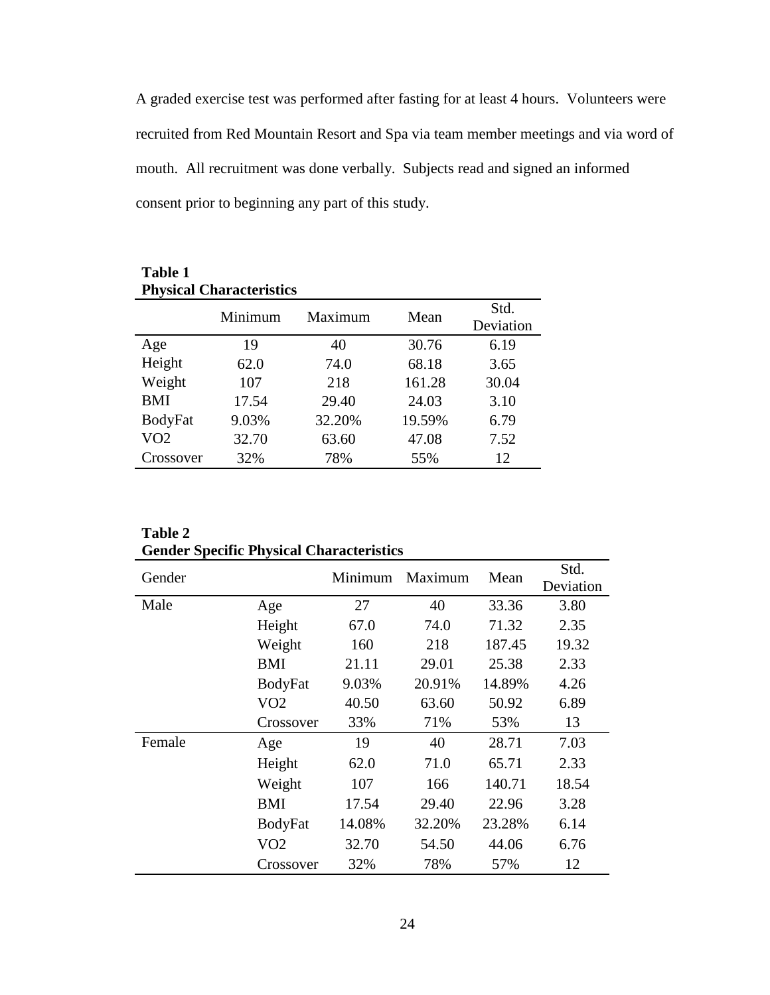A graded exercise test was performed after fasting for at least 4 hours. Volunteers were recruited from Red Mountain Resort and Spa via team member meetings and via word of mouth. All recruitment was done verbally. Subjects read and signed an informed consent prior to beginning any part of this study.

| <b>Table 1</b><br><b>Physical Characteristics</b> |         |         |        |                   |  |  |  |
|---------------------------------------------------|---------|---------|--------|-------------------|--|--|--|
|                                                   | Minimum | Maximum | Mean   | Std.<br>Deviation |  |  |  |
| Age                                               | 19      | 40      | 30.76  | 6.19              |  |  |  |
| Height                                            | 62.0    | 74.0    | 68.18  | 3.65              |  |  |  |
| Weight                                            | 107     | 218     | 161.28 | 30.04             |  |  |  |
| <b>BMI</b>                                        | 17.54   | 29.40   | 24.03  | 3.10              |  |  |  |
| <b>BodyFat</b>                                    | 9.03%   | 32.20%  | 19.59% | 6.79              |  |  |  |
| VO2                                               | 32.70   | 63.60   | 47.08  | 7.52              |  |  |  |
| Crossover                                         | 32%     | 78%     | 55%    | 12                |  |  |  |

| <b>Table 2</b>                                  |
|-------------------------------------------------|
| <b>Gender Specific Physical Characteristics</b> |

| Gender |                | Minimum | Maximum | Mean   | Std.<br>Deviation |
|--------|----------------|---------|---------|--------|-------------------|
|        |                |         |         |        |                   |
| Male   | Age            | 27      | 40      | 33.36  | 3.80              |
|        | Height         | 67.0    | 74.0    | 71.32  | 2.35              |
|        | Weight         | 160     | 218     | 187.45 | 19.32             |
|        | <b>BMI</b>     | 21.11   | 29.01   | 25.38  | 2.33              |
|        | <b>BodyFat</b> | 9.03%   | 20.91%  | 14.89% | 4.26              |
|        | VO2            | 40.50   | 63.60   | 50.92  | 6.89              |
|        | Crossover      | 33%     | 71%     | 53%    | 13                |
| Female | Age            | 19      | 40      | 28.71  | 7.03              |
|        | Height         | 62.0    | 71.0    | 65.71  | 2.33              |
|        | Weight         | 107     | 166     | 140.71 | 18.54             |
|        | <b>BMI</b>     | 17.54   | 29.40   | 22.96  | 3.28              |
|        | <b>BodyFat</b> | 14.08%  | 32.20%  | 23.28% | 6.14              |
|        | VO2            | 32.70   | 54.50   | 44.06  | 6.76              |
|        | Crossover      | 32%     | 78%     | 57%    | 12                |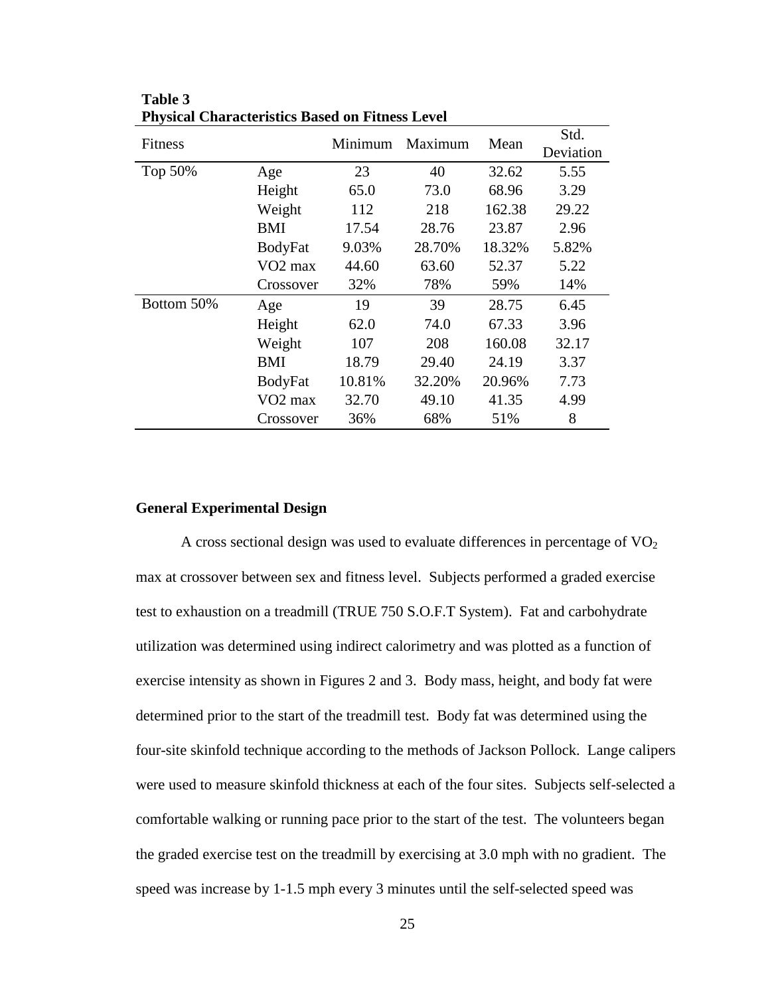| Fitness    |                     | Minimum | Maximum | Mean   | Std.<br>Deviation |
|------------|---------------------|---------|---------|--------|-------------------|
| Top 50%    | Age                 | 23      | 40      | 32.62  | 5.55              |
|            | Height              | 65.0    | 73.0    | 68.96  | 3.29              |
|            | Weight              | 112     | 218     | 162.38 | 29.22             |
|            | <b>BMI</b>          | 17.54   | 28.76   | 23.87  | 2.96              |
|            | <b>BodyFat</b>      | 9.03%   | 28.70%  | 18.32% | 5.82%             |
|            | VO <sub>2</sub> max | 44.60   | 63.60   | 52.37  | 5.22              |
|            | Crossover           | 32%     | 78%     | 59%    | 14%               |
| Bottom 50% | Age                 | 19      | 39      | 28.75  | 6.45              |
|            | Height              | 62.0    | 74.0    | 67.33  | 3.96              |
|            | Weight              | 107     | 208     | 160.08 | 32.17             |
|            | BMI                 | 18.79   | 29.40   | 24.19  | 3.37              |
|            | <b>BodyFat</b>      | 10.81%  | 32.20%  | 20.96% | 7.73              |
|            | VO <sub>2</sub> max | 32.70   | 49.10   | 41.35  | 4.99              |
|            | Crossover           | 36%     | 68%     | 51%    | 8                 |

**Table 3 Physical Characteristics Based on Fitness Level** 

#### **General Experimental Design**

A cross sectional design was used to evaluate differences in percentage of  $VO<sub>2</sub>$ max at crossover between sex and fitness level. Subjects performed a graded exercise test to exhaustion on a treadmill (TRUE 750 S.O.F.T System). Fat and carbohydrate utilization was determined using indirect calorimetry and was plotted as a function of exercise intensity as shown in Figures 2 and 3. Body mass, height, and body fat were determined prior to the start of the treadmill test. Body fat was determined using the four-site skinfold technique according to the methods of Jackson Pollock. Lange calipers were used to measure skinfold thickness at each of the four sites. Subjects self-selected a comfortable walking or running pace prior to the start of the test. The volunteers began the graded exercise test on the treadmill by exercising at 3.0 mph with no gradient. The speed was increase by 1-1.5 mph every 3 minutes until the self-selected speed was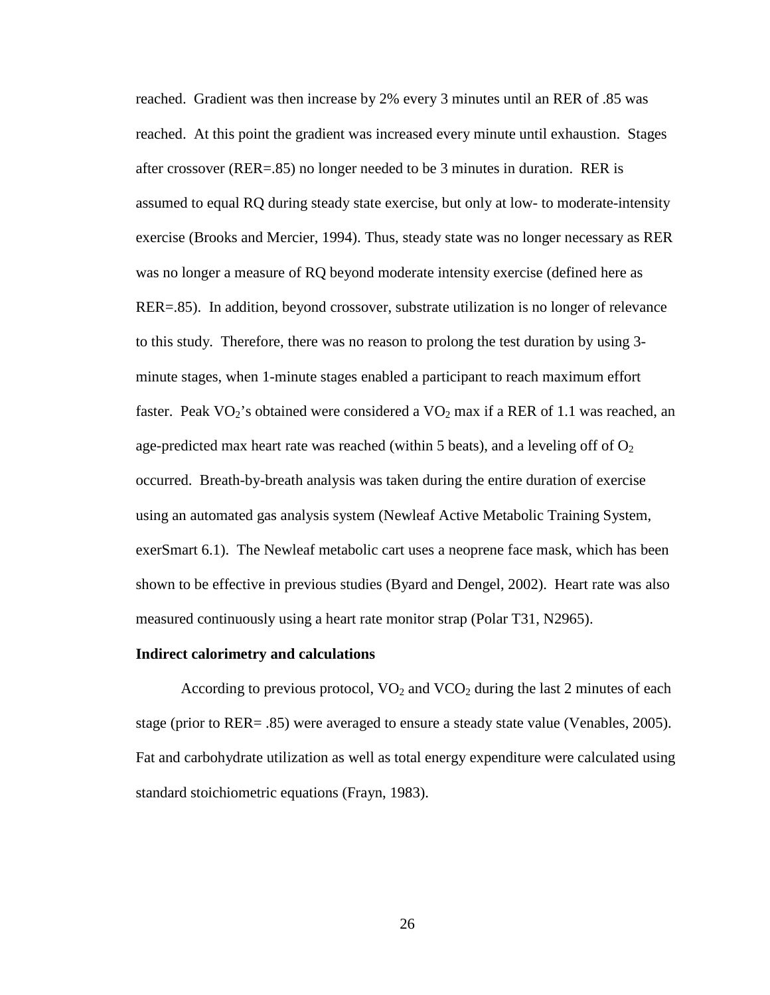reached. Gradient was then increase by 2% every 3 minutes until an RER of .85 was reached. At this point the gradient was increased every minute until exhaustion. Stages after crossover (RER=.85) no longer needed to be 3 minutes in duration. RER is assumed to equal RQ during steady state exercise, but only at low- to moderate-intensity exercise (Brooks and Mercier, 1994). Thus, steady state was no longer necessary as RER was no longer a measure of RQ beyond moderate intensity exercise (defined here as RER=.85). In addition, beyond crossover, substrate utilization is no longer of relevance to this study. Therefore, there was no reason to prolong the test duration by using 3 minute stages, when 1-minute stages enabled a participant to reach maximum effort faster. Peak  $VO_2$ 's obtained were considered a  $VO_2$  max if a RER of 1.1 was reached, an age-predicted max heart rate was reached (within 5 beats), and a leveling off of  $O<sub>2</sub>$ occurred. Breath-by-breath analysis was taken during the entire duration of exercise using an automated gas analysis system (Newleaf Active Metabolic Training System, exerSmart 6.1). The Newleaf metabolic cart uses a neoprene face mask, which has been shown to be effective in previous studies (Byard and Dengel, 2002). Heart rate was also measured continuously using a heart rate monitor strap (Polar T31, N2965).

#### **Indirect calorimetry and calculations**

According to previous protocol,  $VO<sub>2</sub>$  and  $VCO<sub>2</sub>$  during the last 2 minutes of each stage (prior to RER= .85) were averaged to ensure a steady state value (Venables, 2005). Fat and carbohydrate utilization as well as total energy expenditure were calculated using standard stoichiometric equations (Frayn, 1983).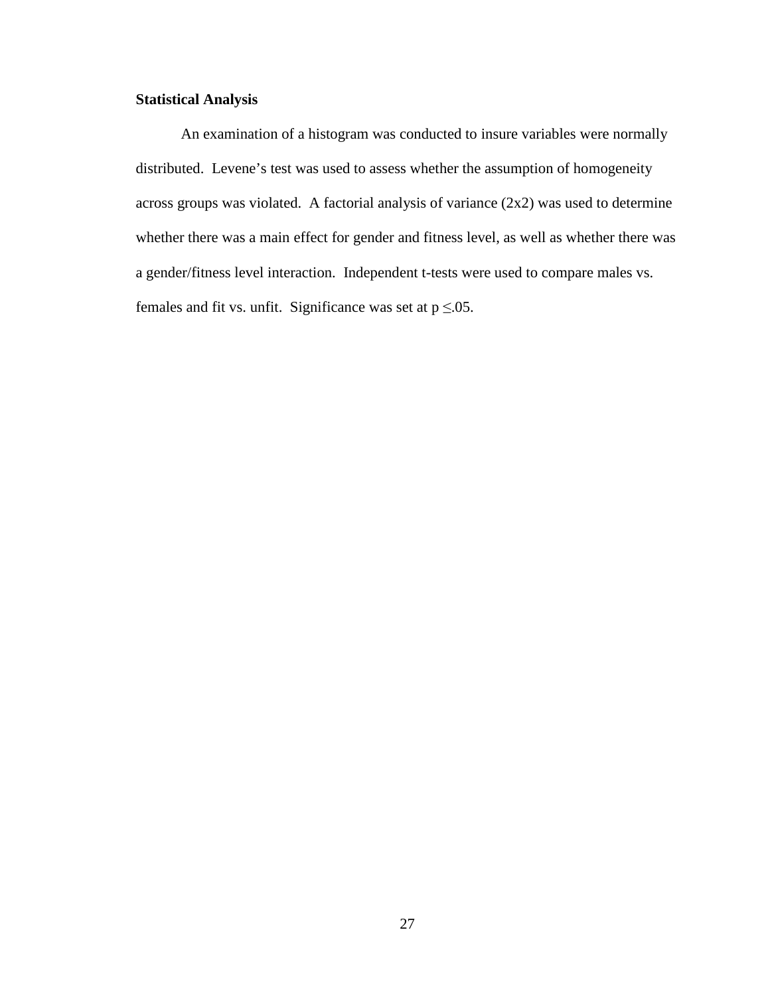# **Statistical Analysis**

An examination of a histogram was conducted to insure variables were normally distributed. Levene's test was used to assess whether the assumption of homogeneity across groups was violated. A factorial analysis of variance (2x2) was used to determine whether there was a main effect for gender and fitness level, as well as whether there was a gender/fitness level interaction. Independent t-tests were used to compare males vs. females and fit vs. unfit. Significance was set at  $p \le 0.05$ .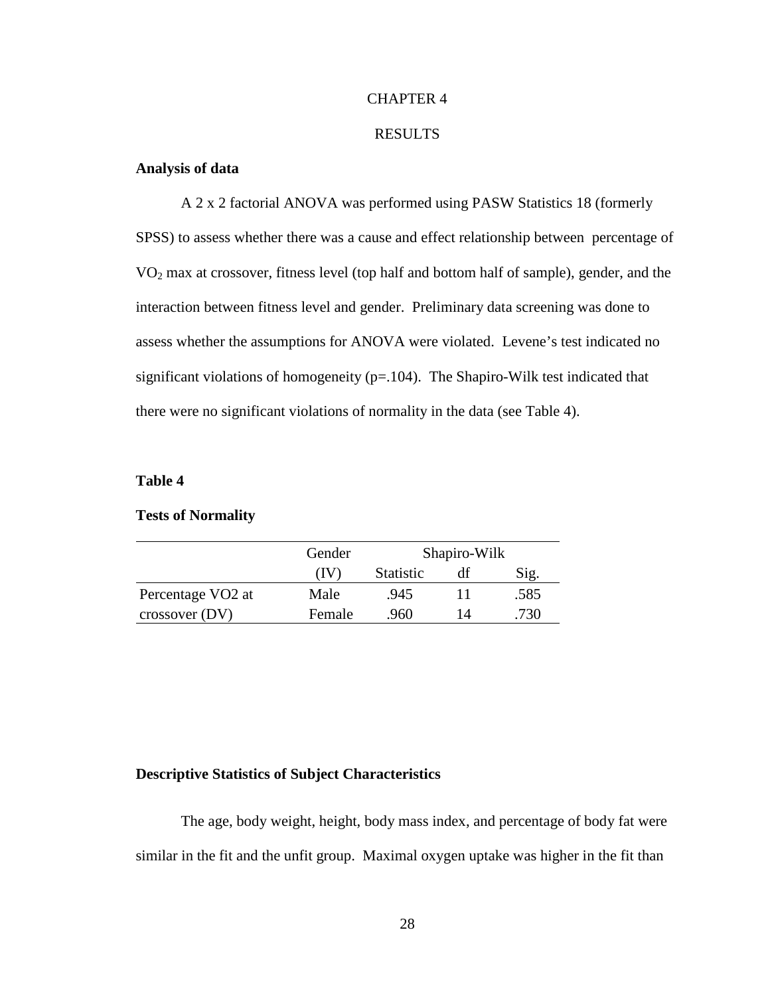#### CHAPTER 4

#### RESULTS

# **Analysis of data**

 A 2 x 2 factorial ANOVA was performed using PASW Statistics 18 (formerly SPSS) to assess whether there was a cause and effect relationship between percentage of VO2 max at crossover, fitness level (top half and bottom half of sample), gender, and the interaction between fitness level and gender. Preliminary data screening was done to assess whether the assumptions for ANOVA were violated. Levene's test indicated no significant violations of homogeneity  $(p=104)$ . The Shapiro-Wilk test indicated that there were no significant violations of normality in the data (see Table 4).

#### **Table 4**

#### **Tests of Normality**

|                               | Gender | Shapiro-Wilk      |    |      |
|-------------------------------|--------|-------------------|----|------|
|                               | IV.    | Statistic<br>Sig. |    |      |
| Percentage VO <sub>2</sub> at | Male   | .945              |    | .585 |
| $\cos$ sover (DV)             | Female | .960              | 14 | .730 |

#### **Descriptive Statistics of Subject Characteristics**

The age, body weight, height, body mass index, and percentage of body fat were similar in the fit and the unfit group. Maximal oxygen uptake was higher in the fit than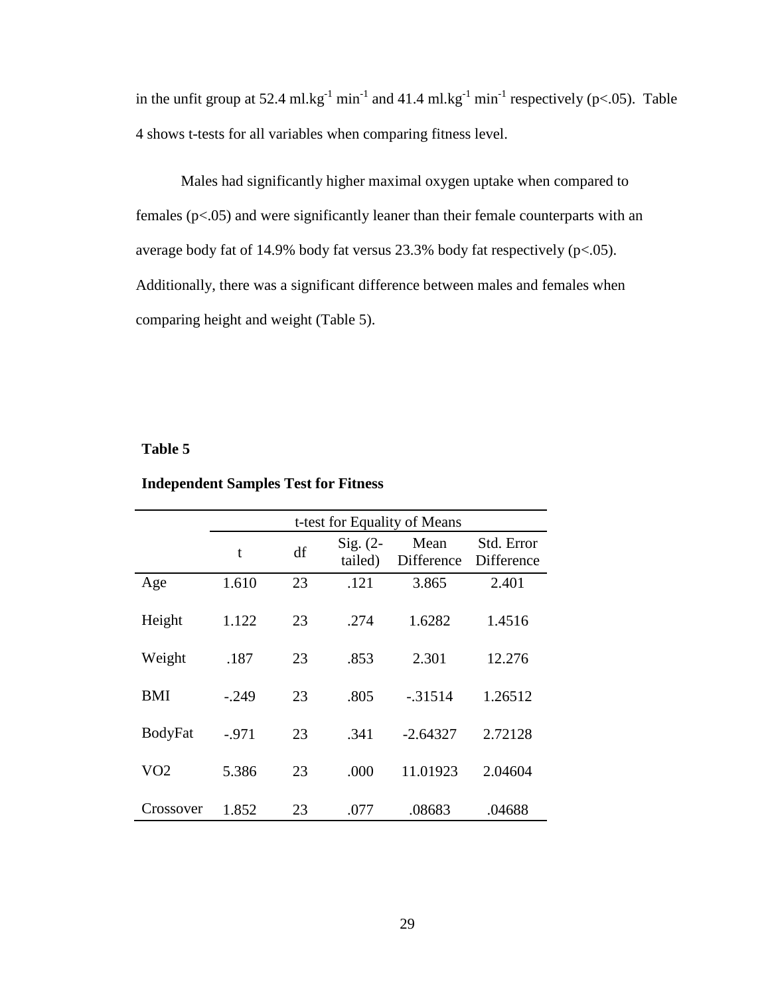in the unfit group at 52.4 ml.kg<sup>-1</sup> min<sup>-1</sup> and 41.4 ml.kg<sup>-1</sup> min<sup>-1</sup> respectively (p<.05). Table 4 shows t-tests for all variables when comparing fitness level.

Males had significantly higher maximal oxygen uptake when compared to females (p<.05) and were significantly leaner than their female counterparts with an average body fat of 14.9% body fat versus 23.3% body fat respectively (p<.05). Additionally, there was a significant difference between males and females when comparing height and weight (Table 5).

#### **Table 5**

| <b>Independent Samples Test for Fitness</b> |  |  |
|---------------------------------------------|--|--|
|---------------------------------------------|--|--|

|                | t-test for Equality of Means |    |                       |                    |                          |
|----------------|------------------------------|----|-----------------------|--------------------|--------------------------|
|                | t                            | df | $Sig. (2-$<br>tailed) | Mean<br>Difference | Std. Error<br>Difference |
| Age            | 1.610                        | 23 | .121                  | 3.865              | 2.401                    |
| Height         | 1.122                        | 23 | .274                  | 1.6282             | 1.4516                   |
| Weight         | .187                         | 23 | .853                  | 2.301              | 12.276                   |
| <b>BMI</b>     | $-.249$                      | 23 | .805                  | $-31514$           | 1.26512                  |
| <b>BodyFat</b> | $-.971$                      | 23 | .341                  | $-2.64327$         | 2.72128                  |
| VO2            | 5.386                        | 23 | .000                  | 11.01923           | 2.04604                  |
| Crossover      | 1.852                        | 23 | .077                  | .08683             | .04688                   |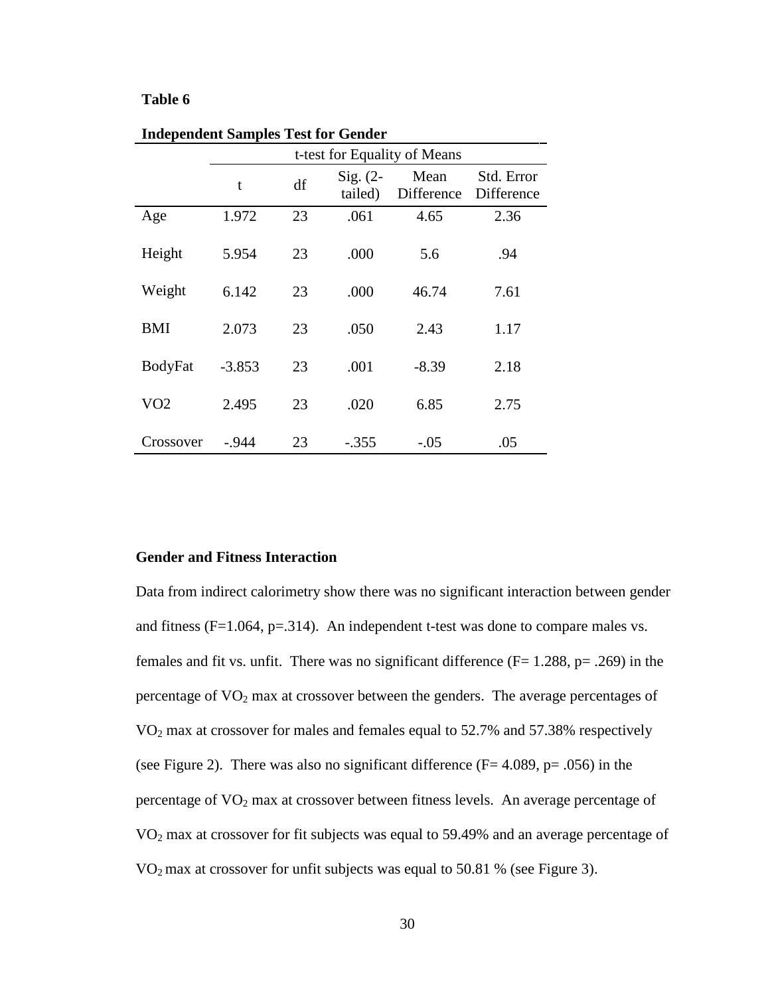#### **Table 6**

|                 | t-test for Equality of Means |    |                       |                    |                          |
|-----------------|------------------------------|----|-----------------------|--------------------|--------------------------|
|                 | t                            | df | $Sig. (2-$<br>tailed) | Mean<br>Difference | Std. Error<br>Difference |
| Age             | 1.972                        | 23 | .061                  | 4.65               | 2.36                     |
| Height          | 5.954                        | 23 | .000                  | 5.6                | .94                      |
| Weight          | 6.142                        | 23 | .000                  | 46.74              | 7.61                     |
| <b>BMI</b>      | 2.073                        | 23 | .050                  | 2.43               | 1.17                     |
| <b>BodyFat</b>  | $-3.853$                     | 23 | .001                  | $-8.39$            | 2.18                     |
| VO <sub>2</sub> | 2.495                        | 23 | .020                  | 6.85               | 2.75                     |
| Crossover       | - 944                        | 23 | $-.355$               | $-.05$             | .05                      |

**Independent Samples Test for Gender** 

#### **Gender and Fitness Interaction**

Data from indirect calorimetry show there was no significant interaction between gender and fitness  $(F=1.064, p=.314)$ . An independent t-test was done to compare males vs. females and fit vs. unfit. There was no significant difference  $(F= 1.288, p=.269)$  in the percentage of  $VO<sub>2</sub>$  max at crossover between the genders. The average percentages of VO2 max at crossover for males and females equal to 52.7% and 57.38% respectively (see Figure 2). There was also no significant difference  $(F = 4.089, p = .056)$  in the percentage of  $VO<sub>2</sub>$  max at crossover between fitness levels. An average percentage of VO2 max at crossover for fit subjects was equal to 59.49% and an average percentage of  $VO<sub>2</sub>$  max at crossover for unfit subjects was equal to 50.81 % (see Figure 3).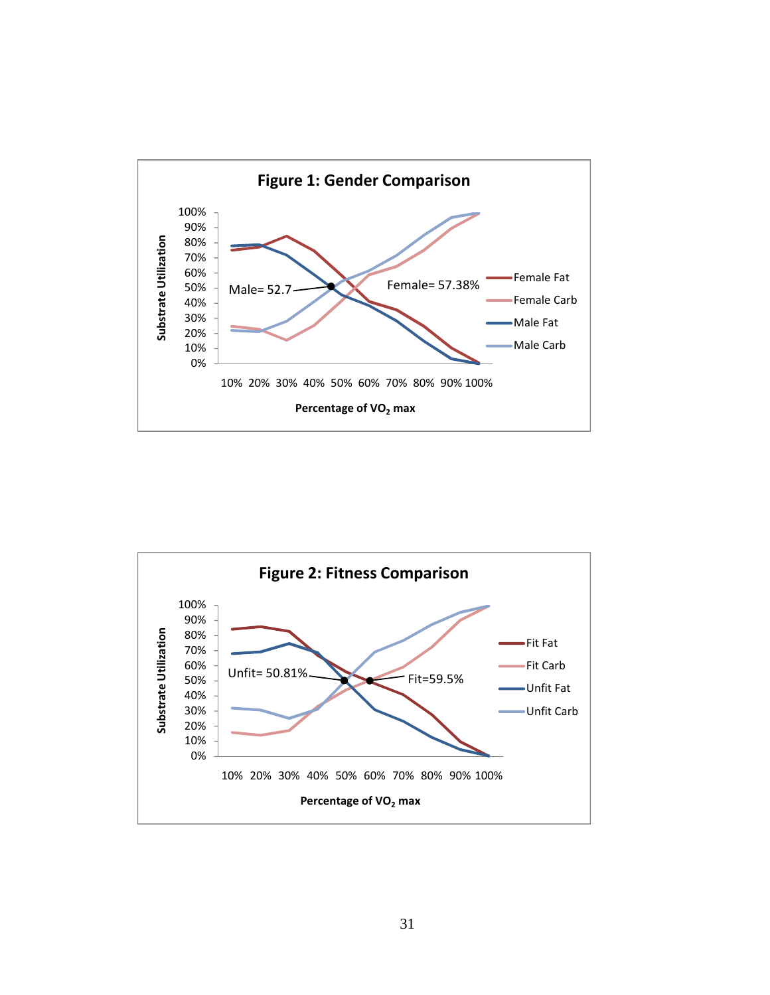

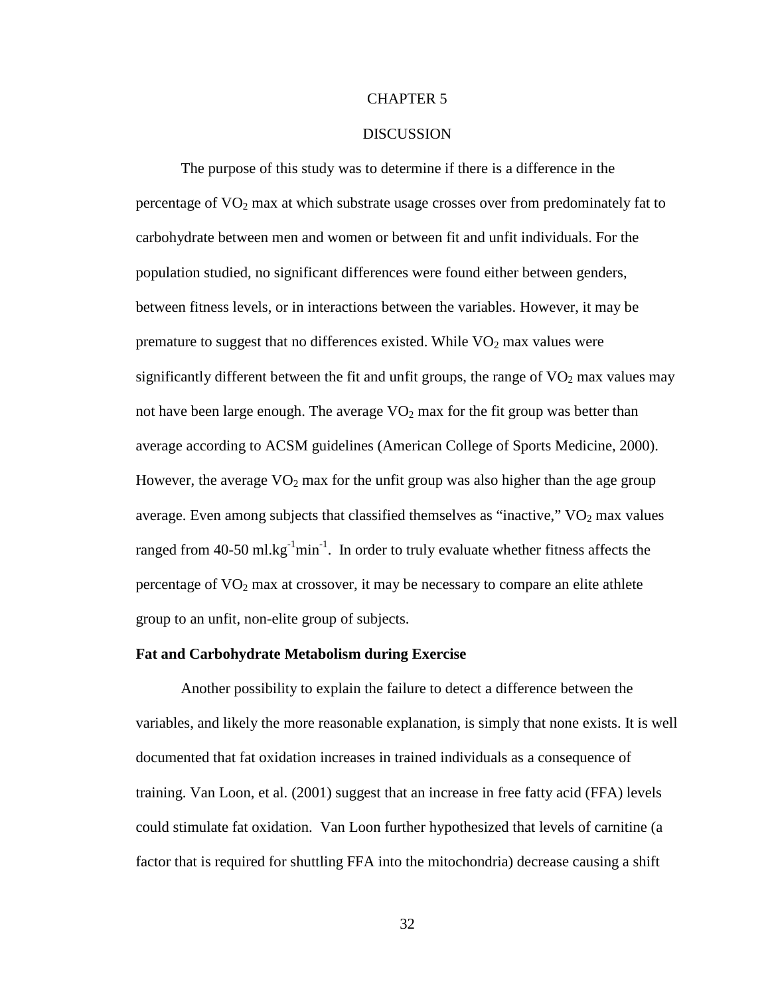#### CHAPTER 5

#### **DISCUSSION**

 The purpose of this study was to determine if there is a difference in the percentage of  $VO<sub>2</sub>$  max at which substrate usage crosses over from predominately fat to carbohydrate between men and women or between fit and unfit individuals. For the population studied, no significant differences were found either between genders, between fitness levels, or in interactions between the variables. However, it may be premature to suggest that no differences existed. While  $VO<sub>2</sub>$  max values were significantly different between the fit and unfit groups, the range of  $VO<sub>2</sub>$  max values may not have been large enough. The average  $VO<sub>2</sub>$  max for the fit group was better than average according to ACSM guidelines (American College of Sports Medicine, 2000). However, the average  $VO<sub>2</sub>$  max for the unfit group was also higher than the age group average. Even among subjects that classified themselves as "inactive,"  $VO<sub>2</sub>$  max values ranged from 40-50 ml.kg<sup>-1</sup>min<sup>-1</sup>. In order to truly evaluate whether fitness affects the percentage of  $VO<sub>2</sub>$  max at crossover, it may be necessary to compare an elite athlete group to an unfit, non-elite group of subjects.

#### **Fat and Carbohydrate Metabolism during Exercise**

 Another possibility to explain the failure to detect a difference between the variables, and likely the more reasonable explanation, is simply that none exists. It is well documented that fat oxidation increases in trained individuals as a consequence of training. Van Loon, et al. (2001) suggest that an increase in free fatty acid (FFA) levels could stimulate fat oxidation. Van Loon further hypothesized that levels of carnitine (a factor that is required for shuttling FFA into the mitochondria) decrease causing a shift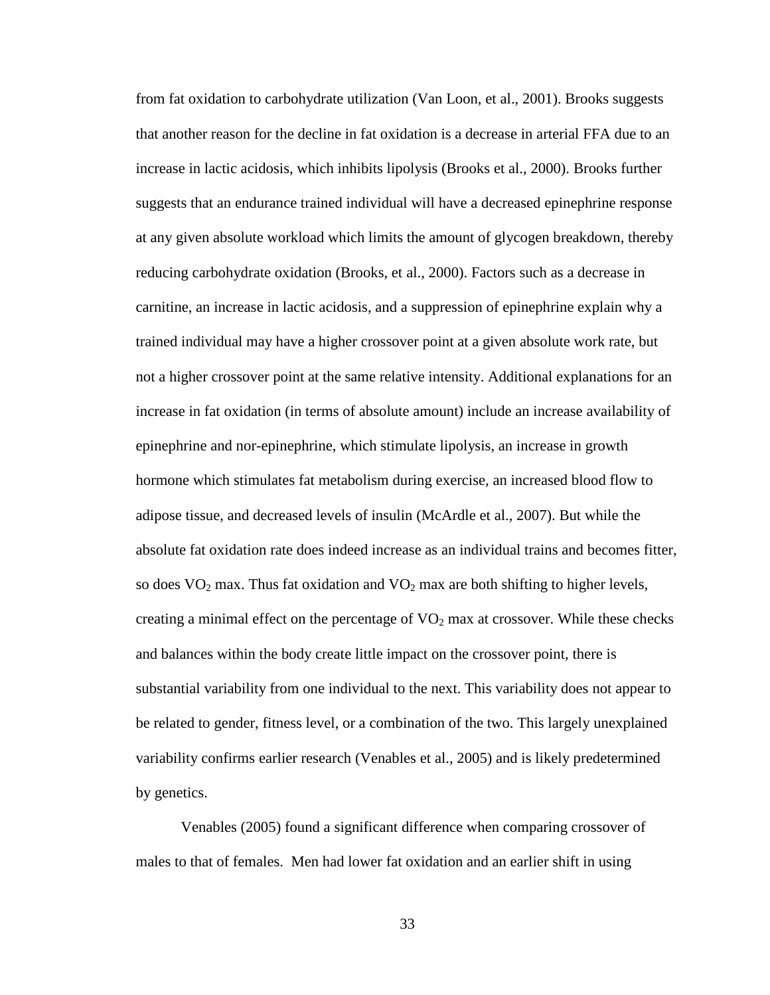from fat oxidation to carbohydrate utilization (Van Loon, et al., 2001). Brooks suggests that another reason for the decline in fat oxidation is a decrease in arterial FFA due to an increase in lactic acidosis, which inhibits lipolysis (Brooks et al., 2000). Brooks further suggests that an endurance trained individual will have a decreased epinephrine response at any given absolute workload which limits the amount of glycogen breakdown, thereby reducing carbohydrate oxidation (Brooks, et al., 2000). Factors such as a decrease in carnitine, an increase in lactic acidosis, and a suppression of epinephrine explain why a trained individual may have a higher crossover point at a given absolute work rate, but not a higher crossover point at the same relative intensity. Additional explanations for an increase in fat oxidation (in terms of absolute amount) include an increase availability of epinephrine and nor-epinephrine, which stimulate lipolysis, an increase in growth hormone which stimulates fat metabolism during exercise, an increased blood flow to adipose tissue, and decreased levels of insulin (McArdle et al., 2007). But while the absolute fat oxidation rate does indeed increase as an individual trains and becomes fitter, so does  $VO<sub>2</sub>$  max. Thus fat oxidation and  $VO<sub>2</sub>$  max are both shifting to higher levels, creating a minimal effect on the percentage of  $VO<sub>2</sub>$  max at crossover. While these checks and balances within the body create little impact on the crossover point, there is substantial variability from one individual to the next. This variability does not appear to be related to gender, fitness level, or a combination of the two. This largely unexplained variability confirms earlier research (Venables et al., 2005) and is likely predetermined by genetics.

Venables (2005) found a significant difference when comparing crossover of males to that of females. Men had lower fat oxidation and an earlier shift in using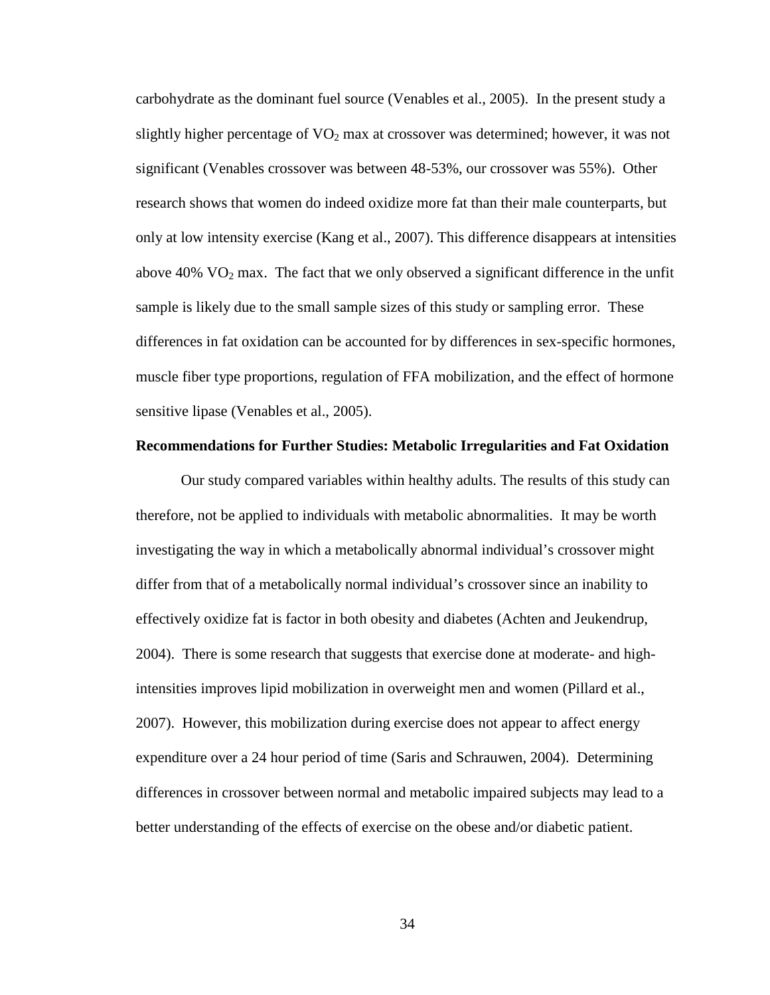carbohydrate as the dominant fuel source (Venables et al., 2005). In the present study a slightly higher percentage of  $VO<sub>2</sub>$  max at crossover was determined; however, it was not significant (Venables crossover was between 48-53%, our crossover was 55%). Other research shows that women do indeed oxidize more fat than their male counterparts, but only at low intensity exercise (Kang et al., 2007). This difference disappears at intensities above  $40\%$  VO<sub>2</sub> max. The fact that we only observed a significant difference in the unfit sample is likely due to the small sample sizes of this study or sampling error. These differences in fat oxidation can be accounted for by differences in sex-specific hormones, muscle fiber type proportions, regulation of FFA mobilization, and the effect of hormone sensitive lipase (Venables et al., 2005).

#### **Recommendations for Further Studies: Metabolic Irregularities and Fat Oxidation**

Our study compared variables within healthy adults. The results of this study can therefore, not be applied to individuals with metabolic abnormalities. It may be worth investigating the way in which a metabolically abnormal individual's crossover might differ from that of a metabolically normal individual's crossover since an inability to effectively oxidize fat is factor in both obesity and diabetes (Achten and Jeukendrup, 2004). There is some research that suggests that exercise done at moderate- and highintensities improves lipid mobilization in overweight men and women (Pillard et al., 2007). However, this mobilization during exercise does not appear to affect energy expenditure over a 24 hour period of time (Saris and Schrauwen, 2004). Determining differences in crossover between normal and metabolic impaired subjects may lead to a better understanding of the effects of exercise on the obese and/or diabetic patient.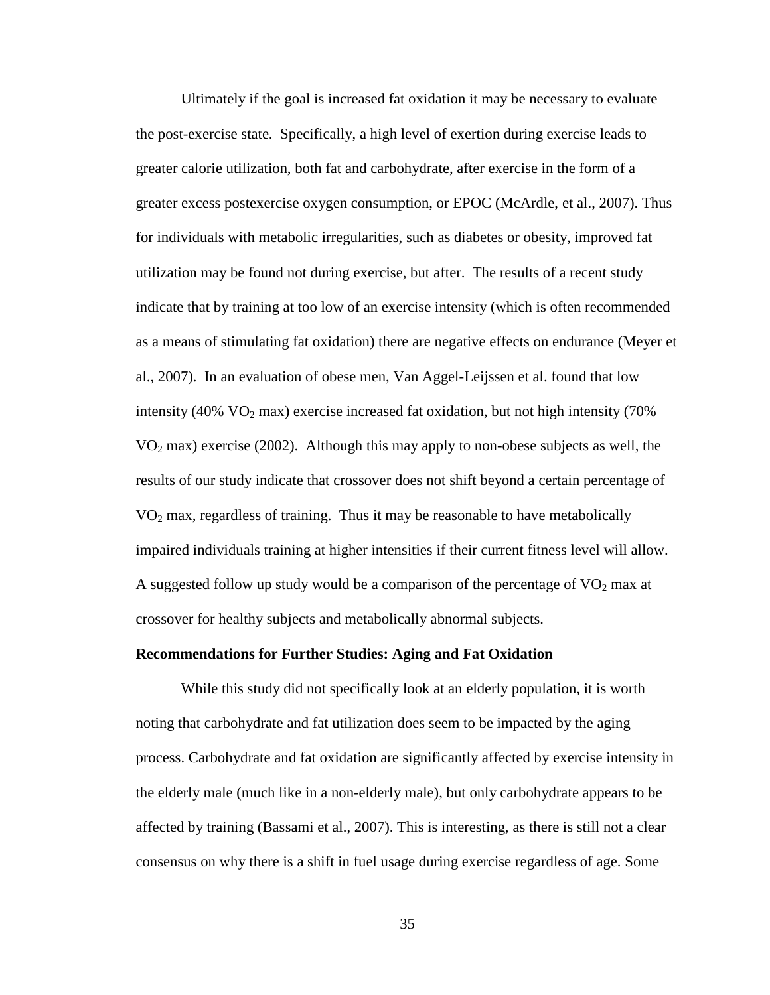Ultimately if the goal is increased fat oxidation it may be necessary to evaluate the post-exercise state. Specifically, a high level of exertion during exercise leads to greater calorie utilization, both fat and carbohydrate, after exercise in the form of a greater excess postexercise oxygen consumption, or EPOC (McArdle, et al., 2007). Thus for individuals with metabolic irregularities, such as diabetes or obesity, improved fat utilization may be found not during exercise, but after. The results of a recent study indicate that by training at too low of an exercise intensity (which is often recommended as a means of stimulating fat oxidation) there are negative effects on endurance (Meyer et al., 2007). In an evaluation of obese men, Van Aggel-Leijssen et al. found that low intensity (40%  $VO<sub>2</sub>$  max) exercise increased fat oxidation, but not high intensity (70%)  $VO<sub>2</sub>$  max) exercise (2002). Although this may apply to non-obese subjects as well, the results of our study indicate that crossover does not shift beyond a certain percentage of  $VO<sub>2</sub>$  max, regardless of training. Thus it may be reasonable to have metabolically impaired individuals training at higher intensities if their current fitness level will allow. A suggested follow up study would be a comparison of the percentage of  $VO<sub>2</sub>$  max at crossover for healthy subjects and metabolically abnormal subjects.

#### **Recommendations for Further Studies: Aging and Fat Oxidation**

While this study did not specifically look at an elderly population, it is worth noting that carbohydrate and fat utilization does seem to be impacted by the aging process. Carbohydrate and fat oxidation are significantly affected by exercise intensity in the elderly male (much like in a non-elderly male), but only carbohydrate appears to be affected by training (Bassami et al., 2007). This is interesting, as there is still not a clear consensus on why there is a shift in fuel usage during exercise regardless of age. Some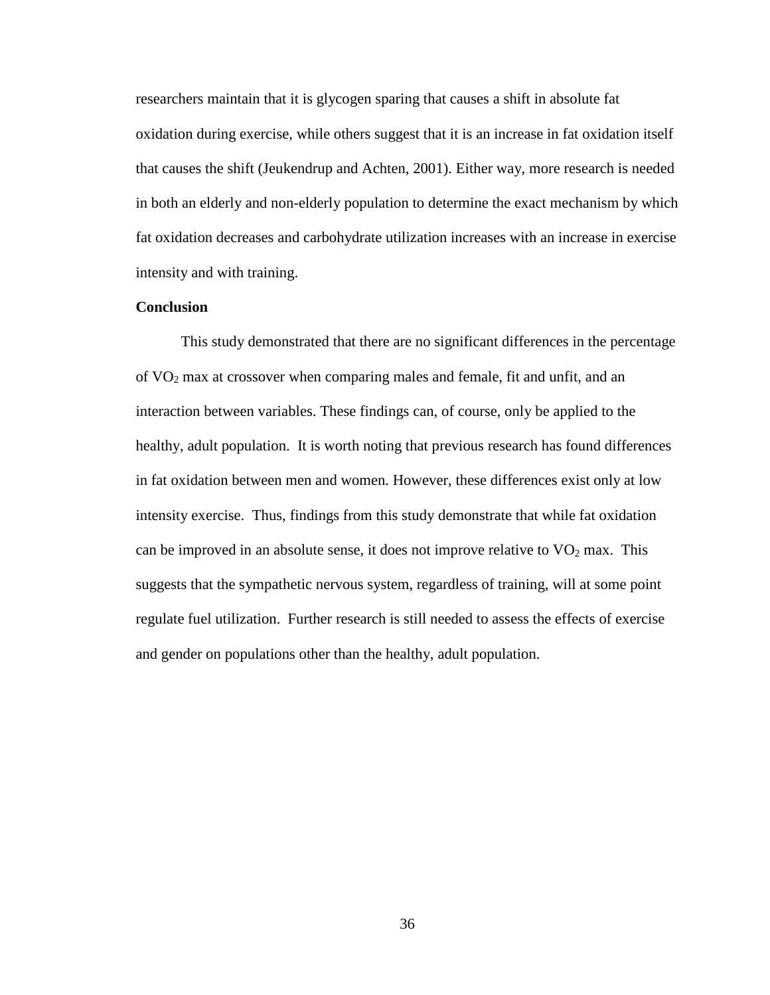researchers maintain that it is glycogen sparing that causes a shift in absolute fat oxidation during exercise, while others suggest that it is an increase in fat oxidation itself that causes the shift (Jeukendrup and Achten, 2001). Either way, more research is needed in both an elderly and non-elderly population to determine the exact mechanism by which fat oxidation decreases and carbohydrate utilization increases with an increase in exercise intensity and with training.

#### **Conclusion**

This study demonstrated that there are no significant differences in the percentage of VO2 max at crossover when comparing males and female, fit and unfit, and an interaction between variables. These findings can, of course, only be applied to the healthy, adult population. It is worth noting that previous research has found differences in fat oxidation between men and women. However, these differences exist only at low intensity exercise. Thus, findings from this study demonstrate that while fat oxidation can be improved in an absolute sense, it does not improve relative to  $VO<sub>2</sub>$  max. This suggests that the sympathetic nervous system, regardless of training, will at some point regulate fuel utilization. Further research is still needed to assess the effects of exercise and gender on populations other than the healthy, adult population.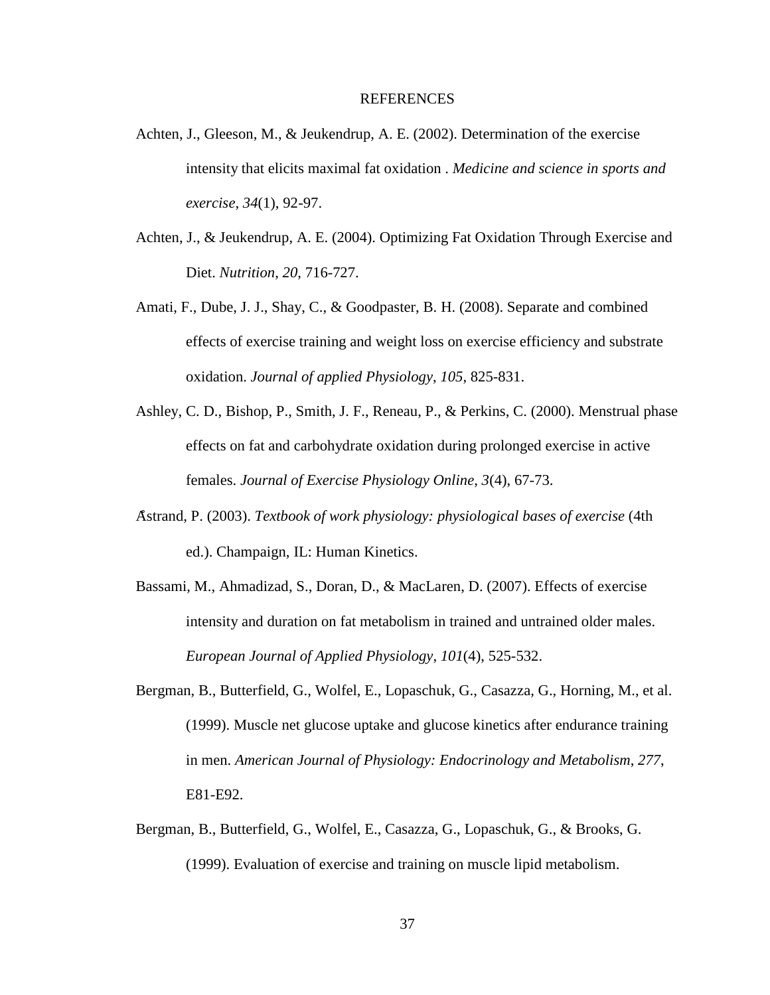#### REFERENCES

- Achten, J., Gleeson, M., & Jeukendrup, A. E. (2002). Determination of the exercise intensity that elicits maximal fat oxidation . *Medicine and science in sports and exercise*, *34*(1), 92-97.
- Achten, J., & Jeukendrup, A. E. (2004). Optimizing Fat Oxidation Through Exercise and Diet. *Nutrition*, *20*, 716-727.
- Amati, F., Dube, J. J., Shay, C., & Goodpaster, B. H. (2008). Separate and combined effects of exercise training and weight loss on exercise efficiency and substrate oxidation. *Journal of applied Physiology*, *105*, 825-831.
- Ashley, C. D., Bishop, P., Smith, J. F., Reneau, P., & Perkins, C. (2000). Menstrual phase effects on fat and carbohydrate oxidation during prolonged exercise in active females. *Journal of Exercise Physiology Online*, *3*(4), 67-73.
- Åstrand, P. (2003). *Textbook of work physiology: physiological bases of exercise* (4th ed.). Champaign, IL: Human Kinetics.
- Bassami, M., Ahmadizad, S., Doran, D., & MacLaren, D. (2007). Effects of exercise intensity and duration on fat metabolism in trained and untrained older males. *European Journal of Applied Physiology*, *101*(4), 525-532.
- Bergman, B., Butterfield, G., Wolfel, E., Lopaschuk, G., Casazza, G., Horning, M., et al. (1999). Muscle net glucose uptake and glucose kinetics after endurance training in men. *American Journal of Physiology: Endocrinology and Metabolism*, *277*, E81-E92.
- Bergman, B., Butterfield, G., Wolfel, E., Casazza, G., Lopaschuk, G., & Brooks, G. (1999). Evaluation of exercise and training on muscle lipid metabolism.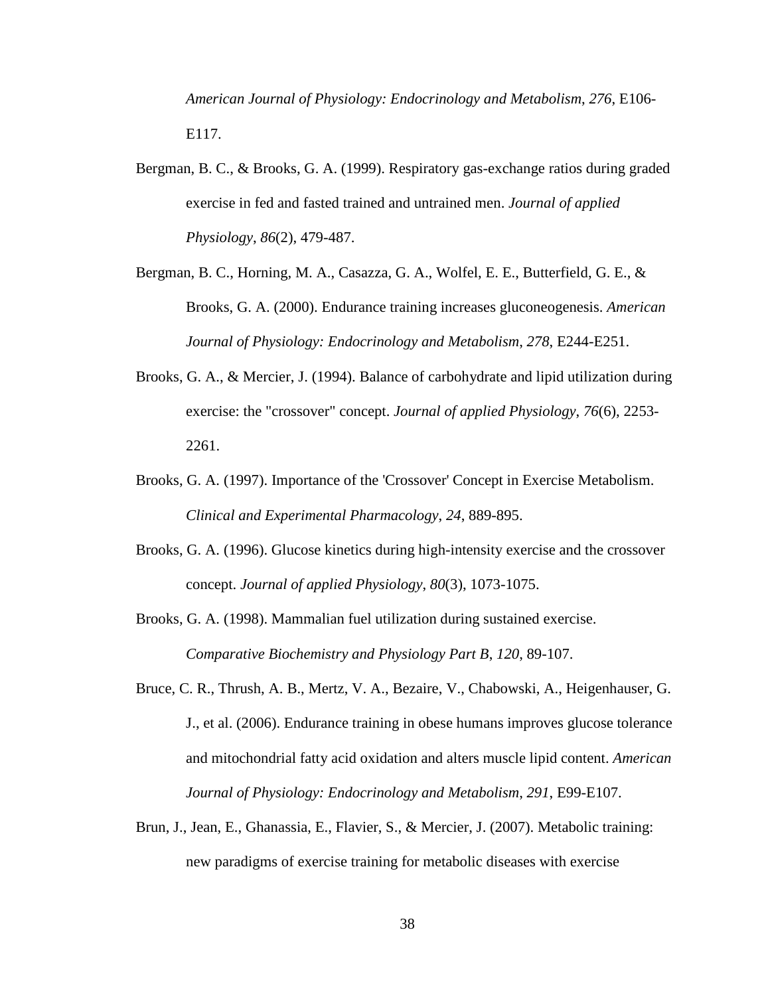*American Journal of Physiology: Endocrinology and Metabolism*, *276*, E106- E117.

- Bergman, B. C., & Brooks, G. A. (1999). Respiratory gas-exchange ratios during graded exercise in fed and fasted trained and untrained men. *Journal of applied Physiology*, *86*(2), 479-487.
- Bergman, B. C., Horning, M. A., Casazza, G. A., Wolfel, E. E., Butterfield, G. E., & Brooks, G. A. (2000). Endurance training increases gluconeogenesis. *American Journal of Physiology: Endocrinology and Metabolism*, *278*, E244-E251.
- Brooks, G. A., & Mercier, J. (1994). Balance of carbohydrate and lipid utilization during exercise: the "crossover" concept. *Journal of applied Physiology*, *76*(6), 2253- 2261.
- Brooks, G. A. (1997). Importance of the 'Crossover' Concept in Exercise Metabolism. *Clinical and Experimental Pharmacology*, *24*, 889-895.
- Brooks, G. A. (1996). Glucose kinetics during high-intensity exercise and the crossover concept. *Journal of applied Physiology*, *80*(3), 1073-1075.
- Brooks, G. A. (1998). Mammalian fuel utilization during sustained exercise. *Comparative Biochemistry and Physiology Part B*, *120*, 89-107.
- Bruce, C. R., Thrush, A. B., Mertz, V. A., Bezaire, V., Chabowski, A., Heigenhauser, G. J., et al. (2006). Endurance training in obese humans improves glucose tolerance and mitochondrial fatty acid oxidation and alters muscle lipid content. *American Journal of Physiology: Endocrinology and Metabolism*, *291*, E99-E107.
- Brun, J., Jean, E., Ghanassia, E., Flavier, S., & Mercier, J. (2007). Metabolic training: new paradigms of exercise training for metabolic diseases with exercise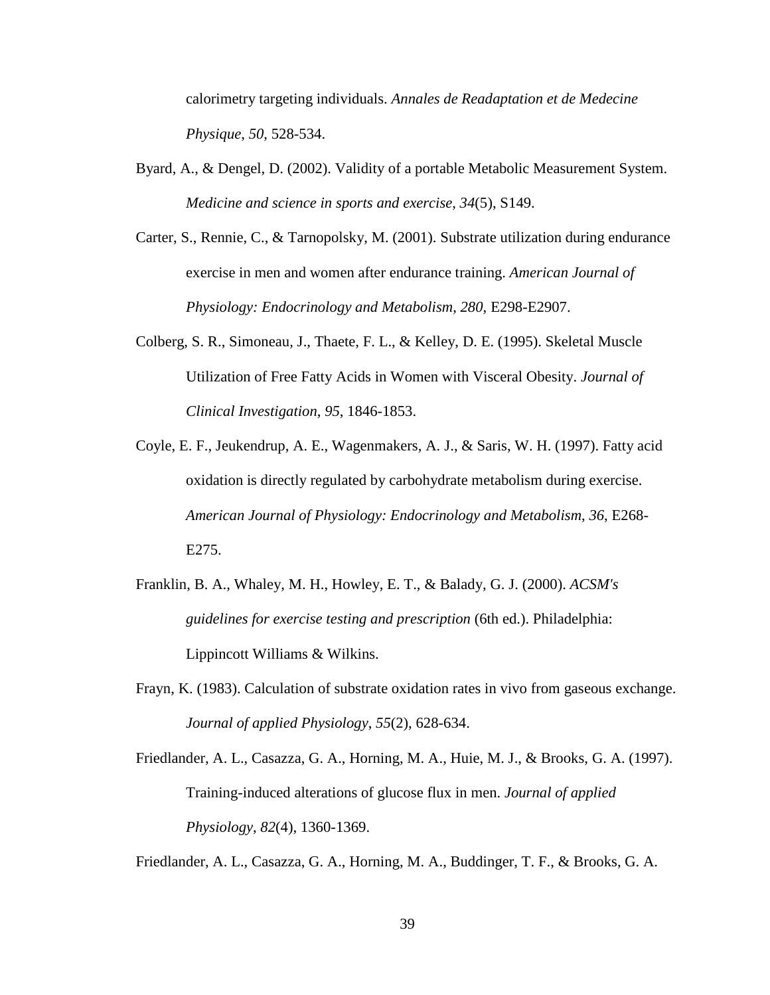calorimetry targeting individuals. *Annales de Readaptation et de Medecine Physique*, *50*, 528-534.

- Byard, A., & Dengel, D. (2002). Validity of a portable Metabolic Measurement System. *Medicine and science in sports and exercise*, *34*(5), S149.
- Carter, S., Rennie, C., & Tarnopolsky, M. (2001). Substrate utilization during endurance exercise in men and women after endurance training. *American Journal of Physiology: Endocrinology and Metabolism*, *280*, E298-E2907.
- Colberg, S. R., Simoneau, J., Thaete, F. L., & Kelley, D. E. (1995). Skeletal Muscle Utilization of Free Fatty Acids in Women with Visceral Obesity. *Journal of Clinical Investigation*, *95*, 1846-1853.
- Coyle, E. F., Jeukendrup, A. E., Wagenmakers, A. J., & Saris, W. H. (1997). Fatty acid oxidation is directly regulated by carbohydrate metabolism during exercise. *American Journal of Physiology: Endocrinology and Metabolism*, *36*, E268- E275.
- Franklin, B. A., Whaley, M. H., Howley, E. T., & Balady, G. J. (2000). *ACSM's guidelines for exercise testing and prescription* (6th ed.). Philadelphia: Lippincott Williams & Wilkins.
- Frayn, K. (1983). Calculation of substrate oxidation rates in vivo from gaseous exchange. *Journal of applied Physiology*, *55*(2), 628-634.
- Friedlander, A. L., Casazza, G. A., Horning, M. A., Huie, M. J., & Brooks, G. A. (1997). Training-induced alterations of glucose flux in men. *Journal of applied Physiology*, *82*(4), 1360-1369.

Friedlander, A. L., Casazza, G. A., Horning, M. A., Buddinger, T. F., & Brooks, G. A.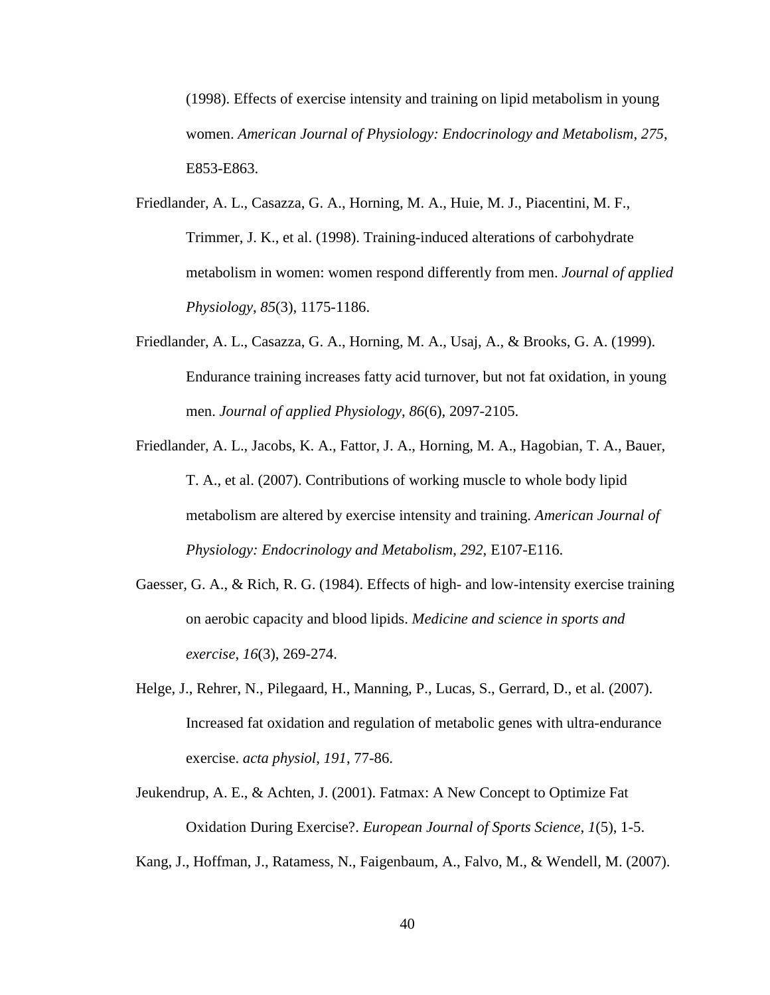(1998). Effects of exercise intensity and training on lipid metabolism in young women. *American Journal of Physiology: Endocrinology and Metabolism*, *275*, E853-E863.

- Friedlander, A. L., Casazza, G. A., Horning, M. A., Huie, M. J., Piacentini, M. F., Trimmer, J. K., et al. (1998). Training-induced alterations of carbohydrate metabolism in women: women respond differently from men. *Journal of applied Physiology*, *85*(3), 1175-1186.
- Friedlander, A. L., Casazza, G. A., Horning, M. A., Usaj, A., & Brooks, G. A. (1999). Endurance training increases fatty acid turnover, but not fat oxidation, in young men. *Journal of applied Physiology*, *86*(6), 2097-2105.
- Friedlander, A. L., Jacobs, K. A., Fattor, J. A., Horning, M. A., Hagobian, T. A., Bauer, T. A., et al. (2007). Contributions of working muscle to whole body lipid metabolism are altered by exercise intensity and training. *American Journal of Physiology: Endocrinology and Metabolism*, *292*, E107-E116.
- Gaesser, G. A., & Rich, R. G. (1984). Effects of high- and low-intensity exercise training on aerobic capacity and blood lipids. *Medicine and science in sports and exercise*, *16*(3), 269-274.
- Helge, J., Rehrer, N., Pilegaard, H., Manning, P., Lucas, S., Gerrard, D., et al. (2007). Increased fat oxidation and regulation of metabolic genes with ultra-endurance exercise. *acta physiol*, *191*, 77-86.
- Jeukendrup, A. E., & Achten, J. (2001). Fatmax: A New Concept to Optimize Fat Oxidation During Exercise?. *European Journal of Sports Science*, *1*(5), 1-5.

Kang, J., Hoffman, J., Ratamess, N., Faigenbaum, A., Falvo, M., & Wendell, M. (2007).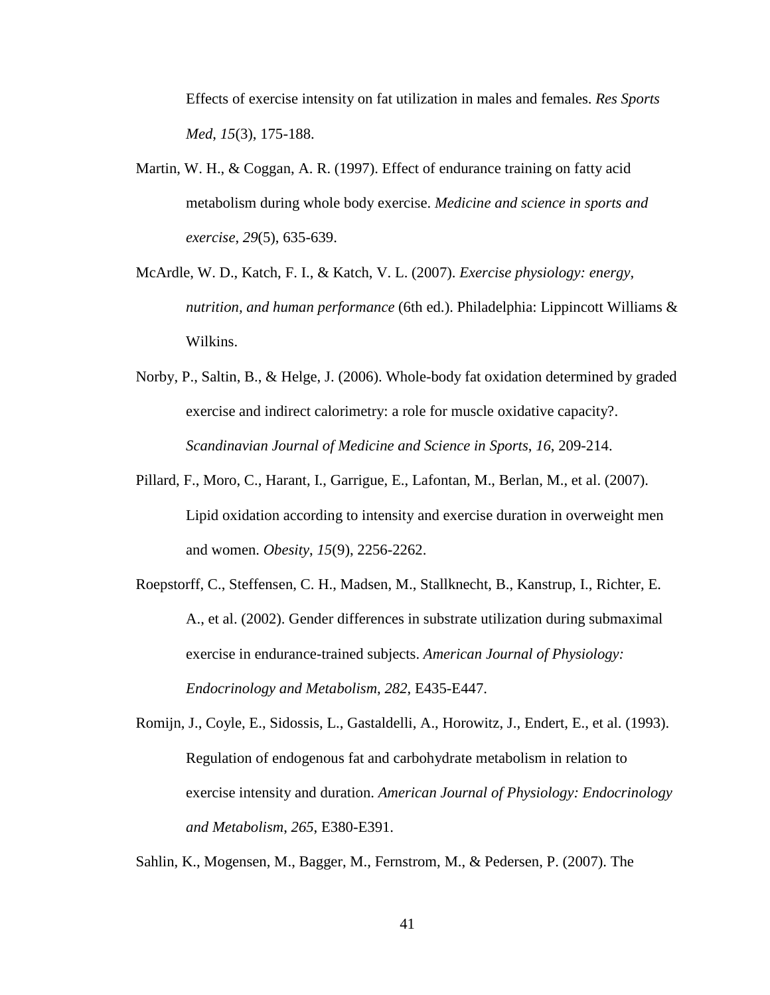Effects of exercise intensity on fat utilization in males and females. *Res Sports Med*, *15*(3), 175-188.

- Martin, W. H., & Coggan, A. R. (1997). Effect of endurance training on fatty acid metabolism during whole body exercise. *Medicine and science in sports and exercise*, *29*(5), 635-639.
- McArdle, W. D., Katch, F. I., & Katch, V. L. (2007). *Exercise physiology: energy, nutrition, and human performance* (6th ed.). Philadelphia: Lippincott Williams & Wilkins.
- Norby, P., Saltin, B., & Helge, J. (2006). Whole-body fat oxidation determined by graded exercise and indirect calorimetry: a role for muscle oxidative capacity?. *Scandinavian Journal of Medicine and Science in Sports*, *16*, 209-214.
- Pillard, F., Moro, C., Harant, I., Garrigue, E., Lafontan, M., Berlan, M., et al. (2007). Lipid oxidation according to intensity and exercise duration in overweight men and women. *Obesity*, *15*(9), 2256-2262.
- Roepstorff, C., Steffensen, C. H., Madsen, M., Stallknecht, B., Kanstrup, I., Richter, E. A., et al. (2002). Gender differences in substrate utilization during submaximal exercise in endurance-trained subjects. *American Journal of Physiology: Endocrinology and Metabolism*, *282*, E435-E447.
- Romijn, J., Coyle, E., Sidossis, L., Gastaldelli, A., Horowitz, J., Endert, E., et al. (1993). Regulation of endogenous fat and carbohydrate metabolism in relation to exercise intensity and duration. *American Journal of Physiology: Endocrinology and Metabolism*, *265*, E380-E391.

Sahlin, K., Mogensen, M., Bagger, M., Fernstrom, M., & Pedersen, P. (2007). The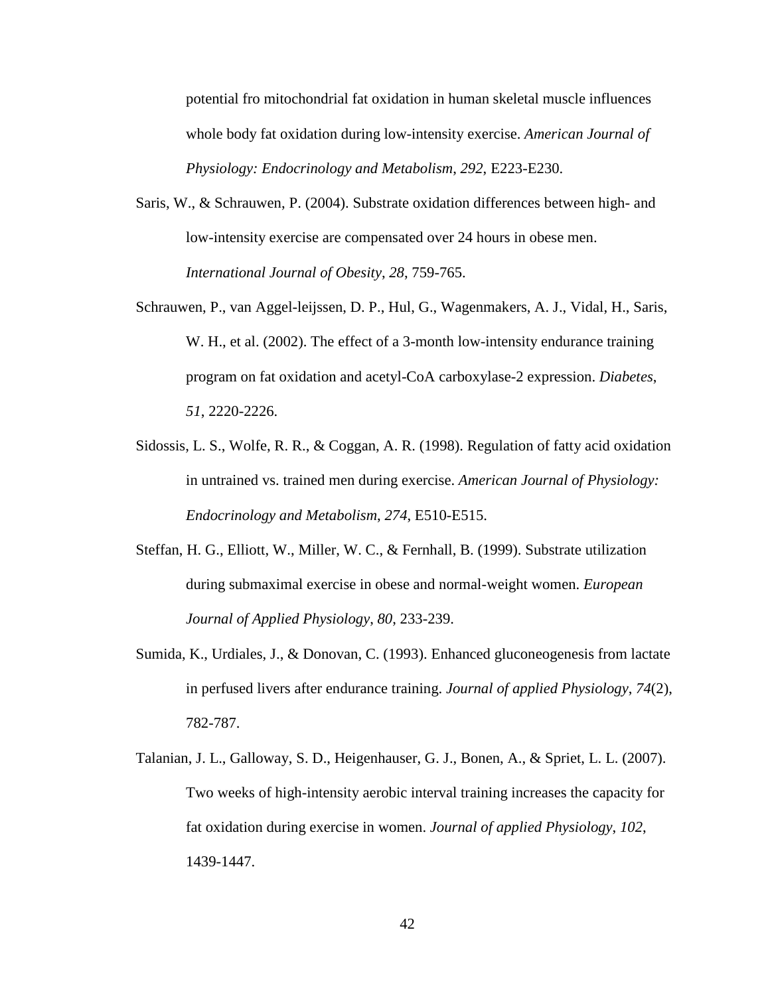potential fro mitochondrial fat oxidation in human skeletal muscle influences whole body fat oxidation during low-intensity exercise. *American Journal of Physiology: Endocrinology and Metabolism*, *292*, E223-E230.

- Saris, W., & Schrauwen, P. (2004). Substrate oxidation differences between high- and low-intensity exercise are compensated over 24 hours in obese men. *International Journal of Obesity*, *28*, 759-765.
- Schrauwen, P., van Aggel-leijssen, D. P., Hul, G., Wagenmakers, A. J., Vidal, H., Saris, W. H., et al. (2002). The effect of a 3-month low-intensity endurance training program on fat oxidation and acetyl-CoA carboxylase-2 expression. *Diabetes*, *51*, 2220-2226.
- Sidossis, L. S., Wolfe, R. R., & Coggan, A. R. (1998). Regulation of fatty acid oxidation in untrained vs. trained men during exercise. *American Journal of Physiology: Endocrinology and Metabolism*, *274*, E510-E515.
- Steffan, H. G., Elliott, W., Miller, W. C., & Fernhall, B. (1999). Substrate utilization during submaximal exercise in obese and normal-weight women. *European Journal of Applied Physiology*, *80*, 233-239.
- Sumida, K., Urdiales, J., & Donovan, C. (1993). Enhanced gluconeogenesis from lactate in perfused livers after endurance training. *Journal of applied Physiology*, *74*(2), 782-787.
- Talanian, J. L., Galloway, S. D., Heigenhauser, G. J., Bonen, A., & Spriet, L. L. (2007). Two weeks of high-intensity aerobic interval training increases the capacity for fat oxidation during exercise in women. *Journal of applied Physiology*, *102*, 1439-1447.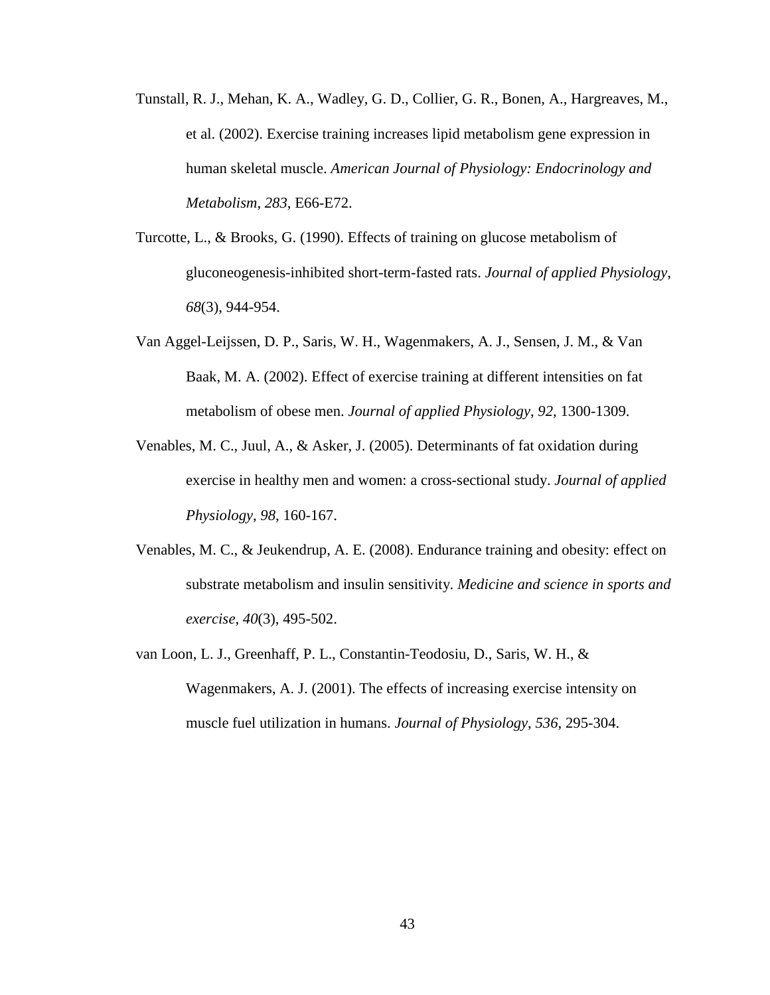- Tunstall, R. J., Mehan, K. A., Wadley, G. D., Collier, G. R., Bonen, A., Hargreaves, M., et al. (2002). Exercise training increases lipid metabolism gene expression in human skeletal muscle. *American Journal of Physiology: Endocrinology and Metabolism*, *283*, E66-E72.
- Turcotte, L., & Brooks, G. (1990). Effects of training on glucose metabolism of gluconeogenesis-inhibited short-term-fasted rats. *Journal of applied Physiology*, *68*(3), 944-954.
- Van Aggel-Leijssen, D. P., Saris, W. H., Wagenmakers, A. J., Sensen, J. M., & Van Baak, M. A. (2002). Effect of exercise training at different intensities on fat metabolism of obese men. *Journal of applied Physiology*, *92*, 1300-1309.
- Venables, M. C., Juul, A., & Asker, J. (2005). Determinants of fat oxidation during exercise in healthy men and women: a cross-sectional study. *Journal of applied Physiology*, *98*, 160-167.
- Venables, M. C., & Jeukendrup, A. E. (2008). Endurance training and obesity: effect on substrate metabolism and insulin sensitivity. *Medicine and science in sports and exercise*, *40*(3), 495-502.
- van Loon, L. J., Greenhaff, P. L., Constantin-Teodosiu, D., Saris, W. H., & Wagenmakers, A. J. (2001). The effects of increasing exercise intensity on muscle fuel utilization in humans. *Journal of Physiology*, *536*, 295-304.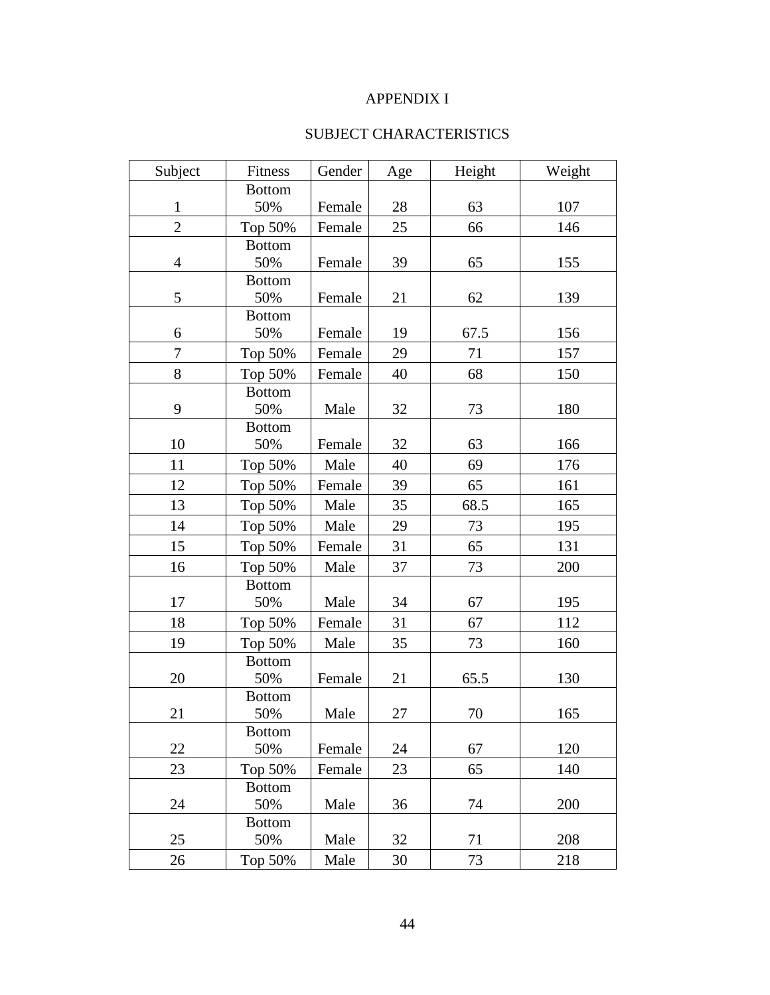# APPENDIX I

# SUBJECT CHARACTERISTICS

| Subject        | Fitness       | Gender | Age | Height | Weight |
|----------------|---------------|--------|-----|--------|--------|
|                | <b>Bottom</b> |        |     |        |        |
| 1              | 50%           | Female | 28  | 63     | 107    |
| $\mathbf{2}$   | Top 50%       | Female | 25  | 66     | 146    |
|                | <b>Bottom</b> |        |     |        |        |
| $\overline{4}$ | 50%           | Female | 39  | 65     | 155    |
|                | <b>Bottom</b> |        |     |        |        |
| 5              | 50%           | Female | 21  | 62     | 139    |
|                | <b>Bottom</b> |        |     |        |        |
| 6              | 50%           | Female | 19  | 67.5   | 156    |
| $\overline{7}$ | Top 50%       | Female | 29  | 71     | 157    |
| 8              | Top 50%       | Female | 40  | 68     | 150    |
|                | <b>Bottom</b> |        |     |        |        |
| 9              | 50%           | Male   | 32  | 73     | 180    |
|                | <b>Bottom</b> |        |     |        |        |
| 10             | 50%           | Female | 32  | 63     | 166    |
| 11             | Top 50%       | Male   | 40  | 69     | 176    |
| 12             | Top 50%       | Female | 39  | 65     | 161    |
| 13             | Top 50%       | Male   | 35  | 68.5   | 165    |
| 14             | Top 50%       | Male   | 29  | 73     | 195    |
| 15             | Top 50%       | Female | 31  | 65     | 131    |
| 16             | Top 50%       | Male   | 37  | 73     | 200    |
|                | <b>Bottom</b> |        |     |        |        |
| 17             | 50%           | Male   | 34  | 67     | 195    |
| 18             | Top 50%       | Female | 31  | 67     | 112    |
| 19             | Top 50%       | Male   | 35  | 73     | 160    |
|                | <b>Bottom</b> |        |     |        |        |
| 20             | 50%           | Female | 21  | 65.5   | 130    |
|                | <b>Bottom</b> |        |     |        |        |
| 21             | 50%           | Male   | 27  | 70     | 165    |
|                | <b>Bottom</b> |        |     |        |        |
| 22             | 50%           | Female | 24  | 67     | 120    |
| 23             | Top 50%       | Female | 23  | 65     | 140    |
|                | <b>Bottom</b> |        |     |        |        |
| 24             | 50%           | Male   | 36  | 74     | 200    |
|                | <b>Bottom</b> |        |     |        |        |
| 25             | 50%           | Male   | 32  | 71     | 208    |
| 26             | Top 50%       | Male   | 30  | 73     | 218    |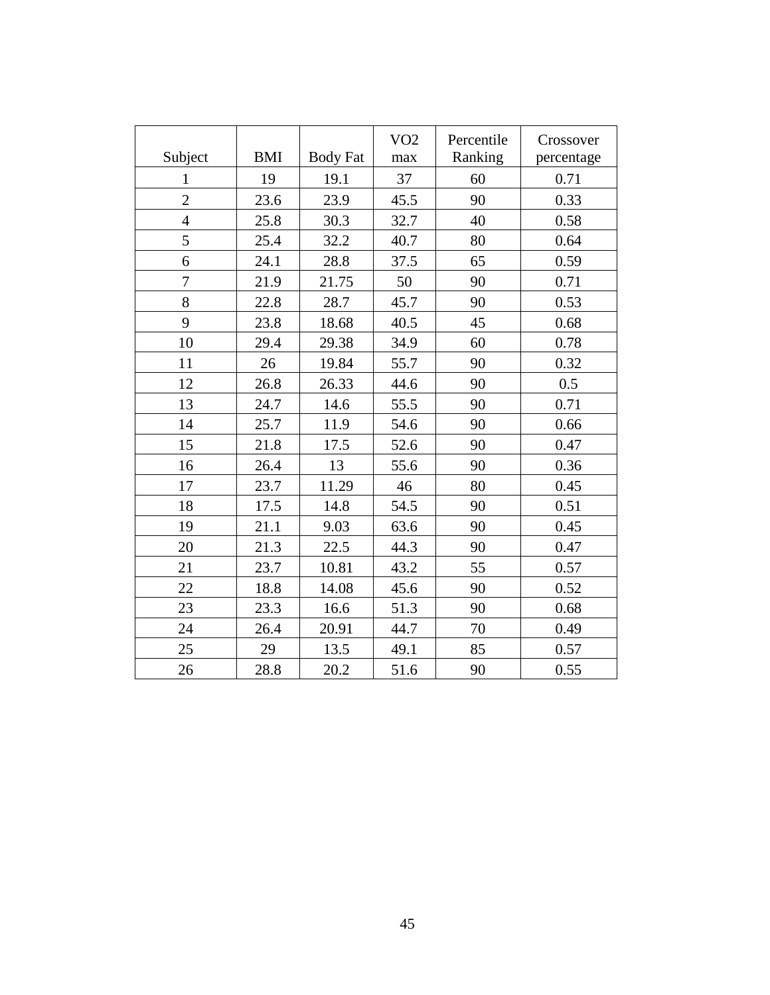|                |            |                 | VO <sub>2</sub> | Percentile | Crossover  |  |
|----------------|------------|-----------------|-----------------|------------|------------|--|
| Subject        | <b>BMI</b> | <b>Body Fat</b> | max             | Ranking    | percentage |  |
| 1              | 19         | 19.1            | 37              | 60         | 0.71       |  |
| $\overline{2}$ | 23.6       | 23.9            | 45.5            | 90         | 0.33       |  |
| $\overline{4}$ | 25.8       | 30.3            | 32.7            | 40         | 0.58       |  |
| 5              | 25.4       | 32.2            | 40.7            | 80         | 0.64       |  |
| 6              | 24.1       | 28.8            | 37.5            | 65         | 0.59       |  |
| $\overline{7}$ | 21.9       | 21.75           | 50              | 90         | 0.71       |  |
| 8              | 22.8       | 28.7            | 45.7            | 90         | 0.53       |  |
| 9              | 23.8       | 18.68           | 40.5            | 45         | 0.68       |  |
| 10             | 29.4       | 29.38           | 34.9            | 60         | 0.78       |  |
| 11             | 26         | 19.84           | 55.7            | 90         | 0.32       |  |
| 12             | 26.8       | 26.33           | 44.6            | 90         | 0.5        |  |
| 13             | 24.7       | 14.6            | 55.5            | 90         | 0.71       |  |
| 14             | 25.7       | 11.9            | 54.6            | 90         | 0.66       |  |
| 15             | 21.8       | 17.5            | 52.6            | 90         | 0.47       |  |
| 16             | 26.4       | 13              | 55.6            | 90         | 0.36       |  |
| 17             | 23.7       | 11.29           | 46              | 80         | 0.45       |  |
| 18             | 17.5       | 14.8            | 54.5            | 90         | 0.51       |  |
| 19             | 21.1       | 9.03            | 63.6            | 90         | 0.45       |  |
| 20             | 21.3       | 22.5            | 44.3            | 90         | 0.47       |  |
| 21             | 23.7       | 10.81           | 43.2            | 55         | 0.57       |  |
| 22             | 18.8       | 14.08           | 45.6            | 90         | 0.52       |  |
| 23             | 23.3       | 16.6            | 51.3            | 90         | 0.68       |  |
| 24             | 26.4       | 20.91           | 44.7            | 70         | 0.49       |  |
| 25             | 29         | 13.5            | 49.1            | 85         | 0.57       |  |
| 26             | 28.8       | 20.2            | 51.6            | 90         | 0.55       |  |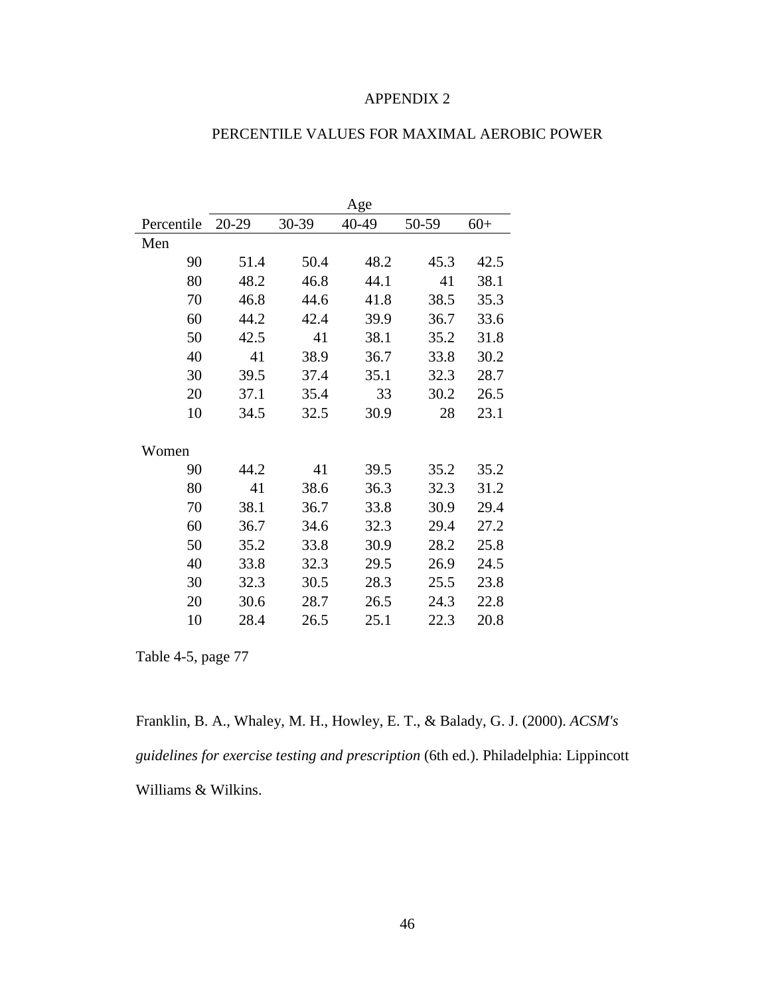#### APPENDIX 2

|            | Age       |       |       |       |       |  |  |  |
|------------|-----------|-------|-------|-------|-------|--|--|--|
| Percentile | $20 - 29$ | 30-39 | 40-49 | 50-59 | $60+$ |  |  |  |
| Men        |           |       |       |       |       |  |  |  |
| 90         | 51.4      | 50.4  | 48.2  | 45.3  | 42.5  |  |  |  |
| 80         | 48.2      | 46.8  | 44.1  | 41    | 38.1  |  |  |  |
| 70         | 46.8      | 44.6  | 41.8  | 38.5  | 35.3  |  |  |  |
| 60         | 44.2      | 42.4  | 39.9  | 36.7  | 33.6  |  |  |  |
| 50         | 42.5      | 41    | 38.1  | 35.2  | 31.8  |  |  |  |
| 40         | 41        | 38.9  | 36.7  | 33.8  | 30.2  |  |  |  |
| 30         | 39.5      | 37.4  | 35.1  | 32.3  | 28.7  |  |  |  |
| 20         | 37.1      | 35.4  | 33    | 30.2  | 26.5  |  |  |  |
| 10         | 34.5      | 32.5  | 30.9  | 28    | 23.1  |  |  |  |
|            |           |       |       |       |       |  |  |  |
| Women      |           |       |       |       |       |  |  |  |
| 90         | 44.2      | 41    | 39.5  | 35.2  | 35.2  |  |  |  |
| 80         | 41        | 38.6  | 36.3  | 32.3  | 31.2  |  |  |  |
| 70         | 38.1      | 36.7  | 33.8  | 30.9  | 29.4  |  |  |  |
| 60         | 36.7      | 34.6  | 32.3  | 29.4  | 27.2  |  |  |  |
| 50         | 35.2      | 33.8  | 30.9  | 28.2  | 25.8  |  |  |  |
| 40         | 33.8      | 32.3  | 29.5  | 26.9  | 24.5  |  |  |  |
| 30         | 32.3      | 30.5  | 28.3  | 25.5  | 23.8  |  |  |  |
| 20         | 30.6      | 28.7  | 26.5  | 24.3  | 22.8  |  |  |  |
| 10         | 28.4      | 26.5  | 25.1  | 22.3  | 20.8  |  |  |  |

# PERCENTILE VALUES FOR MAXIMAL AEROBIC POWER

Table 4-5, page 77

Franklin, B. A., Whaley, M. H., Howley, E. T., & Balady, G. J. (2000). *ACSM's guidelines for exercise testing and prescription* (6th ed.). Philadelphia: Lippincott Williams & Wilkins.